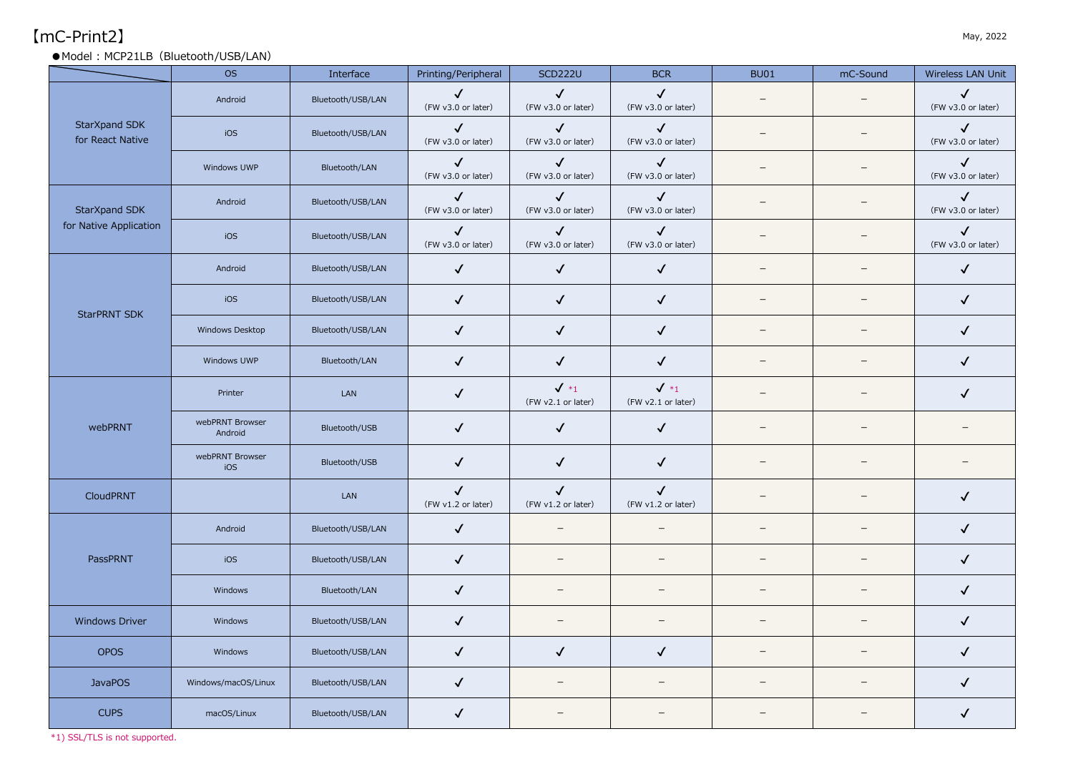# $\lceil \mathsf{mC\text{-}Print2} \rceil$  May, 2022

#### ● Model: MCP21LB (Bluetooth/USB/LAN)

|                                   | <b>OS</b>                  | Interface         | Printing/Peripheral                | <b>SCD222U</b>                     | <b>BCR</b>                            | <b>BU01</b>              | mC-Sound                 | Wireless LAN Unit                  |
|-----------------------------------|----------------------------|-------------------|------------------------------------|------------------------------------|---------------------------------------|--------------------------|--------------------------|------------------------------------|
|                                   | Android                    | Bluetooth/USB/LAN | $\checkmark$<br>(FW v3.0 or later) | $\checkmark$<br>(FW v3.0 or later) | $\checkmark$<br>(FW v3.0 or later)    | $\overline{\phantom{0}}$ | $\overline{\phantom{m}}$ | $\checkmark$<br>(FW v3.0 or later) |
| StarXpand SDK<br>for React Native | iOS                        | Bluetooth/USB/LAN | $\checkmark$<br>(FW v3.0 or later) | $\checkmark$<br>(FW v3.0 or later) | $\checkmark$<br>(FW v3.0 or later)    | $\qquad \qquad -$        | $\overline{\phantom{m}}$ | $\checkmark$<br>(FW v3.0 or later) |
|                                   | Windows UWP                | Bluetooth/LAN     | $\checkmark$<br>(FW v3.0 or later) | $\checkmark$<br>(FW v3.0 or later) | $\checkmark$<br>(FW v3.0 or later)    | $\overline{\phantom{0}}$ | $\overline{\phantom{0}}$ | $\checkmark$<br>(FW v3.0 or later) |
| StarXpand SDK                     | Android                    | Bluetooth/USB/LAN | $\checkmark$<br>(FW v3.0 or later) | $\checkmark$<br>(FW v3.0 or later) | $\checkmark$<br>(FW v3.0 or later)    |                          | $\overline{\phantom{0}}$ | $\checkmark$<br>(FW v3.0 or later) |
| for Native Application            | iOS                        | Bluetooth/USB/LAN | $\checkmark$<br>(FW v3.0 or later) | $\checkmark$<br>(FW v3.0 or later) | $\checkmark$<br>(FW v3.0 or later)    | $\overline{\phantom{0}}$ | $\qquad \qquad -$        | $\checkmark$<br>(FW v3.0 or later) |
|                                   | Android                    | Bluetooth/USB/LAN | $\checkmark$                       | $\checkmark$                       | $\checkmark$                          | $\overline{\phantom{0}}$ | $\overline{\phantom{m}}$ | $\checkmark$                       |
| <b>StarPRNT SDK</b>               | iOS                        | Bluetooth/USB/LAN | $\checkmark$                       | $\checkmark$                       | $\checkmark$                          | $\overline{\phantom{0}}$ | $\qquad \qquad -$        | $\checkmark$                       |
|                                   | Windows Desktop            | Bluetooth/USB/LAN | $\checkmark$                       | $\checkmark$                       | $\checkmark$                          | $\overline{\phantom{a}}$ |                          | $\checkmark$                       |
|                                   | Windows UWP                | Bluetooth/LAN     | $\checkmark$                       | $\checkmark$                       | $\checkmark$                          | $\overline{\phantom{0}}$ | $\qquad \qquad -$        | $\checkmark$                       |
|                                   | Printer                    | LAN               | $\checkmark$                       | $\sqrt{*_1}$<br>(FW v2.1 or later) | $\checkmark$ *1<br>(FW v2.1 or later) |                          |                          | $\checkmark$                       |
| webPRNT                           | webPRNT Browser<br>Android | Bluetooth/USB     | $\checkmark$                       | $\checkmark$                       | $\checkmark$                          | $\overline{\phantom{0}}$ | $\equiv$                 |                                    |
|                                   | webPRNT Browser<br>iOS     | Bluetooth/USB     | $\checkmark$                       | $\checkmark$                       | $\checkmark$                          | $\overline{\phantom{a}}$ |                          |                                    |
| <b>CloudPRNT</b>                  |                            | LAN               | $\checkmark$<br>(FW v1.2 or later) | $\checkmark$<br>(FW v1.2 or later) | $\checkmark$<br>(FW v1.2 or later)    | $\overline{\phantom{0}}$ |                          | $\checkmark$                       |
|                                   | Android                    | Bluetooth/USB/LAN | $\checkmark$                       | $\overline{\phantom{0}}$           | $\qquad \qquad -$                     | $\overline{\phantom{0}}$ | $\overline{\phantom{0}}$ | $\checkmark$                       |
| PassPRNT                          | iOS                        | Bluetooth/USB/LAN | $\checkmark$                       | $\qquad \qquad =$                  | $\overline{\phantom{0}}$              | $\overline{\phantom{0}}$ |                          | $\checkmark$                       |
|                                   | Windows                    | Bluetooth/LAN     | $\checkmark$                       |                                    | $\overline{\phantom{0}}$              | $\overline{\phantom{0}}$ | $\qquad \qquad -$        | $\checkmark$                       |
| <b>Windows Driver</b>             | Windows                    | Bluetooth/USB/LAN | $\checkmark$                       | $\overline{\phantom{0}}$           | $\overline{\phantom{0}}$              | $\qquad \qquad -$        |                          | $\checkmark$                       |
| <b>OPOS</b>                       | Windows                    | Bluetooth/USB/LAN | $\checkmark$                       | $\checkmark$                       | $\checkmark$                          | $\overline{\phantom{a}}$ | -                        | $\checkmark$                       |
| <b>JavaPOS</b>                    | Windows/macOS/Linux        | Bluetooth/USB/LAN | $\checkmark$                       | $\overline{\phantom{0}}$           | $\overline{\phantom{0}}$              |                          |                          | $\checkmark$                       |
| <b>CUPS</b>                       | macOS/Linux                | Bluetooth/USB/LAN | $\checkmark$                       |                                    |                                       |                          |                          | $\checkmark$                       |

\*1) SSL/TLS is not supported.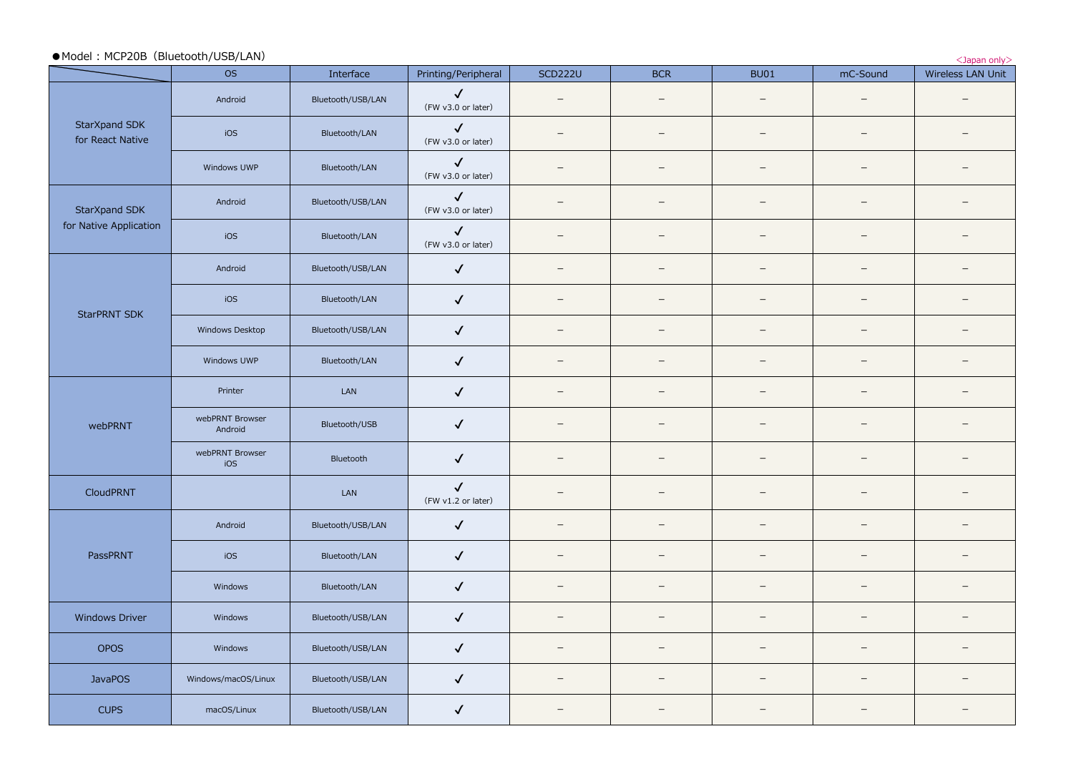|                                   | • Model: MCP20B (Bluetooth/USB/LAN)<br><japan only=""></japan> |                   |                                    |                          |                          |                                                                                                                                                                                                                                                                                                                                                                                                                                                                                                                                                                                                                                                                                                                                                                                                                                                                                                                                                                                                                                                                                                                                                                                                                                                                          |                          |                          |
|-----------------------------------|----------------------------------------------------------------|-------------------|------------------------------------|--------------------------|--------------------------|--------------------------------------------------------------------------------------------------------------------------------------------------------------------------------------------------------------------------------------------------------------------------------------------------------------------------------------------------------------------------------------------------------------------------------------------------------------------------------------------------------------------------------------------------------------------------------------------------------------------------------------------------------------------------------------------------------------------------------------------------------------------------------------------------------------------------------------------------------------------------------------------------------------------------------------------------------------------------------------------------------------------------------------------------------------------------------------------------------------------------------------------------------------------------------------------------------------------------------------------------------------------------|--------------------------|--------------------------|
|                                   | <b>OS</b>                                                      | Interface         | Printing/Peripheral                | <b>SCD222U</b>           |                          |                                                                                                                                                                                                                                                                                                                                                                                                                                                                                                                                                                                                                                                                                                                                                                                                                                                                                                                                                                                                                                                                                                                                                                                                                                                                          |                          | Wireless LAN Unit        |
|                                   | Android                                                        | Bluetooth/USB/LAN | $\checkmark$<br>(FW v3.0 or later) |                          | $\overline{\phantom{0}}$ | $\overline{\phantom{m}}$                                                                                                                                                                                                                                                                                                                                                                                                                                                                                                                                                                                                                                                                                                                                                                                                                                                                                                                                                                                                                                                                                                                                                                                                                                                 |                          | $\overline{\phantom{0}}$ |
| StarXpand SDK<br>for React Native | iOS                                                            | Bluetooth/LAN     | $\checkmark$<br>(FW v3.0 or later) | $\qquad \qquad -$        | —                        | $\overline{\phantom{m}}$                                                                                                                                                                                                                                                                                                                                                                                                                                                                                                                                                                                                                                                                                                                                                                                                                                                                                                                                                                                                                                                                                                                                                                                                                                                 | $\overline{\phantom{m}}$ | $\overline{\phantom{m}}$ |
|                                   | Windows UWP                                                    | Bluetooth/LAN     | $\checkmark$<br>(FW v3.0 or later) |                          |                          | <b>BCR</b><br><b>BU01</b><br>mC-Sound<br>$\overline{\phantom{m}}$<br>$\qquad \qquad -$<br>$\overline{\phantom{m}}$<br>$\overline{\phantom{m}}$<br>$\qquad \qquad -$<br>$\overline{\phantom{0}}$<br>$\overline{\phantom{m}}$<br>$\overline{\phantom{m}}$<br>$\overline{\phantom{0}}$<br>$\overline{\phantom{m}}$<br>$\overline{\phantom{m}}$<br>$\overline{\phantom{m}}$<br>$\qquad \qquad -$<br>-<br>$\overline{\phantom{a}}$<br>$\overline{\phantom{m}}$<br>$\overline{\phantom{m}}$<br>$\overline{\phantom{a}}$<br>$\overline{\phantom{m}}$<br>$\overline{\phantom{m}}$<br>$\qquad \qquad -$<br>$\overline{\phantom{m}}$<br>$\overline{\phantom{m}}$<br>$\qquad \qquad -$<br>$\overline{\phantom{m}}$<br>—<br>$\overline{\phantom{m}}$<br>$\overline{\phantom{0}}$<br>$\overline{\phantom{m}}$<br>$\overline{\phantom{m}}$<br>$\overline{\phantom{m}}$<br>$\overline{\phantom{m}}$<br>$\overline{\phantom{m}}$<br>$\overline{\phantom{m}}$<br>$\qquad \qquad -$<br>$\overline{\phantom{m}}$<br>—<br>—<br>—<br>$\overline{\phantom{a}}$<br>$\overline{\phantom{m}}$<br>$\overline{\phantom{m}}$<br>$\overline{\phantom{a}}$<br>$\overline{\phantom{m}}$<br>$\overline{\phantom{m}}$<br>$\overline{\phantom{m}}$<br>$\overline{\phantom{m}}$<br>$\overline{\phantom{m}}$ | $\overline{\phantom{0}}$ |                          |
| StarXpand SDK                     | Android                                                        | Bluetooth/USB/LAN | $\checkmark$<br>(FW v3.0 or later) | $\overline{\phantom{m}}$ |                          |                                                                                                                                                                                                                                                                                                                                                                                                                                                                                                                                                                                                                                                                                                                                                                                                                                                                                                                                                                                                                                                                                                                                                                                                                                                                          |                          | $\overline{\phantom{0}}$ |
| for Native Application            | iOS                                                            | Bluetooth/LAN     | $\checkmark$<br>(FW v3.0 or later) | ۳                        |                          |                                                                                                                                                                                                                                                                                                                                                                                                                                                                                                                                                                                                                                                                                                                                                                                                                                                                                                                                                                                                                                                                                                                                                                                                                                                                          |                          | $\qquad \qquad -$        |
|                                   | Android                                                        | Bluetooth/USB/LAN | $\checkmark$                       | $\qquad \qquad -$        |                          |                                                                                                                                                                                                                                                                                                                                                                                                                                                                                                                                                                                                                                                                                                                                                                                                                                                                                                                                                                                                                                                                                                                                                                                                                                                                          |                          | $\overline{\phantom{m}}$ |
| <b>StarPRNT SDK</b>               | iOS                                                            | Bluetooth/LAN     | $\checkmark$                       | $\qquad \qquad -$        |                          |                                                                                                                                                                                                                                                                                                                                                                                                                                                                                                                                                                                                                                                                                                                                                                                                                                                                                                                                                                                                                                                                                                                                                                                                                                                                          |                          | $\overline{\phantom{m}}$ |
|                                   | Windows Desktop                                                | Bluetooth/USB/LAN | $\checkmark$                       | $\qquad \qquad -$        |                          |                                                                                                                                                                                                                                                                                                                                                                                                                                                                                                                                                                                                                                                                                                                                                                                                                                                                                                                                                                                                                                                                                                                                                                                                                                                                          |                          | $\overline{\phantom{m}}$ |
|                                   | Windows UWP                                                    | Bluetooth/LAN     | $\checkmark$                       | $\overline{\phantom{m}}$ |                          |                                                                                                                                                                                                                                                                                                                                                                                                                                                                                                                                                                                                                                                                                                                                                                                                                                                                                                                                                                                                                                                                                                                                                                                                                                                                          |                          | $\overline{\phantom{a}}$ |
|                                   | Printer                                                        | LAN               | $\checkmark$                       | $\overline{\phantom{m}}$ |                          |                                                                                                                                                                                                                                                                                                                                                                                                                                                                                                                                                                                                                                                                                                                                                                                                                                                                                                                                                                                                                                                                                                                                                                                                                                                                          |                          | $\overline{\phantom{m}}$ |
| webPRNT                           | webPRNT Browser<br>Android                                     | Bluetooth/USB     | $\checkmark$                       | $\overline{\phantom{m}}$ |                          |                                                                                                                                                                                                                                                                                                                                                                                                                                                                                                                                                                                                                                                                                                                                                                                                                                                                                                                                                                                                                                                                                                                                                                                                                                                                          |                          | $\overline{\phantom{0}}$ |
|                                   | webPRNT Browser<br>iOS                                         | Bluetooth         | $\checkmark$                       | -                        |                          |                                                                                                                                                                                                                                                                                                                                                                                                                                                                                                                                                                                                                                                                                                                                                                                                                                                                                                                                                                                                                                                                                                                                                                                                                                                                          |                          |                          |
| CloudPRNT                         |                                                                | LAN               | $\checkmark$<br>(FW v1.2 or later) | $\overline{\phantom{m}}$ |                          |                                                                                                                                                                                                                                                                                                                                                                                                                                                                                                                                                                                                                                                                                                                                                                                                                                                                                                                                                                                                                                                                                                                                                                                                                                                                          |                          | $\overline{\phantom{m}}$ |
|                                   | Android                                                        | Bluetooth/USB/LAN | $\checkmark$                       | $\qquad \qquad -$        |                          |                                                                                                                                                                                                                                                                                                                                                                                                                                                                                                                                                                                                                                                                                                                                                                                                                                                                                                                                                                                                                                                                                                                                                                                                                                                                          |                          | $\overline{\phantom{a}}$ |
| PassPRNT                          | iOS                                                            | Bluetooth/LAN     | $\checkmark$                       | -                        |                          |                                                                                                                                                                                                                                                                                                                                                                                                                                                                                                                                                                                                                                                                                                                                                                                                                                                                                                                                                                                                                                                                                                                                                                                                                                                                          |                          | $\overline{\phantom{m}}$ |
|                                   | Windows                                                        | Bluetooth/LAN     | $\checkmark$                       | $\overline{\phantom{m}}$ |                          |                                                                                                                                                                                                                                                                                                                                                                                                                                                                                                                                                                                                                                                                                                                                                                                                                                                                                                                                                                                                                                                                                                                                                                                                                                                                          |                          | $\overline{\phantom{a}}$ |
| <b>Windows Driver</b>             | Windows                                                        | Bluetooth/USB/LAN | $\checkmark$                       | $\overline{\phantom{m}}$ |                          |                                                                                                                                                                                                                                                                                                                                                                                                                                                                                                                                                                                                                                                                                                                                                                                                                                                                                                                                                                                                                                                                                                                                                                                                                                                                          |                          | $\overline{\phantom{m}}$ |
| <b>OPOS</b>                       | Windows                                                        | Bluetooth/USB/LAN | $\checkmark$                       | $\qquad \qquad -$        |                          |                                                                                                                                                                                                                                                                                                                                                                                                                                                                                                                                                                                                                                                                                                                                                                                                                                                                                                                                                                                                                                                                                                                                                                                                                                                                          |                          | $\overline{\phantom{m}}$ |
| <b>JavaPOS</b>                    | Windows/macOS/Linux                                            | Bluetooth/USB/LAN | $\checkmark$                       | $\qquad \qquad -$        |                          |                                                                                                                                                                                                                                                                                                                                                                                                                                                                                                                                                                                                                                                                                                                                                                                                                                                                                                                                                                                                                                                                                                                                                                                                                                                                          |                          | $\overline{\phantom{m}}$ |
| <b>CUPS</b>                       | macOS/Linux                                                    | Bluetooth/USB/LAN | $\checkmark$                       | $\overline{\phantom{m}}$ |                          |                                                                                                                                                                                                                                                                                                                                                                                                                                                                                                                                                                                                                                                                                                                                                                                                                                                                                                                                                                                                                                                                                                                                                                                                                                                                          |                          | $\overline{\phantom{0}}$ |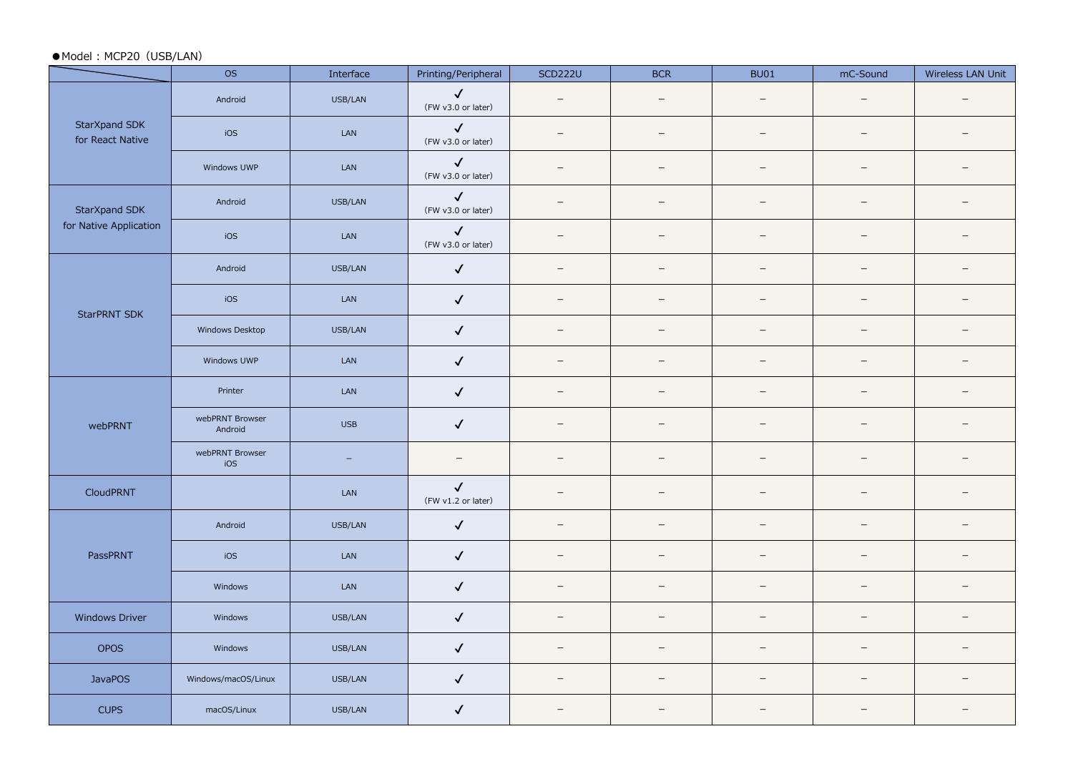#### ●Model: MCP20 (USB/LAN)

|                                   | <b>OS</b>                  | Interface  | Printing/Peripheral                | <b>SCD222U</b>           | <b>BCR</b>               | <b>BU01</b>              | mC-Sound                 | Wireless LAN Unit        |
|-----------------------------------|----------------------------|------------|------------------------------------|--------------------------|--------------------------|--------------------------|--------------------------|--------------------------|
|                                   | Android                    | USB/LAN    | $\checkmark$<br>(FW v3.0 or later) | $\overline{\phantom{a}}$ | $\overline{\phantom{m}}$ | $\overline{\phantom{m}}$ | $\sim$                   | $\qquad \qquad -$        |
| StarXpand SDK<br>for React Native | iOS                        | LAN        | $\checkmark$<br>(FW v3.0 or later) | $\equiv$                 | $\overline{\phantom{m}}$ | $\overline{\phantom{m}}$ | $\overline{\phantom{a}}$ | $\qquad \qquad -$        |
|                                   | Windows UWP                | LAN        | $\checkmark$<br>(FW v3.0 or later) | $\overline{\phantom{a}}$ | $\overline{\phantom{m}}$ | $\overline{\phantom{m}}$ | $\overline{\phantom{0}}$ | $\qquad \qquad -$        |
| StarXpand SDK                     | Android                    | USB/LAN    | $\checkmark$<br>(FW v3.0 or later) | $\equiv$                 | $\overline{\phantom{m}}$ | $\overline{\phantom{0}}$ | $\overline{\phantom{0}}$ | $\qquad \qquad -$        |
| for Native Application            | iOS                        | LAN        | $\checkmark$<br>(FW v3.0 or later) | $\overline{\phantom{0}}$ | $\overline{\phantom{m}}$ | $\overline{\phantom{0}}$ | $\overline{\phantom{0}}$ | $\overline{\phantom{0}}$ |
|                                   | Android                    | USB/LAN    | $\checkmark$                       | $\equiv$                 | $\overline{\phantom{m}}$ | $\overline{\phantom{m}}$ | $\equiv$                 | $\qquad \qquad -$        |
| <b>StarPRNT SDK</b>               | iOS                        | LAN        | $\checkmark$                       | $\overline{\phantom{0}}$ | $\overline{\phantom{m}}$ | $-$                      | $\overline{\phantom{m}}$ | $\overline{\phantom{0}}$ |
|                                   | Windows Desktop            | USB/LAN    | $\checkmark$                       | $\equiv$                 | $\overline{\phantom{m}}$ | $\overline{\phantom{m}}$ | $\equiv$                 | $\overline{\phantom{0}}$ |
|                                   | Windows UWP                | LAN        | $\checkmark$                       | $\equiv$                 | $\overline{\phantom{0}}$ | $\overline{\phantom{m}}$ | $\overline{\phantom{0}}$ | $\overline{\phantom{0}}$ |
|                                   | Printer                    | LAN        | $\checkmark$                       | $\overline{\phantom{0}}$ | $\overline{\phantom{m}}$ | $\overline{\phantom{m}}$ | $\overline{\phantom{m}}$ | $\equiv$                 |
| webPRNT                           | webPRNT Browser<br>Android | <b>USB</b> | $\checkmark$                       | $\overline{\phantom{m}}$ | $\overline{\phantom{m}}$ | $\overline{\phantom{0}}$ | $\overline{\phantom{m}}$ | $\qquad \qquad -$        |
|                                   | webPRNT Browser<br>iOS     | $\equiv$   | $\qquad \qquad -$                  | $\qquad \qquad -$        | $\qquad \qquad -$        | $\qquad \qquad -$        | $\overline{\phantom{a}}$ | $\qquad \qquad -$        |
| CloudPRNT                         |                            | LAN        | $\checkmark$<br>(FW v1.2 or later) |                          | $\overline{\phantom{m}}$ | $\overline{\phantom{0}}$ | $\overline{\phantom{0}}$ | $\qquad \qquad -$        |
|                                   | Android                    | USB/LAN    | $\checkmark$                       | $\equiv$                 | $\overline{\phantom{0}}$ | $\equiv$                 | $\overline{\phantom{0}}$ | $\overline{\phantom{0}}$ |
| PassPRNT                          | iOS                        | LAN        | $\checkmark$                       | $\overline{\phantom{a}}$ | $\overline{\phantom{m}}$ | $\overline{\phantom{m}}$ | $\equiv$                 | $\qquad \qquad -$        |
|                                   | Windows                    | LAN        | $\checkmark$                       | $\equiv$                 | $\overline{\phantom{0}}$ | $\overline{\phantom{a}}$ | $\equiv$                 | $\qquad \qquad -$        |
| <b>Windows Driver</b>             | Windows                    | USB/LAN    | $\checkmark$                       | $\overline{\phantom{0}}$ | $\overline{\phantom{m}}$ | $\overline{\phantom{m}}$ | $\overline{\phantom{a}}$ | $\overline{\phantom{0}}$ |
| OPOS                              | Windows                    | USB/LAN    | $\checkmark$                       | $\overline{\phantom{m}}$ | $\overline{\phantom{m}}$ | $\overline{\phantom{m}}$ | $\equiv$                 | $\qquad \qquad -$        |
| <b>JavaPOS</b>                    | Windows/macOS/Linux        | USB/LAN    | $\checkmark$                       | $\overline{\phantom{a}}$ | $\overline{\phantom{m}}$ | $\overline{\phantom{m}}$ | $\overline{\phantom{a}}$ | $\qquad \qquad -$        |
| <b>CUPS</b>                       | macOS/Linux                | USB/LAN    | $\checkmark$                       | $\overline{\phantom{a}}$ | $\overline{\phantom{m}}$ | $-$                      | $\overline{\phantom{m}}$ | $\overline{\phantom{0}}$ |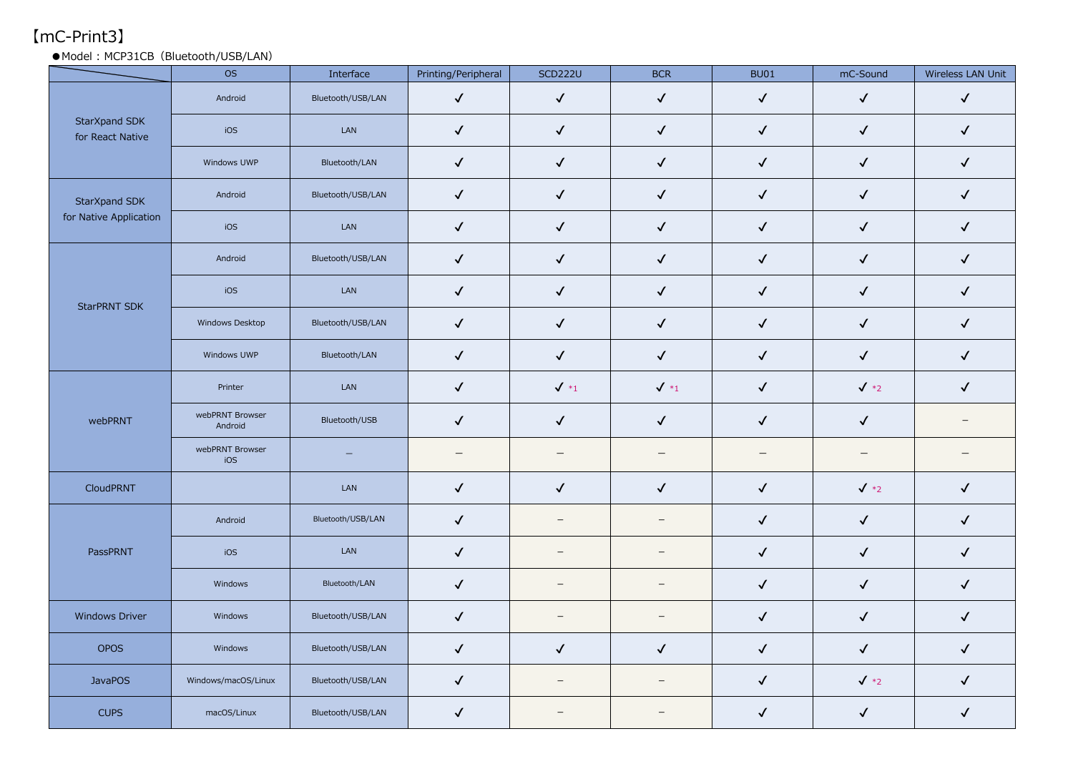# 【mC-Print3】

● Model: MCP31CB (Bluetooth/USB/LAN)

|                                   | <b>OS</b>                  | Interface         | Printing/Peripheral      | <b>SCD222U</b>           | <b>BCR</b>               | <b>BU01</b>              | mC-Sound                 | Wireless LAN Unit        |
|-----------------------------------|----------------------------|-------------------|--------------------------|--------------------------|--------------------------|--------------------------|--------------------------|--------------------------|
|                                   | Android                    | Bluetooth/USB/LAN | $\checkmark$             | $\checkmark$             | $\checkmark$             | $\checkmark$             | $\checkmark$             | $\checkmark$             |
| StarXpand SDK<br>for React Native | iOS                        | LAN               | $\checkmark$             | $\checkmark$             | $\checkmark$             | $\checkmark$             | $\checkmark$             | $\checkmark$             |
|                                   | Windows UWP                | Bluetooth/LAN     | $\checkmark$             | $\checkmark$             | $\checkmark$             | $\checkmark$             | $\checkmark$             | $\checkmark$             |
| StarXpand SDK                     | Android                    | Bluetooth/USB/LAN | $\checkmark$             | $\checkmark$             | $\checkmark$             | $\checkmark$             | $\checkmark$             | $\checkmark$             |
| for Native Application            | iOS                        | LAN               | $\checkmark$             | $\checkmark$             | $\checkmark$             | $\checkmark$             | $\checkmark$             | $\checkmark$             |
|                                   | Android                    | Bluetooth/USB/LAN | $\checkmark$             | $\checkmark$             | $\checkmark$             | $\checkmark$             | $\checkmark$             | $\checkmark$             |
|                                   | iOS                        | LAN               | $\checkmark$             | $\checkmark$             | $\checkmark$             | $\checkmark$             | $\checkmark$             | $\checkmark$             |
| <b>StarPRNT SDK</b>               | Windows Desktop            | Bluetooth/USB/LAN | $\checkmark$             | $\checkmark$             | $\checkmark$             | $\checkmark$             | $\checkmark$             | $\checkmark$             |
|                                   | Windows UWP                | Bluetooth/LAN     | $\checkmark$             | $\checkmark$             | $\checkmark$             | $\checkmark$             | $\checkmark$             | $\checkmark$             |
|                                   | Printer                    | LAN               | $\checkmark$             | $\sqrt{*_1}$             | $\sqrt{*_1}$             | $\checkmark$             | $\sqrt{*2}$              | $\checkmark$             |
| webPRNT                           | webPRNT Browser<br>Android | Bluetooth/USB     | $\checkmark$             | $\checkmark$             | $\checkmark$             | $\checkmark$             | $\checkmark$             | $\overline{\phantom{0}}$ |
|                                   | webPRNT Browser<br>iOS     | $\qquad \qquad -$ | $\overline{\phantom{0}}$ |                          |                          | $\overline{\phantom{0}}$ | $\overline{\phantom{m}}$ | $\overline{\phantom{0}}$ |
| CloudPRNT                         |                            | LAN               | $\checkmark$             | $\checkmark$             | $\checkmark$             | $\checkmark$             | $\sqrt{*2}$              | $\checkmark$             |
|                                   | Android                    | Bluetooth/USB/LAN | $\checkmark$             | $\overline{\phantom{m}}$ | $\overline{\phantom{0}}$ | $\checkmark$             | $\checkmark$             | $\checkmark$             |
| PassPRNT                          | iOS                        | LAN               | $\checkmark$             | $\qquad \qquad -$        | $\overline{\phantom{0}}$ | $\checkmark$             | $\checkmark$             | $\checkmark$             |
|                                   | Windows                    | Bluetooth/LAN     | $\checkmark$             | $\overline{\phantom{m}}$ | $\overline{\phantom{m}}$ | $\checkmark$             | $\checkmark$             | $\checkmark$             |
| <b>Windows Driver</b>             | Windows                    | Bluetooth/USB/LAN | $\checkmark$             | $\overline{\phantom{0}}$ | $\overline{\phantom{0}}$ | $\checkmark$             | $\checkmark$             | $\checkmark$             |
| <b>OPOS</b>                       | Windows                    | Bluetooth/USB/LAN | $\checkmark$             | $\checkmark$             | $\checkmark$             | $\checkmark$             | $\checkmark$             | $\checkmark$             |
| <b>JavaPOS</b>                    | Windows/macOS/Linux        | Bluetooth/USB/LAN | $\checkmark$             | $\overline{\phantom{m}}$ | $\overline{\phantom{0}}$ | $\checkmark$             | $\sqrt{*2}$              | $\checkmark$             |
| <b>CUPS</b>                       | macOS/Linux                | Bluetooth/USB/LAN | $\checkmark$             | $\equiv$                 | $\equiv$                 | $\checkmark$             | $\checkmark$             | $\checkmark$             |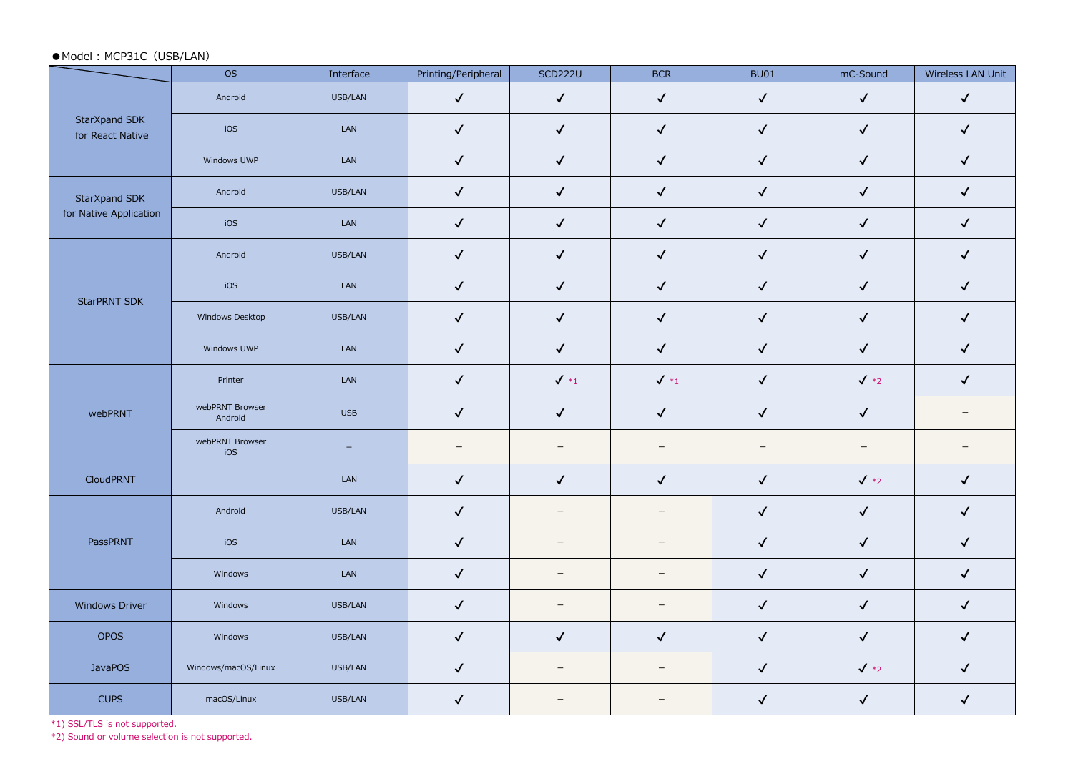#### ●Model: MCP31C (USB/LAN)

|                                   | <b>OS</b>                  | Interface  | Printing/Peripheral | <b>SCD222U</b>           | <b>BCR</b>               | <b>BU01</b>  | mC-Sound     | Wireless LAN Unit        |
|-----------------------------------|----------------------------|------------|---------------------|--------------------------|--------------------------|--------------|--------------|--------------------------|
|                                   | Android                    | USB/LAN    | $\checkmark$        | $\checkmark$             | $\checkmark$             | $\checkmark$ | $\checkmark$ | $\checkmark$             |
| StarXpand SDK<br>for React Native | iOS                        | LAN        | $\checkmark$        | $\checkmark$             | $\checkmark$             | $\checkmark$ | $\checkmark$ | $\checkmark$             |
|                                   | Windows UWP                | LAN        | $\checkmark$        | $\checkmark$             | $\checkmark$             | $\checkmark$ | $\checkmark$ | $\checkmark$             |
| StarXpand SDK                     | Android                    | USB/LAN    | $\checkmark$        | $\checkmark$             | $\checkmark$             | $\checkmark$ | $\checkmark$ | $\checkmark$             |
| for Native Application            | iOS                        | LAN        | $\checkmark$        | $\checkmark$             | $\checkmark$             | $\checkmark$ | $\checkmark$ | $\checkmark$             |
|                                   | Android                    | USB/LAN    | $\checkmark$        | $\checkmark$             | $\checkmark$             | $\checkmark$ | $\checkmark$ | $\checkmark$             |
| <b>StarPRNT SDK</b>               | iOS                        | LAN        | $\checkmark$        | $\checkmark$             | $\checkmark$             | $\checkmark$ | $\checkmark$ | $\checkmark$             |
|                                   | Windows Desktop            | USB/LAN    | $\checkmark$        | $\checkmark$             | $\checkmark$             | $\checkmark$ | $\checkmark$ | $\checkmark$             |
|                                   | Windows UWP                | LAN        | $\checkmark$        | $\checkmark$             | $\checkmark$             | $\checkmark$ | $\checkmark$ | $\checkmark$             |
|                                   | Printer                    | LAN        | $\checkmark$        | $\checkmark$ *1          | $\sqrt{*_1}$             | $\checkmark$ | $\sqrt{*2}$  | $\checkmark$             |
| webPRNT                           | webPRNT Browser<br>Android | <b>USB</b> | $\checkmark$        | $\checkmark$             | $\checkmark$             | $\checkmark$ | $\checkmark$ | $\overline{\phantom{0}}$ |
|                                   | webPRNT Browser<br>iOS     | $\equiv$   | $\qquad \qquad -$   | $\equiv$                 | $\overline{\phantom{m}}$ | $-$          | $\equiv$     | $\overline{\phantom{0}}$ |
| CloudPRNT                         |                            | LAN        | $\checkmark$        | $\checkmark$             | $\checkmark$             | $\checkmark$ | $\sqrt{*2}$  | $\checkmark$             |
|                                   | Android                    | USB/LAN    | $\checkmark$        | $\overline{\phantom{m}}$ | $\overline{\phantom{m}}$ | $\checkmark$ | $\checkmark$ | $\checkmark$             |
| PassPRNT                          | iOS                        | LAN        | $\checkmark$        | $\overline{\phantom{0}}$ | $\overline{\phantom{m}}$ | $\checkmark$ | $\checkmark$ | $\checkmark$             |
|                                   | Windows                    | LAN        | $\checkmark$        | $\overline{\phantom{m}}$ | $\overline{\phantom{m}}$ | $\checkmark$ | $\checkmark$ | $\checkmark$             |
| <b>Windows Driver</b>             | Windows                    | USB/LAN    | $\checkmark$        | $\overline{\phantom{m}}$ | $\equiv$                 | $\checkmark$ | $\checkmark$ | $\checkmark$             |
| OPOS                              | Windows                    | USB/LAN    | $\checkmark$        | $\checkmark$             | $\checkmark$             | $\checkmark$ | $\checkmark$ | $\checkmark$             |
| <b>JavaPOS</b>                    | Windows/macOS/Linux        | USB/LAN    | $\checkmark$        | $\overline{\phantom{m}}$ | $\overline{\phantom{m}}$ | $\checkmark$ | $\sqrt{*2}$  | $\checkmark$             |
| <b>CUPS</b>                       | macOS/Linux                | USB/LAN    | $\checkmark$        | $\overline{\phantom{0}}$ |                          | $\checkmark$ | $\checkmark$ | $\checkmark$             |

\*1) SSL/TLS is not supported.

\*2) Sound or volume selection is not supported.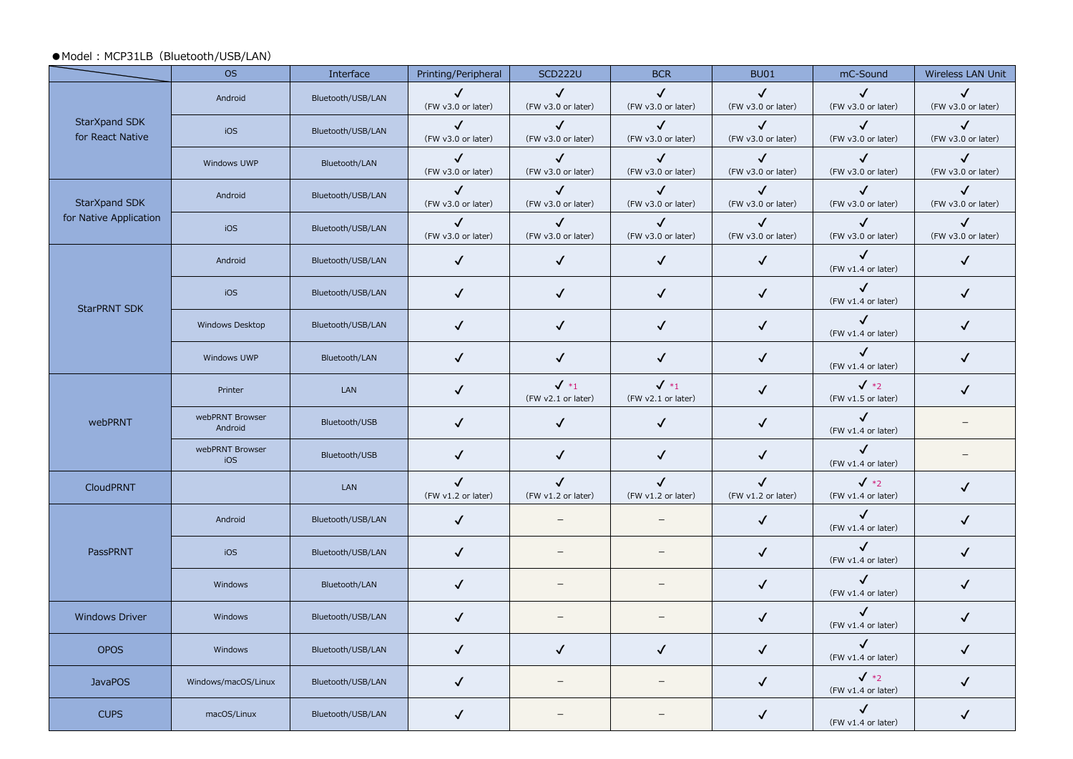#### ● Model: MCP31LB (Bluetooth/USB/LAN)

|                                   | <b>OS</b>                  | Interface         | Printing/Peripheral                | <b>SCD222U</b>                        | <b>BCR</b>                            | <b>BU01</b>                        | mC-Sound                             | Wireless LAN Unit                  |
|-----------------------------------|----------------------------|-------------------|------------------------------------|---------------------------------------|---------------------------------------|------------------------------------|--------------------------------------|------------------------------------|
|                                   | Android                    | Bluetooth/USB/LAN | $\checkmark$<br>(FW v3.0 or later) | $\checkmark$<br>(FW v3.0 or later)    | $\checkmark$<br>(FW v3.0 or later)    | $\checkmark$<br>(FW v3.0 or later) | $\checkmark$<br>(FW v3.0 or later)   | $\checkmark$<br>(FW v3.0 or later) |
| StarXpand SDK<br>for React Native | iOS                        | Bluetooth/USB/LAN | $\checkmark$<br>(FW v3.0 or later) | $\checkmark$<br>(FW v3.0 or later)    | $\checkmark$<br>(FW v3.0 or later)    | $\checkmark$<br>(FW v3.0 or later) | $\checkmark$<br>(FW v3.0 or later)   | $\checkmark$<br>(FW v3.0 or later) |
|                                   | Windows UWP                | Bluetooth/LAN     | $\checkmark$<br>(FW v3.0 or later) | $\checkmark$<br>(FW v3.0 or later)    | $\checkmark$<br>(FW v3.0 or later)    | $\checkmark$<br>(FW v3.0 or later) | $\checkmark$<br>(FW v3.0 or later)   | $\checkmark$<br>(FW v3.0 or later) |
| StarXpand SDK                     | Android                    | Bluetooth/USB/LAN | $\checkmark$<br>(FW v3.0 or later) | ✓<br>(FW v3.0 or later)               | ✓<br>(FW v3.0 or later)               | $\checkmark$<br>(FW v3.0 or later) | $\checkmark$<br>(FW v3.0 or later)   | $\checkmark$<br>(FW v3.0 or later) |
| for Native Application            | iOS                        | Bluetooth/USB/LAN | $\checkmark$<br>(FW v3.0 or later) | $\checkmark$<br>(FW v3.0 or later)    | $\checkmark$<br>(FW v3.0 or later)    | $\checkmark$<br>(FW v3.0 or later) | $\checkmark$<br>(FW v3.0 or later)   | ✓<br>(FW v3.0 or later)            |
|                                   | Android                    | Bluetooth/USB/LAN | $\checkmark$                       | $\checkmark$                          | $\sqrt{2}$                            | $\checkmark$                       | $\checkmark$<br>(FW v1.4 or later)   | $\checkmark$                       |
| <b>StarPRNT SDK</b>               | iOS                        | Bluetooth/USB/LAN | $\checkmark$                       | $\checkmark$                          | $\checkmark$                          | $\checkmark$                       | $\checkmark$<br>(FW v1.4 or later)   | $\checkmark$                       |
|                                   | Windows Desktop            | Bluetooth/USB/LAN | $\checkmark$                       | $\checkmark$                          | $\checkmark$                          | $\checkmark$                       | $\checkmark$<br>(FW v1.4 or later)   | $\checkmark$                       |
|                                   | Windows UWP                | Bluetooth/LAN     | $\checkmark$                       | $\checkmark$                          | $\checkmark$                          | $\checkmark$                       | $\checkmark$<br>(FW v1.4 or later)   | $\checkmark$                       |
|                                   | Printer                    | LAN               | $\checkmark$                       | $\checkmark$ *1<br>(FW v2.1 or later) | $\checkmark$ *1<br>(FW v2.1 or later) | $\checkmark$                       | $\sqrt{*2}$<br>(FW v1.5 or later)    | ✓                                  |
| webPRNT                           | webPRNT Browser<br>Android | Bluetooth/USB     | $\checkmark$                       | $\checkmark$                          | $\checkmark$                          | $\checkmark$                       | $\checkmark$<br>(FW v1.4 or later)   |                                    |
|                                   | webPRNT Browser<br>iOS     | Bluetooth/USB     | $\checkmark$                       | $\checkmark$                          | $\checkmark$                          | $\checkmark$                       | $\checkmark$<br>(FW v1.4 or later)   |                                    |
| <b>CloudPRNT</b>                  |                            | LAN               | $\checkmark$<br>(FW v1.2 or later) | $\checkmark$<br>(FW v1.2 or later)    | $\checkmark$<br>(FW v1.2 or later)    | $\checkmark$<br>(FW v1.2 or later) | $\sqrt{*2}$<br>(FW v1.4 or later)    | $\checkmark$                       |
|                                   | Android                    | Bluetooth/USB/LAN | $\checkmark$                       |                                       |                                       | $\checkmark$                       | $\checkmark$<br>(FW v1.4 or later)   | $\checkmark$                       |
| PassPRNT                          | iOS                        | Bluetooth/USB/LAN | $\checkmark$                       | $\equiv$                              |                                       | $\checkmark$                       | $\checkmark$<br>(FW v1.4 or later)   | $\checkmark$                       |
|                                   | Windows                    | Bluetooth/LAN     | $\checkmark$                       | $\qquad \qquad -$                     | $\qquad \qquad -$                     | $\checkmark$                       | $\checkmark$<br>(FW v1.4 or later)   | $\checkmark$                       |
| <b>Windows Driver</b>             | Windows                    | Bluetooth/USB/LAN | $\checkmark$                       |                                       |                                       | $\checkmark$                       | $\checkmark$<br>(FW v1.4 or later)   | $\checkmark$                       |
| <b>OPOS</b>                       | Windows                    | Bluetooth/USB/LAN | $\checkmark$                       | $\checkmark$                          | ✓                                     | $\checkmark$                       | $\checkmark$<br>(FW v1.4 or later)   | $\checkmark$                       |
| <b>JavaPOS</b>                    | Windows/macOS/Linux        | Bluetooth/USB/LAN | $\checkmark$                       | $\overline{\phantom{m}}$              | $\overline{\phantom{m}}$              | $\checkmark$                       | $\sqrt{*_{2}}$<br>(FW v1.4 or later) | $\checkmark$                       |
| <b>CUPS</b>                       | macOS/Linux                | Bluetooth/USB/LAN | $\checkmark$                       |                                       |                                       | ✓                                  | $\checkmark$<br>(FW v1.4 or later)   | √                                  |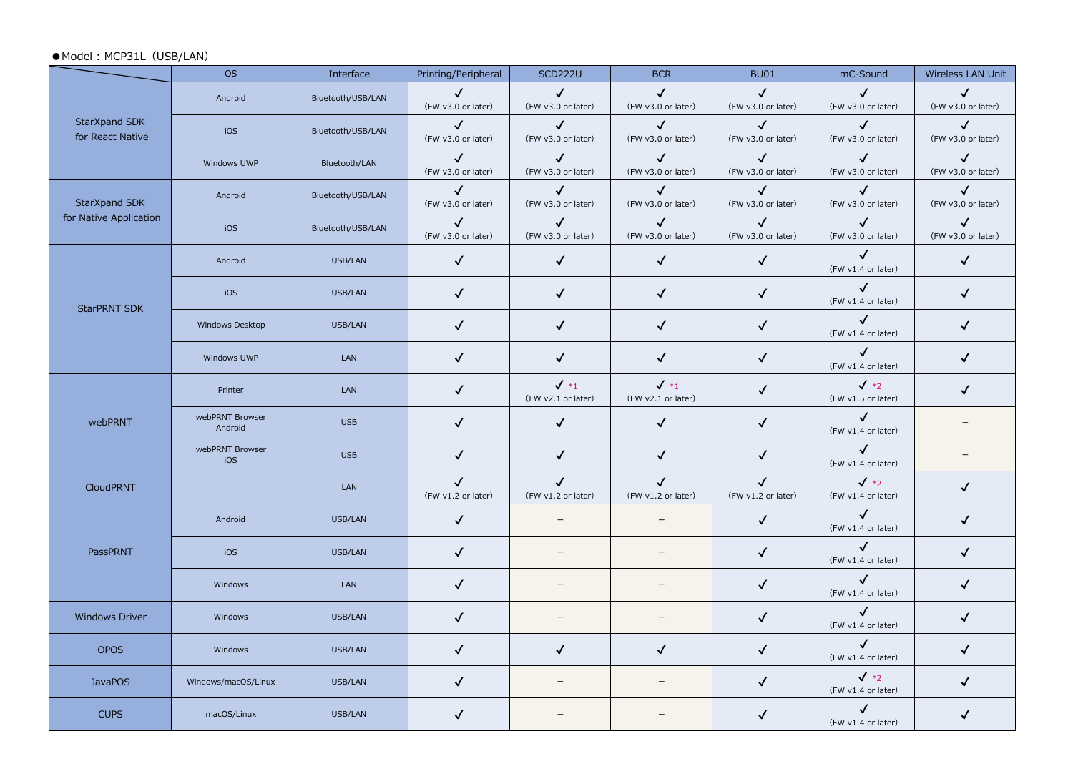#### ●Model: MCP31L (USB/LAN)

|                                   | <b>OS</b>                  | Interface         | Printing/Peripheral                | <b>SCD222U</b>                        | <b>BCR</b>                         | <b>BU01</b>                        | mC-Sound                             | Wireless LAN Unit                  |
|-----------------------------------|----------------------------|-------------------|------------------------------------|---------------------------------------|------------------------------------|------------------------------------|--------------------------------------|------------------------------------|
|                                   | Android                    | Bluetooth/USB/LAN | $\checkmark$<br>(FW v3.0 or later) | $\checkmark$<br>(FW v3.0 or later)    | $\checkmark$<br>(FW v3.0 or later) | $\checkmark$<br>(FW v3.0 or later) | $\checkmark$<br>(FW v3.0 or later)   | $\checkmark$<br>(FW v3.0 or later) |
| StarXpand SDK<br>for React Native | iOS                        | Bluetooth/USB/LAN | $\checkmark$<br>(FW v3.0 or later) | $\checkmark$<br>(FW v3.0 or later)    | $\checkmark$<br>(FW v3.0 or later) | $\checkmark$<br>(FW v3.0 or later) | $\checkmark$<br>(FW v3.0 or later)   | $\checkmark$<br>(FW v3.0 or later) |
|                                   | Windows UWP                | Bluetooth/LAN     | $\checkmark$<br>(FW v3.0 or later) | $\checkmark$<br>(FW v3.0 or later)    | $\checkmark$<br>(FW v3.0 or later) | $\checkmark$<br>(FW v3.0 or later) | $\checkmark$<br>(FW v3.0 or later)   | $\checkmark$<br>(FW v3.0 or later) |
| StarXpand SDK                     | Android                    | Bluetooth/USB/LAN | $\checkmark$<br>(FW v3.0 or later) | $\checkmark$<br>(FW v3.0 or later)    | $\checkmark$<br>(FW v3.0 or later) | $\checkmark$<br>(FW v3.0 or later) | $\sqrt{2}$<br>(FW v3.0 or later)     | $\checkmark$<br>(FW v3.0 or later) |
| for Native Application            | iOS                        | Bluetooth/USB/LAN | $\checkmark$<br>(FW v3.0 or later) | $\checkmark$<br>(FW v3.0 or later)    | $\checkmark$<br>(FW v3.0 or later) | $\checkmark$<br>(FW v3.0 or later) | $\checkmark$<br>(FW v3.0 or later)   | $\checkmark$<br>(FW v3.0 or later) |
|                                   | Android                    | USB/LAN           | $\checkmark$                       | $\checkmark$                          | $\checkmark$                       | $\checkmark$                       | $\checkmark$<br>(FW v1.4 or later)   | $\checkmark$                       |
| <b>StarPRNT SDK</b>               | iOS                        | USB/LAN           | $\checkmark$                       | $\checkmark$                          | $\checkmark$                       | $\checkmark$                       | $\checkmark$<br>(FW v1.4 or later)   | $\checkmark$                       |
|                                   | Windows Desktop            | USB/LAN           | $\checkmark$                       | $\checkmark$                          | $\checkmark$                       | $\checkmark$                       | $\checkmark$<br>(FW v1.4 or later)   | ✓                                  |
|                                   | Windows UWP                | <b>LAN</b>        | $\checkmark$                       | $\checkmark$                          | $\checkmark$                       | $\checkmark$                       | $\checkmark$<br>(FW v1.4 or later)   | $\checkmark$                       |
|                                   | Printer                    | <b>LAN</b>        | $\checkmark$                       | $\checkmark$ *1<br>(FW v2.1 or later) | $\sqrt{*_1}$<br>(FW v2.1 or later) | $\checkmark$                       | $\sqrt{*2}$<br>(FW v1.5 or later)    | $\checkmark$                       |
| webPRNT                           | webPRNT Browser<br>Android | <b>USB</b>        | $\checkmark$                       | $\checkmark$                          | $\checkmark$                       | $\checkmark$                       | $\checkmark$<br>(FW v1.4 or later)   | $\overline{\phantom{a}}$           |
|                                   | webPRNT Browser<br>iOS     | <b>USB</b>        | $\checkmark$                       | $\checkmark$                          | $\checkmark$                       | $\checkmark$                       | $\checkmark$<br>(FW v1.4 or later)   | $\overline{\phantom{0}}$           |
| <b>CloudPRNT</b>                  |                            | LAN               | $\checkmark$<br>(FW v1.2 or later) | $\checkmark$<br>(FW v1.2 or later)    | $\checkmark$<br>(FW v1.2 or later) | $\checkmark$<br>(FW v1.2 or later) | $\sqrt{*2}$<br>(FW v1.4 or later)    | ✓                                  |
|                                   | Android                    | USB/LAN           | $\checkmark$                       | $\qquad \qquad -$                     |                                    | $\checkmark$                       | $\checkmark$<br>(FW v1.4 or later)   | $\checkmark$                       |
| PassPRNT                          | iOS                        | USB/LAN           | $\checkmark$                       | $=$                                   |                                    | $\checkmark$                       | $\checkmark$<br>(FW v1.4 or later)   | $\checkmark$                       |
|                                   | Windows                    | <b>LAN</b>        | $\checkmark$                       | $\qquad \qquad -$                     | $\qquad \qquad -$                  | $\checkmark$                       | $\checkmark$<br>(FW v1.4 or later)   | $\checkmark$                       |
| <b>Windows Driver</b>             | Windows                    | USB/LAN           | $\checkmark$                       |                                       |                                    | $\checkmark$                       | $\checkmark$<br>(FW v1.4 or later)   | $\checkmark$                       |
| <b>OPOS</b>                       | Windows                    | USB/LAN           | $\checkmark$                       | $\checkmark$                          | $\checkmark$                       | $\checkmark$                       | $\checkmark$<br>(FW v1.4 or later)   | ✓                                  |
| <b>JavaPOS</b>                    | Windows/macOS/Linux        | USB/LAN           | $\checkmark$                       | $\overline{\phantom{m}}$              | $\overline{\phantom{m}}$           | $\checkmark$                       | $\sqrt{*_{2}}$<br>(FW v1.4 or later) | $\checkmark$                       |
| <b>CUPS</b>                       | macOS/Linux                | USB/LAN           | $\checkmark$                       |                                       |                                    | $\checkmark$                       | $\checkmark$<br>(FW v1.4 or later)   | ✓                                  |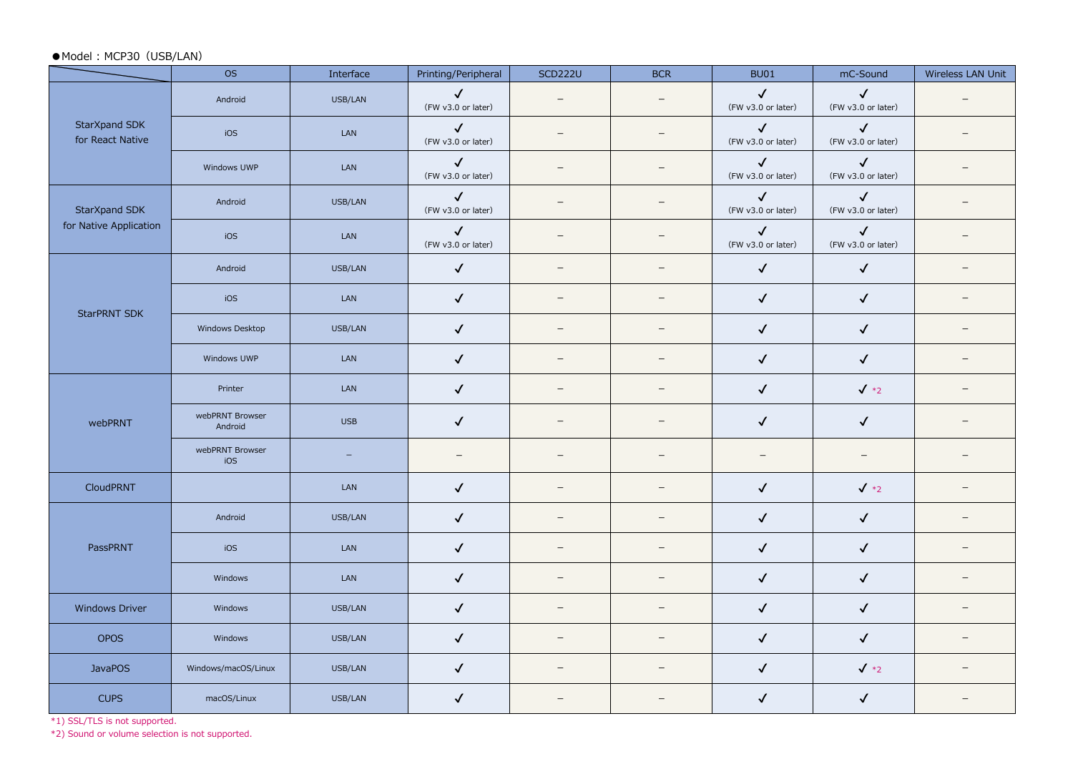#### ●Model: MCP30 (USB/LAN)

|                                   | <b>OS</b>                  | Interface  | Printing/Peripheral                | <b>SCD222U</b>           | <b>BCR</b>               | <b>BU01</b>                        | mC-Sound                           | Wireless LAN Unit        |
|-----------------------------------|----------------------------|------------|------------------------------------|--------------------------|--------------------------|------------------------------------|------------------------------------|--------------------------|
|                                   | Android                    | USB/LAN    | $\checkmark$<br>(FW v3.0 or later) | $\qquad \qquad -$        | $\qquad \qquad -$        | $\checkmark$<br>(FW v3.0 or later) | $\checkmark$<br>(FW v3.0 or later) | $\equiv$                 |
| StarXpand SDK<br>for React Native | iOS                        | LAN        | $\checkmark$<br>(FW v3.0 or later) | $\qquad \qquad -$        | $\overline{\phantom{m}}$ | $\checkmark$<br>(FW v3.0 or later) | $\checkmark$<br>(FW v3.0 or later) | $\overline{\phantom{0}}$ |
|                                   | Windows UWP                | LAN        | $\checkmark$<br>(FW v3.0 or later) | $\qquad \qquad -$        | $\overline{\phantom{0}}$ | $\checkmark$<br>(FW v3.0 or later) | $\checkmark$<br>(FW v3.0 or later) | $\equiv$                 |
| StarXpand SDK                     | Android                    | USB/LAN    | $\checkmark$<br>(FW v3.0 or later) | $\qquad \qquad -$        | $\qquad \qquad -$        | $\checkmark$<br>(FW v3.0 or later) | $\checkmark$<br>(FW v3.0 or later) | $\equiv$                 |
| for Native Application            | iOS                        | LAN        | $\checkmark$<br>(FW v3.0 or later) | $\overline{\phantom{0}}$ | $\qquad \qquad -$        | $\checkmark$<br>(FW v3.0 or later) | $\checkmark$<br>(FW v3.0 or later) |                          |
|                                   | Android                    | USB/LAN    | $\checkmark$                       | $\qquad \qquad -$        | $\overline{\phantom{0}}$ | $\checkmark$                       | $\checkmark$                       | $\overline{\phantom{0}}$ |
| <b>StarPRNT SDK</b>               | iOS                        | LAN        | $\checkmark$                       | $\overline{\phantom{0}}$ | $\qquad \qquad -$        | $\checkmark$                       | $\checkmark$                       | $\overline{\phantom{a}}$ |
|                                   | Windows Desktop            | USB/LAN    | $\checkmark$                       | $\overline{\phantom{0}}$ | $\qquad \qquad -$        | $\checkmark$                       | $\checkmark$                       | $\overline{\phantom{a}}$ |
|                                   | Windows UWP                | LAN        | $\checkmark$                       | $\overline{\phantom{0}}$ | $\overline{\phantom{m}}$ | $\checkmark$                       | $\checkmark$                       | $\overline{\phantom{m}}$ |
|                                   | Printer                    | LAN        | $\checkmark$                       | $\overline{\phantom{0}}$ | $\overline{\phantom{0}}$ | $\checkmark$                       | $\sqrt{*2}$                        | $\overline{\phantom{0}}$ |
| webPRNT                           | webPRNT Browser<br>Android | <b>USB</b> | $\checkmark$                       | $\qquad \qquad -$        | $\equiv$                 | $\checkmark$                       | $\checkmark$                       | $\equiv$                 |
|                                   | webPRNT Browser<br>IOS     | $\equiv$   | $\hspace{0.1mm}-\hspace{0.1mm}$    | $\overline{\phantom{0}}$ | $\overline{\phantom{m}}$ | $\overline{\phantom{m}}$           | $\qquad \qquad -$                  | $\overline{\phantom{m}}$ |
| CloudPRNT                         |                            | LAN        | $\checkmark$                       | $\qquad \qquad -$        | $\equiv$                 | $\checkmark$                       | $\sqrt{*2}$                        | $\overline{\phantom{0}}$ |
|                                   | Android                    | USB/LAN    | $\checkmark$                       | $\qquad \qquad -$        | $\equiv$                 | $\checkmark$                       | $\checkmark$                       | $\overline{\phantom{m}}$ |
| PassPRNT                          | iOS                        | LAN        | $\checkmark$                       | $\qquad \qquad -$        | $\qquad \qquad -$        | $\checkmark$                       | $\checkmark$                       | $\overline{\phantom{0}}$ |
|                                   | Windows                    | LAN        | $\checkmark$                       | $\overline{\phantom{m}}$ | $\overline{\phantom{0}}$ | $\checkmark$                       | $\checkmark$                       | $\qquad \qquad -$        |
| <b>Windows Driver</b>             | Windows                    | USB/LAN    | $\checkmark$                       | $-$                      | $\overline{\phantom{0}}$ | $\checkmark$                       | $\checkmark$                       | $\overline{\phantom{0}}$ |
| <b>OPOS</b>                       | Windows                    | USB/LAN    | $\checkmark$                       | $\overline{\phantom{m}}$ |                          | $\checkmark$                       | $\checkmark$                       | $\overline{\phantom{0}}$ |
| <b>JavaPOS</b>                    | Windows/macOS/Linux        | USB/LAN    | $\checkmark$                       | $\overline{\phantom{0}}$ | $\overline{\phantom{0}}$ | $\checkmark$                       | $\sqrt{*2}$                        | $\equiv$                 |
| <b>CUPS</b>                       | macOS/Linux                | USB/LAN    | $\checkmark$                       | $\qquad \qquad -$        | $\equiv$                 | $\checkmark$                       | $\checkmark$                       | $\qquad \qquad -$        |

\*1) SSL/TLS is not supported.

\*2) Sound or volume selection is not supported.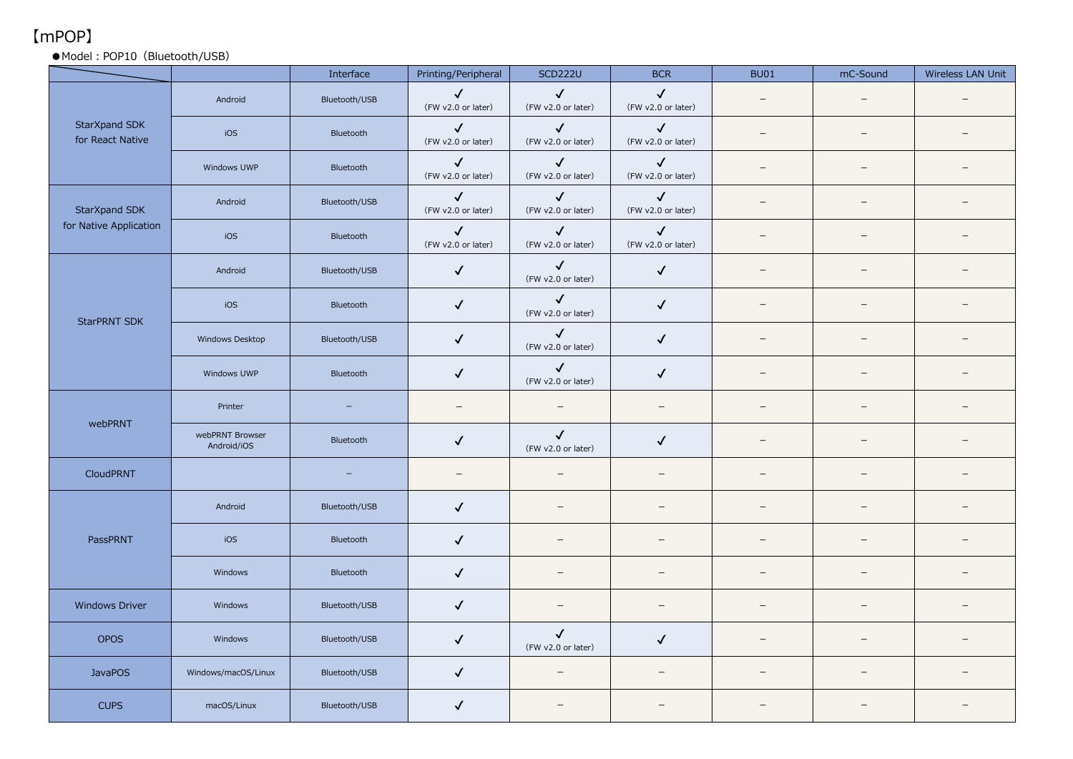## 【mPOP】

#### ● Model: POP10 (Bluetooth/USB)

|                                   |                                | Interface                | Printing/Peripheral                | <b>SCD222U</b>                     | <b>BCR</b>                         | <b>BU01</b>              | mC-Sound                 | Wireless LAN Unit        |
|-----------------------------------|--------------------------------|--------------------------|------------------------------------|------------------------------------|------------------------------------|--------------------------|--------------------------|--------------------------|
|                                   | Android                        | Bluetooth/USB            | $\checkmark$<br>(FW v2.0 or later) | $\checkmark$<br>(FW v2.0 or later) | $\checkmark$<br>(FW v2.0 or later) | $\overline{\phantom{m}}$ | $\overline{\phantom{0}}$ |                          |
| StarXpand SDK<br>for React Native | iOS                            | Bluetooth                | $\checkmark$<br>(FW v2.0 or later) | $\checkmark$<br>(FW v2.0 or later) | $\checkmark$<br>(FW v2.0 or later) | $\overline{\phantom{m}}$ | $\overline{\phantom{0}}$ |                          |
|                                   | Windows UWP                    | Bluetooth                | $\checkmark$<br>(FW v2.0 or later) | $\checkmark$<br>(FW v2.0 or later) | $\checkmark$<br>(FW v2.0 or later) | $\overline{\phantom{m}}$ | $\overline{\phantom{0}}$ |                          |
| StarXpand SDK                     | Android                        | Bluetooth/USB            | $\checkmark$<br>(FW v2.0 or later) | $\checkmark$<br>(FW v2.0 or later) | $\checkmark$<br>(FW v2.0 or later) | $\overline{\phantom{m}}$ | $\equiv$                 |                          |
| for Native Application            | iOS                            | Bluetooth                | $\checkmark$<br>(FW v2.0 or later) | $\checkmark$<br>(FW v2.0 or later) | $\checkmark$<br>(FW v2.0 or later) | $\overline{\phantom{m}}$ | -                        |                          |
|                                   | Android                        | Bluetooth/USB            | $\checkmark$                       | $\checkmark$<br>(FW v2.0 or later) | $\checkmark$                       | $\overline{\phantom{a}}$ | $\overline{\phantom{0}}$ |                          |
| StarPRNT SDK                      | iOS                            | Bluetooth                | $\checkmark$                       | $\checkmark$<br>(FW v2.0 or later) | $\checkmark$                       | $\overline{\phantom{a}}$ |                          |                          |
|                                   | Windows Desktop                | Bluetooth/USB            | $\checkmark$                       | $\checkmark$<br>(FW v2.0 or later) | $\checkmark$                       | $\overline{\phantom{0}}$ |                          |                          |
|                                   | Windows UWP                    | Bluetooth                | $\checkmark$                       | $\checkmark$<br>(FW v2.0 or later) | $\checkmark$                       | $\overline{\phantom{a}}$ | $\equiv$                 |                          |
|                                   | Printer                        | -                        |                                    | $\overline{\phantom{a}}$           | $\overline{\phantom{0}}$           | $\overline{\phantom{m}}$ |                          |                          |
| webPRNT                           | webPRNT Browser<br>Android/iOS | Bluetooth                | $\checkmark$                       | $\checkmark$<br>(FW v2.0 or later) | ✓                                  | $\sim$                   | $\overline{\phantom{0}}$ |                          |
| CloudPRNT                         |                                | $\overline{\phantom{0}}$ | $\overline{\phantom{0}}$           | $\overline{\phantom{m}}$           | $\overline{\phantom{0}}$           | $\overline{\phantom{m}}$ | $\overline{\phantom{0}}$ | $=$                      |
|                                   | Android                        | Bluetooth/USB            | $\checkmark$                       | $\overline{\phantom{0}}$           |                                    | $\overline{\phantom{a}}$ | $\overline{\phantom{0}}$ | $\overline{\phantom{0}}$ |
| PassPRNT                          | iOS                            | Bluetooth                | $\checkmark$                       |                                    |                                    | $\overline{\phantom{0}}$ | $=$                      |                          |
|                                   | Windows                        | Bluetooth                | $\checkmark$                       | $\overline{\phantom{0}}$           |                                    | $\overline{\phantom{a}}$ |                          |                          |
| <b>Windows Driver</b>             | Windows                        | Bluetooth/USB            | $\checkmark$                       | $\overline{\phantom{0}}$           |                                    |                          |                          |                          |
| <b>OPOS</b>                       | Windows                        | Bluetooth/USB            | $\checkmark$                       | $\checkmark$<br>(FW v2.0 or later) | ✓                                  | $\overline{\phantom{a}}$ | $=$                      |                          |
| <b>JavaPOS</b>                    | Windows/macOS/Linux            | Bluetooth/USB            | $\checkmark$                       | $\overline{\phantom{m}}$           | $\overline{\phantom{0}}$           | $\overline{\phantom{a}}$ | $=$                      |                          |
| <b>CUPS</b>                       | macOS/Linux                    | Bluetooth/USB            | $\checkmark$                       |                                    |                                    |                          |                          |                          |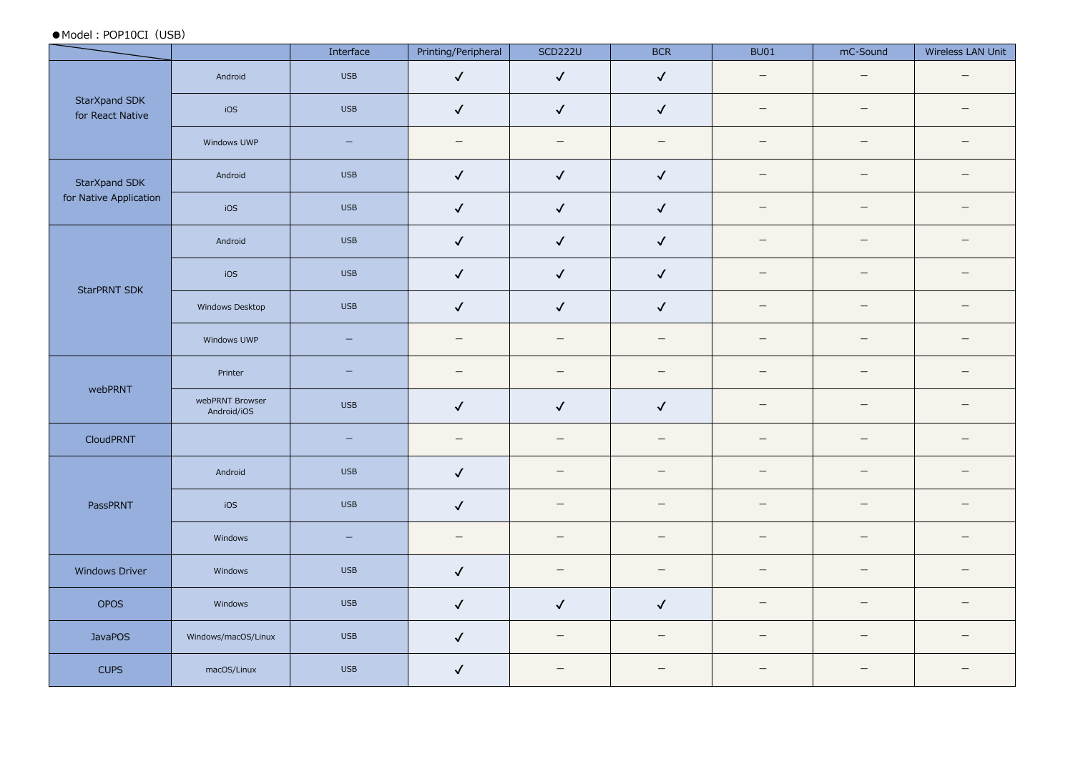●Model:POP10CI(USB)

|                                   |                                | Interface                | Printing/Peripheral      | <b>SCD222U</b>           | <b>BCR</b>               | <b>BU01</b>              | mC-Sound                 | Wireless LAN Unit        |
|-----------------------------------|--------------------------------|--------------------------|--------------------------|--------------------------|--------------------------|--------------------------|--------------------------|--------------------------|
|                                   | Android                        | <b>USB</b>               | $\checkmark$             | $\checkmark$             | $\checkmark$             | $\equiv$                 | $\overline{\phantom{m}}$ | $\equiv$                 |
| StarXpand SDK<br>for React Native | iOS                            | <b>USB</b>               | $\checkmark$             | $\checkmark$             | $\checkmark$             | $\equiv$                 | $\qquad \qquad =$        | $\overline{\phantom{m}}$ |
|                                   | Windows UWP                    | $\overline{\phantom{m}}$ | $\overline{\phantom{m}}$ | $\overline{\phantom{m}}$ | $\overline{\phantom{m}}$ | $\qquad \qquad -$        | $\overline{\phantom{m}}$ | $\overline{\phantom{0}}$ |
| StarXpand SDK                     | Android                        | <b>USB</b>               | $\checkmark$             | $\checkmark$             | $\checkmark$             | $\overline{\phantom{m}}$ | $\overline{\phantom{0}}$ | $\overline{\phantom{m}}$ |
| for Native Application            | iOS                            | <b>USB</b>               | $\checkmark$             | $\checkmark$             | $\checkmark$             | $\equiv$                 | $\equiv$                 | $\overline{\phantom{0}}$ |
|                                   | Android                        | <b>USB</b>               | $\checkmark$             | $\checkmark$             | $\checkmark$             | $\qquad \qquad -$        |                          |                          |
| <b>StarPRNT SDK</b>               | iOS                            | <b>USB</b>               | $\checkmark$             | $\checkmark$             | $\checkmark$             | $\qquad \qquad -$        | $\qquad \qquad -$        | $\overline{\phantom{m}}$ |
|                                   | Windows Desktop                | <b>USB</b>               | $\checkmark$             | $\checkmark$             | $\checkmark$             | $\qquad \qquad -$        | $\overline{\phantom{m}}$ | $\overline{\phantom{m}}$ |
|                                   | Windows UWP                    | $\qquad \qquad -$        | $\overline{\phantom{m}}$ | $\overline{\phantom{m}}$ | $\overline{\phantom{a}}$ | $\overline{\phantom{m}}$ | $\overline{\phantom{m}}$ | $\overline{\phantom{m}}$ |
|                                   | Printer                        | $\overline{\phantom{m}}$ | $\qquad \qquad -$        | $\overline{\phantom{m}}$ | $\overline{\phantom{m}}$ | $\qquad \qquad -$        | $\overline{\phantom{m}}$ | $\overline{\phantom{m}}$ |
| webPRNT                           | webPRNT Browser<br>Android/iOS | <b>USB</b>               | $\checkmark$             | $\checkmark$             | $\checkmark$             | $\overline{\phantom{m}}$ |                          | $\overline{\phantom{0}}$ |
| CloudPRNT                         |                                | $\qquad \qquad -$        | $\overline{\phantom{0}}$ | $\overline{\phantom{m}}$ | $\overline{\phantom{m}}$ | $\overline{\phantom{m}}$ | $\overline{\phantom{0}}$ |                          |
|                                   | Android                        | <b>USB</b>               | $\checkmark$             | $\overline{\phantom{m}}$ | $\overline{\phantom{m}}$ | $\overline{\phantom{m}}$ | $\overline{\phantom{0}}$ | $\overline{\phantom{m}}$ |
| PassPRNT                          | iOS                            | <b>USB</b>               | $\checkmark$             | $\overline{\phantom{m}}$ | $\qquad \qquad =$        | $\qquad \qquad -$        | $\equiv$                 | $\equiv$                 |
|                                   | Windows                        | $\qquad \qquad -$        | $\overline{\phantom{m}}$ | $\overline{\phantom{m}}$ | $\overline{\phantom{m}}$ | $\overline{\phantom{m}}$ | $\overline{\phantom{m}}$ | $\overline{\phantom{0}}$ |
| <b>Windows Driver</b>             | Windows                        | <b>USB</b>               | $\checkmark$             | $\overline{\phantom{m}}$ | $\overline{\phantom{m}}$ | $\overline{\phantom{m}}$ | $\overline{\phantom{0}}$ | $\overline{\phantom{m}}$ |
| OPOS                              | Windows                        | <b>USB</b>               | $\checkmark$             | $\checkmark$             | $\checkmark$             | $\overline{\phantom{0}}$ | $\overline{\phantom{0}}$ | $\overline{\phantom{0}}$ |
| <b>JavaPOS</b>                    | Windows/macOS/Linux            | <b>USB</b>               | $\checkmark$             | $\overline{\phantom{m}}$ | $\overline{\phantom{m}}$ | $\qquad \qquad -$        | $\equiv$                 | $\overline{\phantom{0}}$ |
| <b>CUPS</b>                       | macOS/Linux                    | <b>USB</b>               | $\checkmark$             | $\overline{\phantom{m}}$ | $\overline{\phantom{0}}$ | $\overline{\phantom{0}}$ | $\overline{\phantom{0}}$ | $\overline{\phantom{m}}$ |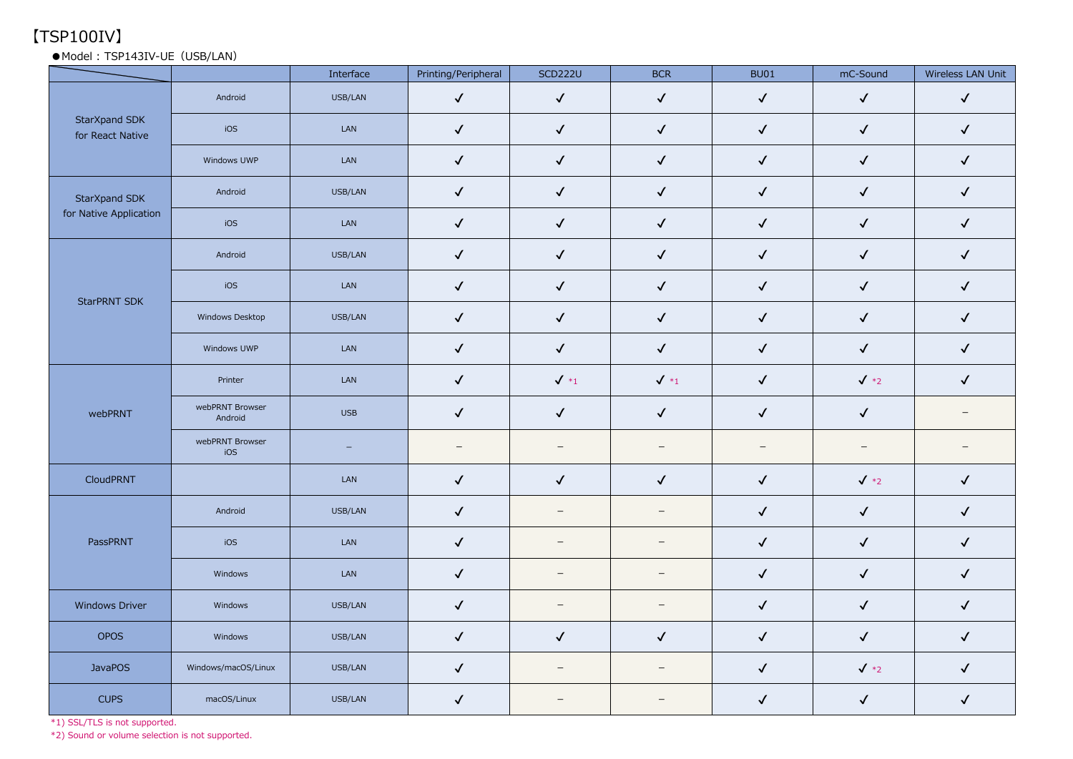# 【TSP100IV】

#### ●Model: TSP143IV-UE (USB/LAN)

|                                   |                            | Interface                | Printing/Peripheral | <b>SCD222U</b>           | <b>BCR</b>               | <b>BU01</b>              | mC-Sound                 | Wireless LAN Unit        |
|-----------------------------------|----------------------------|--------------------------|---------------------|--------------------------|--------------------------|--------------------------|--------------------------|--------------------------|
|                                   | Android                    | USB/LAN                  | $\checkmark$        | $\checkmark$             | $\checkmark$             | $\checkmark$             | $\checkmark$             | $\checkmark$             |
| StarXpand SDK<br>for React Native | iOS                        | LAN                      | $\checkmark$        | $\checkmark$             | $\checkmark$             | $\checkmark$             | $\checkmark$             | $\checkmark$             |
|                                   | Windows UWP                | LAN                      | $\checkmark$        | $\checkmark$             | $\checkmark$             | $\checkmark$             | $\checkmark$             | $\checkmark$             |
| StarXpand SDK                     | Android                    | USB/LAN                  | $\checkmark$        | $\checkmark$             | $\checkmark$             | $\checkmark$             | $\checkmark$             | $\checkmark$             |
| for Native Application            | iOS                        | LAN                      | $\checkmark$        | $\checkmark$             | $\checkmark$             | $\checkmark$             | $\checkmark$             | $\checkmark$             |
|                                   | Android                    | USB/LAN                  | $\checkmark$        | $\checkmark$             | $\checkmark$             | $\checkmark$             | $\checkmark$             | $\checkmark$             |
| <b>StarPRNT SDK</b>               | iOS                        | ${\sf LAN}$              | $\checkmark$        | $\checkmark$             | $\checkmark$             | $\checkmark$             | $\checkmark$             | $\checkmark$             |
|                                   | Windows Desktop            | USB/LAN                  | $\checkmark$        | $\checkmark$             | $\checkmark$             | $\checkmark$             | $\checkmark$             | $\checkmark$             |
|                                   | Windows UWP                | LAN                      | $\checkmark$        | $\checkmark$             | $\checkmark$             | $\checkmark$             | $\checkmark$             | $\checkmark$             |
|                                   | Printer                    | ${\sf LAN}$              | $\checkmark$        | $\checkmark$ *1          | $\checkmark$ *1          | $\checkmark$             | $\sqrt{*2}$              | $\checkmark$             |
| webPRNT                           | webPRNT Browser<br>Android | <b>USB</b>               | $\checkmark$        | $\checkmark$             | $\checkmark$             | $\checkmark$             | $\checkmark$             | $\overline{\phantom{m}}$ |
|                                   | webPRNT Browser<br>iOS     | $\overline{\phantom{m}}$ | $-$                 | $\overline{\phantom{0}}$ | $\overline{\phantom{0}}$ | $\overline{\phantom{m}}$ | $\overline{\phantom{m}}$ | $\overline{\phantom{m}}$ |
| CloudPRNT                         |                            | LAN                      | $\checkmark$        | $\checkmark$             | $\checkmark$             | $\checkmark$             | $\sqrt{*2}$              | $\checkmark$             |
|                                   | Android                    | USB/LAN                  | $\checkmark$        | $\qquad \qquad -$        | $\overline{\phantom{a}}$ | $\checkmark$             | $\checkmark$             | $\checkmark$             |
| PassPRNT                          | iOS                        | LAN                      | $\checkmark$        | $\overline{\phantom{0}}$ | $\overline{\phantom{a}}$ | $\checkmark$             | $\checkmark$             | $\checkmark$             |
|                                   | Windows                    | ${\sf LAN}$              | $\checkmark$        | $-$                      | $\overline{\phantom{m}}$ | $\checkmark$             | $\checkmark$             | $\checkmark$             |
| <b>Windows Driver</b>             | Windows                    | USB/LAN                  | $\checkmark$        | $\overline{\phantom{m}}$ | $\overline{\phantom{m}}$ | $\checkmark$             | $\checkmark$             | $\checkmark$             |
| OPOS                              | Windows                    | USB/LAN                  | $\checkmark$        | $\checkmark$             | $\checkmark$             | $\checkmark$             | $\checkmark$             | $\checkmark$             |
| <b>JavaPOS</b>                    | Windows/macOS/Linux        | USB/LAN                  | $\checkmark$        | $-$                      | $-$                      | $\checkmark$             | $\sqrt{*2}$              | $\checkmark$             |
| <b>CUPS</b>                       | macOS/Linux                | USB/LAN                  | $\checkmark$        | $\overline{\phantom{m}}$ |                          | $\checkmark$             | $\checkmark$             | $\checkmark$             |

\*1) SSL/TLS is not supported.

\*2) Sound or volume selection is not supported.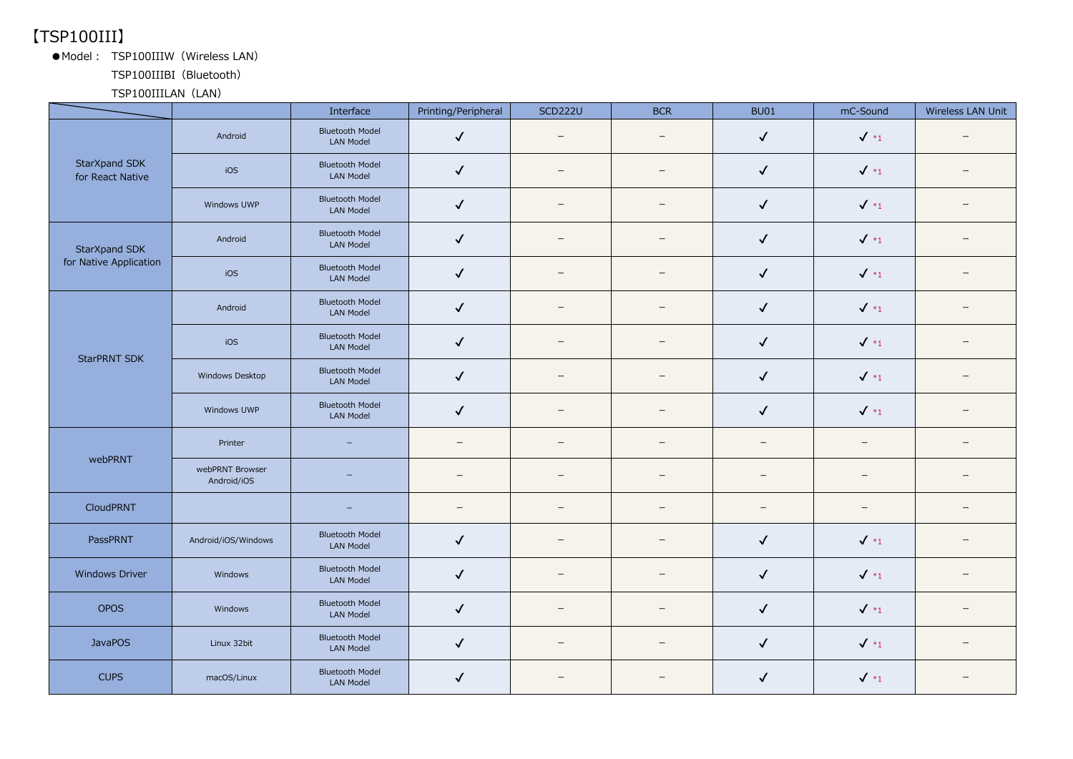## 【TSP100III】

●Model: TSP100IIIW (Wireless LAN)

TSP100IIIBI(Bluetooth)

TSP100IIILAN (LAN)

|                                   |                                | Interface                                  | Printing/Peripheral      | <b>SCD222U</b>           | <b>BCR</b>               | <b>BU01</b>              | mC-Sound          | Wireless LAN Unit |
|-----------------------------------|--------------------------------|--------------------------------------------|--------------------------|--------------------------|--------------------------|--------------------------|-------------------|-------------------|
|                                   | Android                        | <b>Bluetooth Model</b><br><b>LAN Model</b> | $\checkmark$             | $\overline{\phantom{0}}$ | $\overline{\phantom{0}}$ | $\checkmark$             | $\sqrt{*_1}$      |                   |
| StarXpand SDK<br>for React Native | iOS                            | <b>Bluetooth Model</b><br><b>LAN Model</b> | $\checkmark$             |                          | $\overline{\phantom{0}}$ | $\checkmark$             | $\sqrt{*_1}$      |                   |
|                                   | Windows UWP                    | <b>Bluetooth Model</b><br><b>LAN Model</b> | $\checkmark$             | $\qquad \qquad -$        | $\qquad \qquad -$        | $\checkmark$             | $\checkmark$ *1   |                   |
| StarXpand SDK                     | Android                        | <b>Bluetooth Model</b><br>LAN Model        | $\checkmark$             | $\equiv$                 | $\equiv$                 | $\checkmark$             | $\sqrt{*_1}$      |                   |
| for Native Application            | iOS                            | <b>Bluetooth Model</b><br><b>LAN Model</b> | $\checkmark$             |                          | $\overline{\phantom{0}}$ | $\checkmark$             | $\sqrt{*_1}$      |                   |
|                                   | Android                        | <b>Bluetooth Model</b><br><b>LAN Model</b> | $\checkmark$             | $\equiv$                 | $\equiv$                 | $\checkmark$             | $\sqrt{*_1}$      |                   |
| <b>StarPRNT SDK</b>               | iOS                            | <b>Bluetooth Model</b><br><b>LAN Model</b> | $\checkmark$             | $\overline{\phantom{0}}$ | $\qquad \qquad -$        | $\checkmark$             | $\sqrt{*_1}$      |                   |
|                                   | Windows Desktop                | <b>Bluetooth Model</b><br><b>LAN Model</b> | $\checkmark$             |                          | $\equiv$                 | $\checkmark$             | $\sqrt{*_1}$      |                   |
|                                   | Windows UWP                    | <b>Bluetooth Model</b><br>LAN Model        | $\checkmark$             | $\equiv$                 |                          | ✓                        | $\sqrt{*_1}$      |                   |
| webPRNT                           | Printer                        | <u>.</u>                                   | $\equiv$                 |                          | $\equiv$                 | $\equiv$                 | $\qquad \qquad -$ |                   |
|                                   | webPRNT Browser<br>Android/iOS | $\equiv$                                   |                          |                          | $\overline{\phantom{0}}$ | $\overline{\phantom{0}}$ | $\qquad \qquad -$ |                   |
| CloudPRNT                         |                                | $\qquad \qquad -$                          | $\overline{\phantom{m}}$ |                          | $\overline{\phantom{m}}$ | $\overline{\phantom{m}}$ | $\qquad \qquad -$ |                   |
| PassPRNT                          | Android/iOS/Windows            | <b>Bluetooth Model</b><br><b>LAN Model</b> | $\checkmark$             | $\qquad \qquad -$        | $\overline{\phantom{0}}$ | $\checkmark$             | $\sqrt{*_1}$      |                   |
| Windows Driver                    | Windows                        | <b>Bluetooth Model</b><br><b>LAN Model</b> | $\checkmark$             | $\overline{\phantom{0}}$ | $\overline{\phantom{0}}$ | $\checkmark$             | $\checkmark$ *1   | $\qquad \qquad -$ |
| <b>OPOS</b>                       | Windows                        | <b>Bluetooth Model</b><br><b>LAN Model</b> | $\checkmark$             | $\qquad \qquad -$        |                          | $\checkmark$             | $\sqrt{*_1}$      |                   |
| <b>JavaPOS</b>                    | Linux 32bit                    | <b>Bluetooth Model</b><br><b>LAN Model</b> | $\checkmark$             | $\overline{\phantom{0}}$ | $\overline{\phantom{0}}$ | $\checkmark$             | $\sqrt{*_1}$      |                   |
| <b>CUPS</b>                       | macOS/Linux                    | <b>Bluetooth Model</b><br><b>LAN Model</b> | $\checkmark$             |                          |                          | $\checkmark$             | $\sqrt{*_1}$      |                   |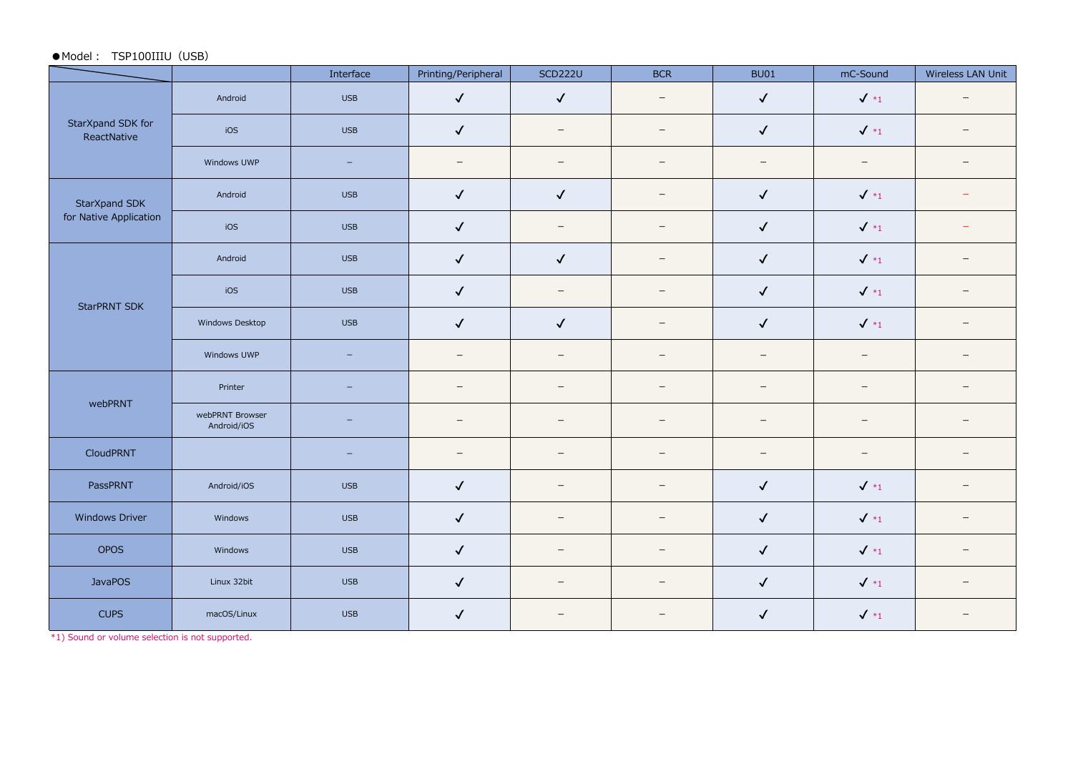#### ●Model: TSP100IIIU (USB)

|                                                                                                                                                               |                                | Interface                | Printing/Peripheral      | <b>SCD222U</b>           | <b>BCR</b>               | <b>BU01</b>              | mC-Sound                 | Wireless LAN Unit        |
|---------------------------------------------------------------------------------------------------------------------------------------------------------------|--------------------------------|--------------------------|--------------------------|--------------------------|--------------------------|--------------------------|--------------------------|--------------------------|
|                                                                                                                                                               | Android                        | <b>USB</b>               | $\checkmark$             | $\checkmark$             | $\overline{\phantom{m}}$ | $\checkmark$             | $\sqrt{*_1}$             | $\overline{\phantom{0}}$ |
| StarXpand SDK for<br>ReactNative                                                                                                                              | iOS                            | <b>USB</b>               | $\checkmark$             | $\overline{\phantom{m}}$ | $\overline{\phantom{m}}$ | $\checkmark$             | $\checkmark$ *1          |                          |
| StarXpand SDK<br>for Native Application<br>StarPRNT SDK<br>webPRNT<br>CloudPRNT<br>PassPRNT<br>Windows Driver<br><b>OPOS</b><br><b>JavaPOS</b><br><b>CUPS</b> | Windows UWP                    | $\equiv$                 | $\overline{\phantom{0}}$ | $\overline{\phantom{m}}$ | $\overline{\phantom{m}}$ | $\overline{\phantom{m}}$ | $\overline{\phantom{0}}$ |                          |
|                                                                                                                                                               | Android                        | <b>USB</b>               | $\checkmark$             | $\checkmark$             | $\equiv$                 | $\checkmark$             | $\checkmark$ *1          |                          |
|                                                                                                                                                               | iOS                            | <b>USB</b>               | $\checkmark$             | $\overline{\phantom{m}}$ | $\overline{\phantom{m}}$ | $\checkmark$             | $\checkmark$ *1          |                          |
|                                                                                                                                                               | Android                        | <b>USB</b>               | $\checkmark$             | $\checkmark$             | $\overline{\phantom{m}}$ | $\checkmark$             | $\sqrt{*_1}$             |                          |
|                                                                                                                                                               | iOS                            | <b>USB</b>               | $\checkmark$             | $\overline{\phantom{m}}$ | $\qquad \qquad$          | $\checkmark$             | $\sqrt{*_1}$             | $\qquad \qquad -$        |
|                                                                                                                                                               | Windows Desktop                | <b>USB</b>               | $\checkmark$             | $\checkmark$             | $\qquad \qquad$          | $\checkmark$             | $\sqrt{*_1}$             |                          |
|                                                                                                                                                               | Windows UWP                    | $\qquad \qquad -$        | $\overline{\phantom{m}}$ | $\overline{\phantom{0}}$ | $\overline{\phantom{m}}$ | $\overline{\phantom{m}}$ | $\qquad \qquad -$        | $\qquad \qquad -$        |
|                                                                                                                                                               | Printer                        | $\qquad \qquad -$        | $\overline{\phantom{m}}$ | $\overline{\phantom{m}}$ | $\qquad \qquad -$        | $\overline{\phantom{m}}$ | $\qquad \qquad -$        | $\overline{\phantom{0}}$ |
|                                                                                                                                                               | webPRNT Browser<br>Android/iOS | $\overline{\phantom{0}}$ | $\equiv$                 | $\overline{\phantom{0}}$ | $\equiv$                 | $\overline{\phantom{0}}$ | $\qquad \qquad -$        |                          |
|                                                                                                                                                               |                                | $\overline{\phantom{0}}$ | $\overline{\phantom{m}}$ | $\overline{\phantom{m}}$ | $\overline{\phantom{m}}$ | $\overline{\phantom{m}}$ | $\qquad \qquad -$        |                          |
|                                                                                                                                                               | Android/iOS                    | <b>USB</b>               | $\checkmark$             | $\overline{\phantom{a}}$ | $=$                      | $\checkmark$             | $\checkmark$ *1          |                          |
|                                                                                                                                                               | Windows                        | <b>USB</b>               | $\checkmark$             |                          | $\overline{\phantom{0}}$ | $\checkmark$             | $\sqrt{*_1}$             | $\qquad \qquad -$        |
|                                                                                                                                                               | Windows                        | <b>USB</b>               | $\checkmark$             | $\overline{\phantom{0}}$ | $\overline{\phantom{0}}$ | $\checkmark$             | $\sqrt{*_1}$             |                          |
|                                                                                                                                                               | Linux 32bit                    | <b>USB</b>               | $\checkmark$             | $\overline{\phantom{m}}$ | $\overline{\phantom{0}}$ | $\checkmark$             | $\sqrt{*_1}$             |                          |
|                                                                                                                                                               | macOS/Linux                    | <b>USB</b>               | $\checkmark$             | $\overline{\phantom{0}}$ | $\overline{\phantom{m}}$ | $\checkmark$             | $\checkmark$ *1          |                          |

\*1) Sound or volume selection is not supported.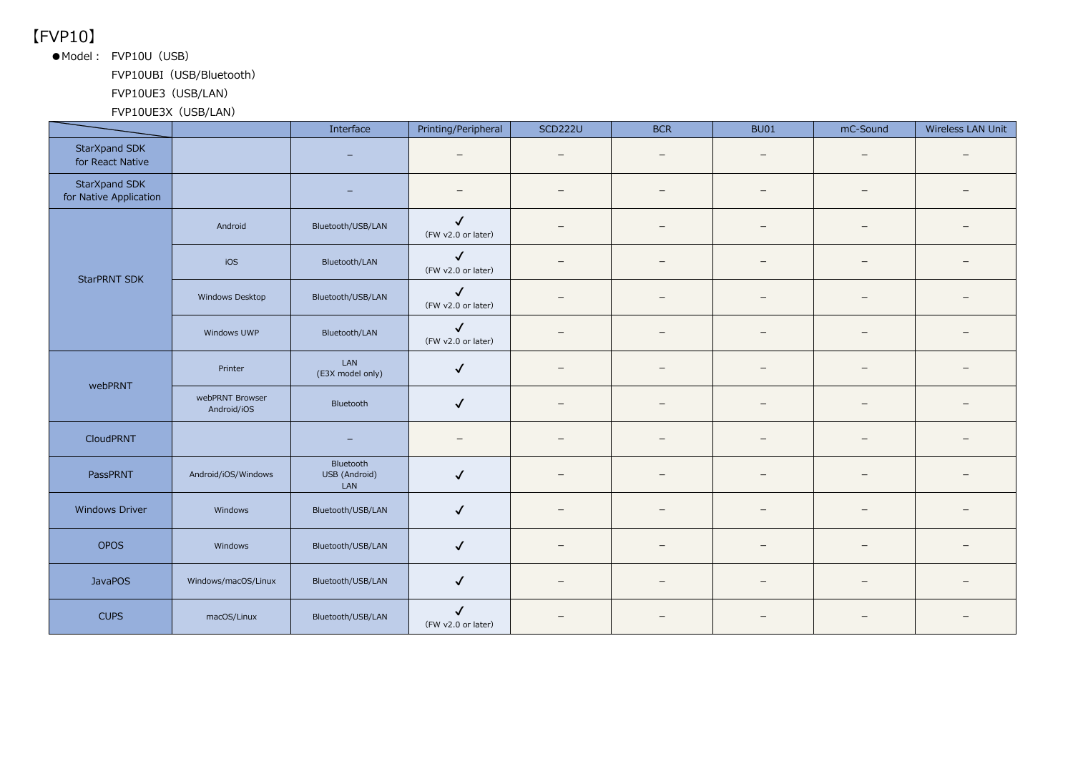【FVP10】

●Model: FVP10U (USB)

FVP10UBI (USB/Bluetooth)

FVP10UE3 (USB/LAN)

FVP10UE3X (USB/LAN)

|                                         |                                | Interface                         | Printing/Peripheral                | <b>SCD222U</b>           | <b>BCR</b>               | <b>BU01</b>              | mC-Sound                 | Wireless LAN Unit |
|-----------------------------------------|--------------------------------|-----------------------------------|------------------------------------|--------------------------|--------------------------|--------------------------|--------------------------|-------------------|
| StarXpand SDK<br>for React Native       |                                |                                   | $\equiv$                           | $\overline{\phantom{a}}$ | $\overline{\phantom{0}}$ |                          | $\overline{\phantom{m}}$ |                   |
| StarXpand SDK<br>for Native Application |                                |                                   |                                    |                          | $\equiv$                 |                          | $\overline{\phantom{m}}$ |                   |
|                                         | Android                        | Bluetooth/USB/LAN                 | $\checkmark$<br>(FW v2.0 or later) |                          | $\equiv$                 | $\equiv$                 | $\overline{\phantom{0}}$ |                   |
| StarPRNT SDK                            | iOS                            | Bluetooth/LAN                     | $\checkmark$<br>(FW v2.0 or later) |                          | $-$                      |                          | $\overline{\phantom{m}}$ |                   |
|                                         | Windows Desktop                | Bluetooth/USB/LAN                 | $\checkmark$<br>(FW v2.0 or later) | $\overline{\phantom{m}}$ | $\overline{\phantom{m}}$ | -                        | $\overline{\phantom{m}}$ |                   |
|                                         | Windows UWP                    | Bluetooth/LAN                     | $\checkmark$<br>(FW v2.0 or later) |                          | -                        | $\qquad \qquad -$        | $\overline{\phantom{m}}$ |                   |
|                                         | Printer                        | LAN<br>(E3X model only)           | $\checkmark$                       |                          |                          |                          | $\qquad \qquad -$        |                   |
| webPRNT                                 | webPRNT Browser<br>Android/iOS | Bluetooth                         | $\checkmark$                       |                          | $\equiv$                 | $\equiv$                 | $\overline{\phantom{0}}$ |                   |
| <b>CloudPRNT</b>                        |                                | $\overline{\phantom{0}}$          |                                    | $\overline{\phantom{m}}$ | $\overline{\phantom{0}}$ | $\qquad \qquad -$        | $\qquad \qquad -$        |                   |
| PassPRNT                                | Android/iOS/Windows            | Bluetooth<br>USB (Android)<br>LAN | $\sqrt{2}$                         | $\overline{\phantom{0}}$ | $\qquad \qquad -$        | $\overline{\phantom{0}}$ | $-$                      |                   |
| Windows Driver                          | Windows                        | Bluetooth/USB/LAN                 | $\checkmark$                       | $\overline{\phantom{0}}$ |                          |                          | $\overline{\phantom{0}}$ |                   |
| <b>OPOS</b>                             | Windows                        | Bluetooth/USB/LAN                 | $\checkmark$                       |                          |                          |                          |                          |                   |
| <b>JavaPOS</b>                          | Windows/macOS/Linux            | Bluetooth/USB/LAN                 | $\checkmark$                       | $\overline{\phantom{m}}$ | $\qquad \qquad -$        | $\qquad \qquad -$        | $\overline{\phantom{0}}$ |                   |
| <b>CUPS</b>                             | macOS/Linux                    | Bluetooth/USB/LAN                 | $\checkmark$<br>(FW v2.0 or later) |                          | $\overline{\phantom{0}}$ |                          |                          |                   |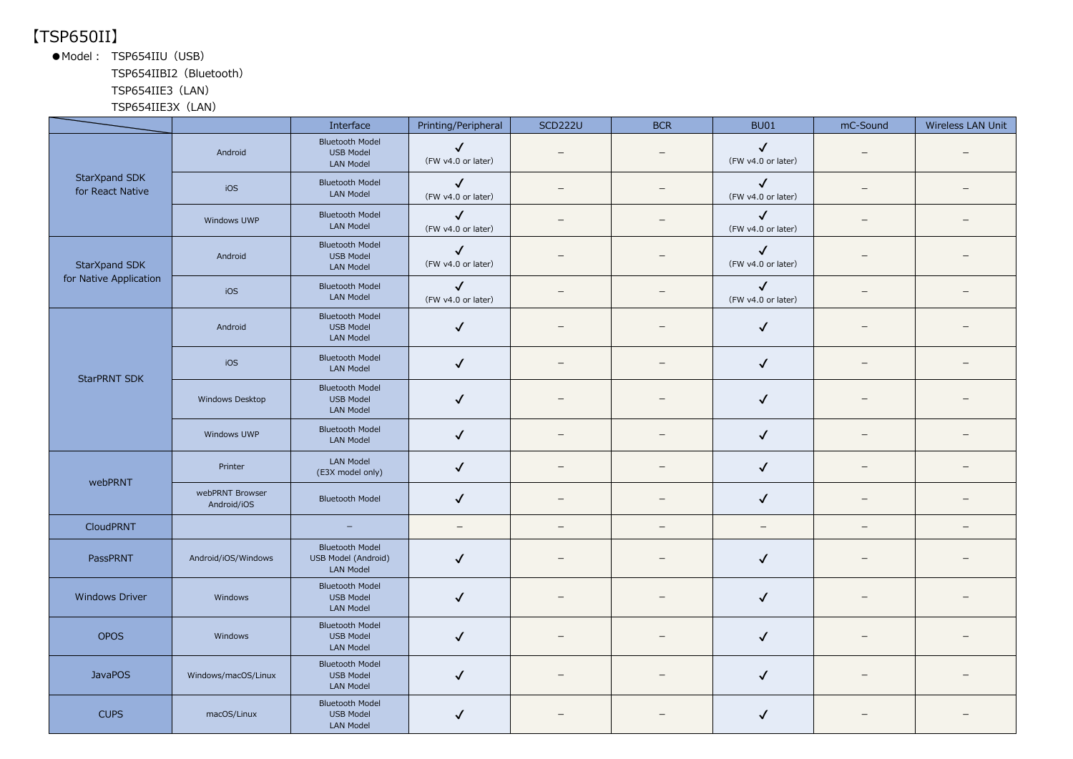## 【TSP650II】

●Model: TSP654IIU (USB)

TSP654IIBI2(Bluetooth)

### TSP654IIE3(LAN)

TSP654IIE3X(LAN)

|                                                                                                                                                                                              |                                | Interface                                                         | Printing/Peripheral                | <b>SCD222U</b>           | <b>BCR</b>        | <b>BU01</b>                        | mC-Sound                 | Wireless LAN Unit |
|----------------------------------------------------------------------------------------------------------------------------------------------------------------------------------------------|--------------------------------|-------------------------------------------------------------------|------------------------------------|--------------------------|-------------------|------------------------------------|--------------------------|-------------------|
|                                                                                                                                                                                              | Android                        | <b>Bluetooth Model</b><br>USB Model<br><b>LAN Model</b>           | $\checkmark$<br>(FW v4.0 or later) | —                        |                   | $\checkmark$<br>(FW v4.0 or later) | —                        |                   |
| for React Native                                                                                                                                                                             | iOS                            | <b>Bluetooth Model</b><br>LAN Model                               | $\checkmark$<br>(FW v4.0 or later) | $\equiv$                 | $\qquad \qquad -$ | $\checkmark$<br>(FW v4.0 or later) | $=$                      |                   |
| StarXpand SDK<br>StarXpand SDK<br>for Native Application<br><b>StarPRNT SDK</b><br>webPRNT<br>CloudPRNT<br>PassPRNT<br><b>Windows Driver</b><br><b>OPOS</b><br><b>JavaPOS</b><br><b>CUPS</b> | Windows UWP                    | <b>Bluetooth Model</b><br>LAN Model                               | $\checkmark$<br>(FW v4.0 or later) | $\qquad \qquad -$        | $\qquad \qquad -$ | $\checkmark$<br>(FW v4.0 or later) | $\overline{\phantom{m}}$ | $\qquad \qquad -$ |
|                                                                                                                                                                                              | Android                        | <b>Bluetooth Model</b><br><b>USB Model</b><br><b>LAN Model</b>    | $\checkmark$<br>(FW v4.0 or later) |                          |                   | $\checkmark$<br>(FW v4.0 or later) |                          |                   |
|                                                                                                                                                                                              | iOS                            | <b>Bluetooth Model</b><br>LAN Model                               | $\checkmark$<br>(FW v4.0 or later) |                          |                   | $\checkmark$<br>(FW v4.0 or later) |                          |                   |
|                                                                                                                                                                                              | Android                        | <b>Bluetooth Model</b><br><b>USB Model</b><br><b>LAN Model</b>    | $\checkmark$                       | —                        | $\qquad \qquad -$ | $\checkmark$                       |                          |                   |
|                                                                                                                                                                                              | iOS                            | <b>Bluetooth Model</b><br>LAN Model                               | $\checkmark$                       | $\overline{\phantom{0}}$ | $\equiv$          | $\checkmark$                       | $\overline{\phantom{0}}$ |                   |
|                                                                                                                                                                                              | Windows Desktop                | <b>Bluetooth Model</b><br>USB Model<br><b>LAN Model</b>           | $\checkmark$                       |                          |                   | $\checkmark$                       |                          |                   |
|                                                                                                                                                                                              | Windows UWP                    | <b>Bluetooth Model</b><br><b>LAN Model</b>                        | $\checkmark$                       | $\qquad \qquad -$        | -                 | $\checkmark$                       | $\qquad \qquad -$        |                   |
|                                                                                                                                                                                              | Printer                        | <b>LAN Model</b><br>(E3X model only)                              | $\checkmark$                       | —                        |                   | $\checkmark$                       | $\overline{\phantom{0}}$ |                   |
|                                                                                                                                                                                              | webPRNT Browser<br>Android/iOS | <b>Bluetooth Model</b>                                            | $\checkmark$                       | $\qquad \qquad -$        | $\equiv$          | $\checkmark$                       | $\overline{\phantom{0}}$ | -                 |
|                                                                                                                                                                                              |                                | $\overline{\phantom{m}}$                                          | $\overline{\phantom{m}}$           | $\qquad \qquad -$        | $\qquad \qquad -$ | $\overline{\phantom{m}}$           | $\overline{\phantom{0}}$ | $\qquad \qquad -$ |
|                                                                                                                                                                                              | Android/iOS/Windows            | <b>Bluetooth Model</b><br>USB Model (Android)<br><b>LAN Model</b> | $\checkmark$                       | $\qquad \qquad -$        | $\qquad \qquad -$ | $\checkmark$                       | $\overline{\phantom{m}}$ |                   |
|                                                                                                                                                                                              | Windows                        | <b>Bluetooth Model</b><br><b>USB Model</b><br><b>LAN Model</b>    | $\checkmark$                       |                          |                   | $\checkmark$                       |                          |                   |
|                                                                                                                                                                                              | Windows                        | <b>Bluetooth Model</b><br><b>USB Model</b><br><b>LAN Model</b>    | $\checkmark$                       |                          |                   | $\checkmark$                       |                          |                   |
|                                                                                                                                                                                              | Windows/macOS/Linux            | <b>Bluetooth Model</b><br><b>USB Model</b><br><b>LAN Model</b>    | $\checkmark$                       | —                        |                   | $\checkmark$                       |                          |                   |
|                                                                                                                                                                                              | macOS/Linux                    | <b>Bluetooth Model</b><br><b>USB Model</b><br><b>LAN Model</b>    | $\checkmark$                       |                          |                   | $\checkmark$                       |                          |                   |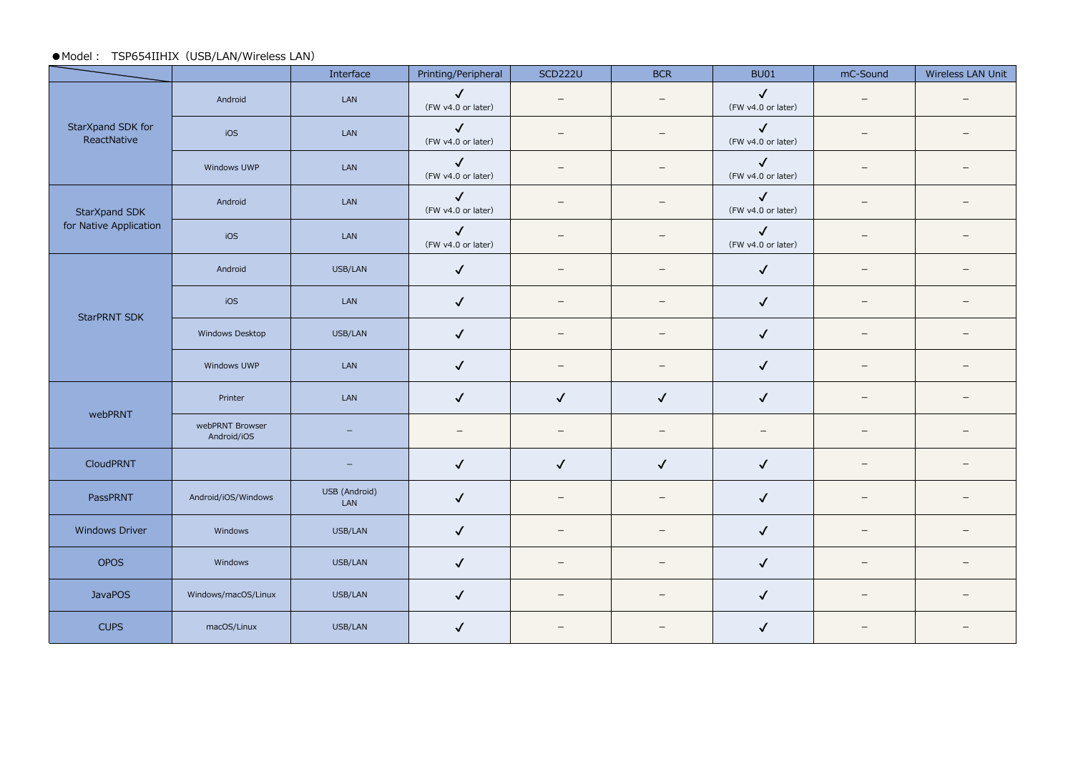#### ●Model : TSP654IIHIX (USB/LAN/Wireless LAN)

|                                                                                                                                                                      |                                | Interface            | Printing/Peripheral                | <b>SCD222U</b>           | <b>BCR</b>               | BU01                               | mC-Sound                 | Wireless LAN Unit |
|----------------------------------------------------------------------------------------------------------------------------------------------------------------------|--------------------------------|----------------------|------------------------------------|--------------------------|--------------------------|------------------------------------|--------------------------|-------------------|
|                                                                                                                                                                      | Android                        | LAN                  | $\checkmark$<br>(FW v4.0 or later) | $\overline{\phantom{m}}$ | $\overline{\phantom{m}}$ | $\checkmark$<br>(FW v4.0 or later) | $\overline{\phantom{m}}$ |                   |
| StarXpand SDK for<br>ReactNative                                                                                                                                     | iOS                            | LAN                  | $\checkmark$<br>(FW v4.0 or later) |                          | $\qquad \qquad -$        | $\checkmark$<br>(FW v4.0 or later) | $\overline{\phantom{0}}$ |                   |
| StarXpand SDK<br>for Native Application<br><b>StarPRNT SDK</b><br>webPRNT<br>CloudPRNT<br>PassPRNT<br>Windows Driver<br><b>OPOS</b><br><b>JavaPOS</b><br><b>CUPS</b> | Windows UWP                    | LAN                  | $\checkmark$<br>(FW v4.0 or later) |                          | $\overline{\phantom{0}}$ | $\checkmark$<br>(FW v4.0 or later) | $\overline{\phantom{0}}$ |                   |
|                                                                                                                                                                      | Android                        | LAN                  | $\checkmark$<br>(FW v4.0 or later) | $\overline{\phantom{0}}$ | $\overline{\phantom{0}}$ | $\checkmark$<br>(FW v4.0 or later) | $\qquad \qquad -$        |                   |
|                                                                                                                                                                      | iOS                            | LAN                  | $\checkmark$<br>(FW v4.0 or later) |                          | $\overline{\phantom{0}}$ | $\checkmark$<br>(FW v4.0 or later) | $\qquad \qquad -$        |                   |
|                                                                                                                                                                      | Android                        | USB/LAN              | $\checkmark$                       | $\overline{\phantom{0}}$ | $\overline{\phantom{0}}$ | $\checkmark$                       | $\qquad \qquad -$        |                   |
|                                                                                                                                                                      | iOS                            | LAN                  | $\checkmark$                       | $\qquad \qquad$          | $\qquad \qquad$          | $\checkmark$                       | $\qquad \qquad -$        |                   |
|                                                                                                                                                                      | Windows Desktop                | USB/LAN              | $\checkmark$                       |                          | $\qquad \qquad -$        | $\checkmark$                       | $\qquad \qquad -$        |                   |
|                                                                                                                                                                      | Windows UWP                    | LAN                  | $\checkmark$                       | $\overline{\phantom{0}}$ | $\qquad \qquad -$        | $\checkmark$                       | $\overline{\phantom{0}}$ |                   |
|                                                                                                                                                                      | Printer                        | LAN                  | $\checkmark$                       | $\checkmark$             | $\checkmark$             | $\checkmark$                       | $\overline{\phantom{0}}$ |                   |
|                                                                                                                                                                      | webPRNT Browser<br>Android/iOS |                      | $\qquad \qquad -$                  | $\qquad \qquad$          | $\overline{\phantom{m}}$ | $\qquad \qquad -$                  | $\overline{\phantom{0}}$ |                   |
|                                                                                                                                                                      |                                | -                    | $\checkmark$                       | $\checkmark$             | $\checkmark$             | $\checkmark$                       | $\overline{\phantom{0}}$ |                   |
|                                                                                                                                                                      | Android/iOS/Windows            | USB (Android)<br>LAN | $\checkmark$                       |                          | $\overline{\phantom{m}}$ | $\checkmark$                       | $\qquad \qquad -$        |                   |
|                                                                                                                                                                      | Windows                        | USB/LAN              | $\checkmark$                       |                          | $\overline{\phantom{0}}$ | $\checkmark$                       | $\qquad \qquad -$        |                   |
|                                                                                                                                                                      | Windows                        | USB/LAN              | $\checkmark$                       | $\overline{\phantom{m}}$ | $\overline{\phantom{m}}$ | $\checkmark$                       | $\overline{\phantom{0}}$ |                   |
|                                                                                                                                                                      | Windows/macOS/Linux            | USB/LAN              | $\checkmark$                       | $\qquad \qquad -$        | $\qquad \qquad -$        | $\checkmark$                       | $\overline{\phantom{0}}$ |                   |
|                                                                                                                                                                      | macOS/Linux                    | USB/LAN              | $\checkmark$                       |                          |                          | $\checkmark$                       |                          |                   |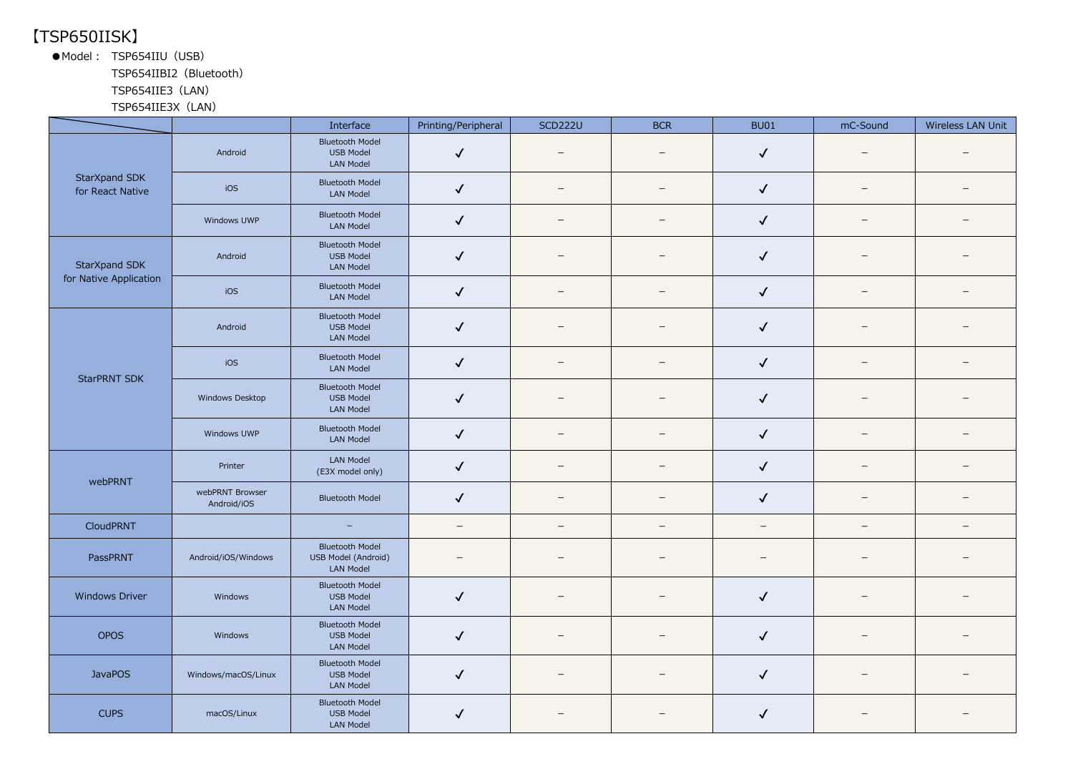### 【TSP650IISK】

●Model: TSP654IIU (USB)

TSP654IIBI2(Bluetooth)

TSP654IIE3(LAN)

TSP654IIE3X(LAN)

|                                                                                                                                                                                    |                                | Interface                                                         | Printing/Peripheral      | <b>SCD222U</b>           | <b>BCR</b>               | <b>BU01</b>              | mC-Sound                 | Wireless LAN Unit        |
|------------------------------------------------------------------------------------------------------------------------------------------------------------------------------------|--------------------------------|-------------------------------------------------------------------|--------------------------|--------------------------|--------------------------|--------------------------|--------------------------|--------------------------|
|                                                                                                                                                                                    | Android                        | <b>Bluetooth Model</b><br><b>USB Model</b><br><b>LAN Model</b>    | $\checkmark$             |                          | $\overline{\phantom{0}}$ | $\checkmark$             |                          |                          |
| StarXpand SDK<br>for React Native                                                                                                                                                  | iOS                            | <b>Bluetooth Model</b><br>LAN Model                               | $\checkmark$             | $\overline{\phantom{m}}$ | $\overline{\phantom{m}}$ | $\checkmark$             | $\overline{\phantom{m}}$ | $\overline{\phantom{m}}$ |
| StarXpand SDK<br>for Native Application<br><b>StarPRNT SDK</b><br>webPRNT<br><b>CloudPRNT</b><br>PassPRNT<br><b>Windows Driver</b><br><b>OPOS</b><br><b>JavaPOS</b><br><b>CUPS</b> | Windows UWP                    | <b>Bluetooth Model</b><br><b>LAN Model</b>                        | $\checkmark$             | $\qquad \qquad -$        | $\overline{\phantom{m}}$ | $\checkmark$             | $\overline{\phantom{m}}$ | $\overline{\phantom{m}}$ |
|                                                                                                                                                                                    | Android                        | <b>Bluetooth Model</b><br><b>USB Model</b><br><b>LAN Model</b>    | $\checkmark$             |                          |                          | $\checkmark$             |                          |                          |
|                                                                                                                                                                                    | iOS                            | <b>Bluetooth Model</b><br>LAN Model                               | $\checkmark$             | -                        | $\overline{\phantom{0}}$ | $\checkmark$             | $\qquad \qquad -$        |                          |
|                                                                                                                                                                                    | Android                        | <b>Bluetooth Model</b><br><b>USB Model</b><br><b>LAN Model</b>    | $\checkmark$             | —                        | -                        | $\checkmark$             | —                        |                          |
|                                                                                                                                                                                    | iOS                            | <b>Bluetooth Model</b><br>LAN Model                               | $\checkmark$             |                          | $\overline{\phantom{m}}$ | $\checkmark$             | $\overline{\phantom{0}}$ | $\equiv$                 |
|                                                                                                                                                                                    | Windows Desktop                | <b>Bluetooth Model</b><br><b>USB Model</b><br><b>LAN Model</b>    | $\checkmark$             |                          |                          | $\checkmark$             |                          |                          |
|                                                                                                                                                                                    | Windows UWP                    | <b>Bluetooth Model</b><br><b>LAN Model</b>                        | $\checkmark$             | $\qquad \qquad -$        | $\qquad \qquad -$        | $\checkmark$             | $\overline{\phantom{m}}$ |                          |
|                                                                                                                                                                                    | Printer                        | LAN Model<br>(E3X model only)                                     | $\checkmark$             | —                        |                          | $\checkmark$             | $\overline{\phantom{0}}$ |                          |
|                                                                                                                                                                                    | webPRNT Browser<br>Android/iOS | <b>Bluetooth Model</b>                                            | $\checkmark$             | $\overline{\phantom{0}}$ | $\overline{\phantom{0}}$ | $\checkmark$             | $\overline{\phantom{0}}$ |                          |
|                                                                                                                                                                                    |                                | $\equiv$                                                          | $\overline{\phantom{m}}$ | $\overline{\phantom{0}}$ | $\overline{\phantom{0}}$ | $\overline{\phantom{m}}$ | $-$                      | $\overline{\phantom{0}}$ |
|                                                                                                                                                                                    | Android/iOS/Windows            | <b>Bluetooth Model</b><br>USB Model (Android)<br><b>LAN Model</b> |                          | $\overline{\phantom{m}}$ | $\qquad \qquad -$        | $\overline{\phantom{0}}$ | —                        |                          |
|                                                                                                                                                                                    | Windows                        | <b>Bluetooth Model</b><br><b>USB Model</b><br><b>LAN Model</b>    | $\checkmark$             |                          |                          | $\checkmark$             |                          |                          |
|                                                                                                                                                                                    | Windows                        | <b>Bluetooth Model</b><br><b>USB Model</b><br><b>LAN Model</b>    | $\checkmark$             |                          |                          | $\checkmark$             |                          |                          |
|                                                                                                                                                                                    | Windows/macOS/Linux            | <b>Bluetooth Model</b><br>USB Model<br><b>LAN Model</b>           | $\checkmark$             | $\overline{\phantom{m}}$ | $\qquad \qquad -$        | $\checkmark$             | —                        |                          |
|                                                                                                                                                                                    | macOS/Linux                    | <b>Bluetooth Model</b><br><b>USB Model</b><br><b>LAN Model</b>    | $\checkmark$             |                          | $\equiv$                 | $\checkmark$             |                          |                          |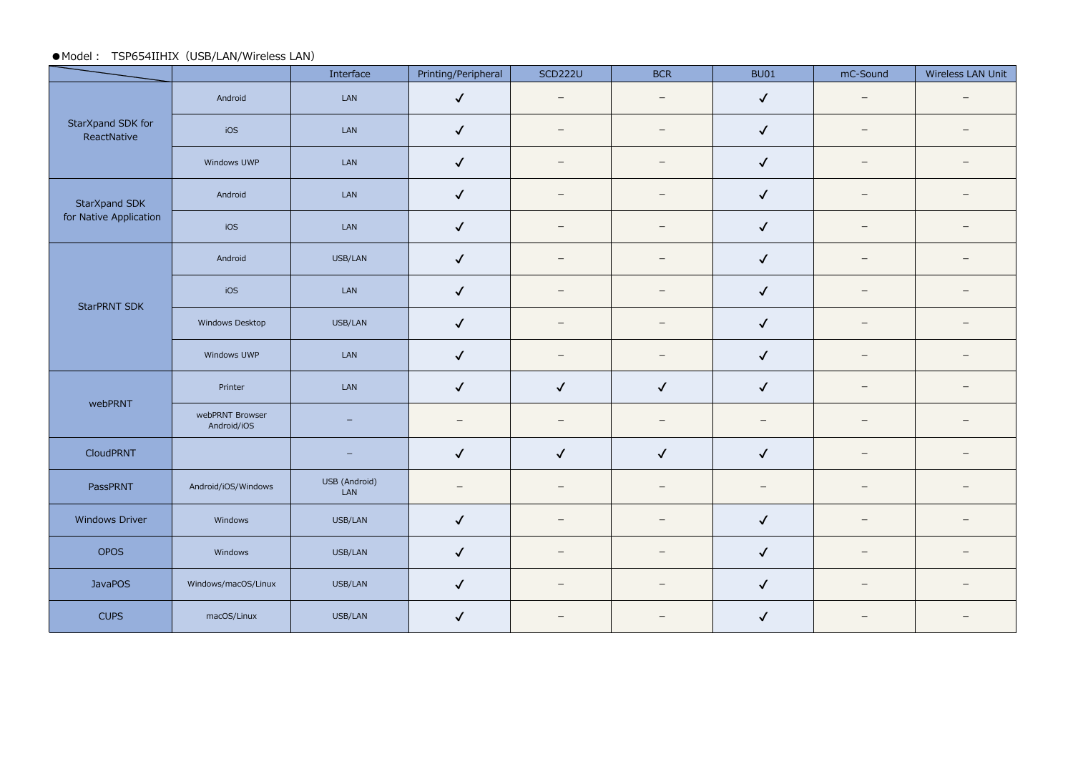#### ●Model : TSP654IIHIX (USB/LAN/Wireless LAN)

|                                  |                                | Interface                | Printing/Peripheral      | <b>SCD222U</b>           | <b>BCR</b>                      | <b>BU01</b>              | mC-Sound                 | Wireless LAN Unit        |
|----------------------------------|--------------------------------|--------------------------|--------------------------|--------------------------|---------------------------------|--------------------------|--------------------------|--------------------------|
|                                  | Android                        | LAN                      | $\checkmark$             | $\overline{\phantom{0}}$ | $\overline{\phantom{0}}$        | $\checkmark$             | $\overline{\phantom{0}}$ | $\overline{\phantom{0}}$ |
| StarXpand SDK for<br>ReactNative | iOS                            | LAN                      | $\checkmark$             | $\overline{\phantom{0}}$ | $\qquad \qquad -$               | $\checkmark$             | $\qquad \qquad -$        | $\qquad \qquad -$        |
|                                  | Windows UWP                    | LAN                      | $\checkmark$             | $\qquad \qquad -$        | $\overline{\phantom{0}}$        | $\checkmark$             | $\qquad \qquad -$        | $\qquad \qquad -$        |
| StarXpand SDK                    | Android                        | LAN                      | $\checkmark$             | $\overline{\phantom{0}}$ | $\overline{\phantom{0}}$        | $\checkmark$             | $\overline{\phantom{m}}$ | $\overline{\phantom{m}}$ |
| for Native Application           | iOS                            | LAN                      | $\checkmark$             |                          | $\overline{\phantom{0}}$        | $\checkmark$             | $\qquad \qquad -$        | $\overline{\phantom{m}}$ |
| StarPRNT SDK                     | Android                        | USB/LAN                  | $\checkmark$             | $\overline{\phantom{m}}$ | $\equiv$                        | $\checkmark$             | $\overline{\phantom{0}}$ | $\overline{\phantom{m}}$ |
|                                  | iOS                            | LAN                      | $\checkmark$             | $\qquad \qquad -$        | $\overline{\phantom{m}}$        | $\checkmark$             | $\qquad \qquad -$        | $\overline{\phantom{m}}$ |
|                                  | Windows Desktop                | USB/LAN                  | $\checkmark$             | $\overline{\phantom{a}}$ | $\overline{\phantom{m}}$        | $\checkmark$             | $\overline{\phantom{0}}$ | $\overline{\phantom{a}}$ |
|                                  | Windows UWP                    | LAN                      | $\checkmark$             | $\qquad \qquad -$        | $\qquad \qquad -$               | $\checkmark$             | $\qquad \qquad -$        | $\overline{\phantom{a}}$ |
|                                  | Printer                        | LAN                      | $\checkmark$             | $\checkmark$             | $\checkmark$                    | $\checkmark$             | $\qquad \qquad -$        | $\overline{\phantom{m}}$ |
| webPRNT                          | webPRNT Browser<br>Android/iOS | $\overline{\phantom{a}}$ | $\overline{\phantom{0}}$ | $\overline{\phantom{m}}$ | $\hspace{0.1mm}-\hspace{0.1mm}$ | $\overline{\phantom{m}}$ | $\qquad \qquad -$        | $\overline{\phantom{0}}$ |
| CloudPRNT                        |                                | $\qquad \qquad -$        | $\checkmark$             | $\checkmark$             | $\checkmark$                    | $\checkmark$             | $\qquad \qquad -$        | $\overline{\phantom{0}}$ |
| PassPRNT                         | Android/iOS/Windows            | USB (Android)<br>LAN     | $\overline{\phantom{0}}$ | $\qquad \qquad -$        | $\overline{\phantom{0}}$        | $\overline{\phantom{0}}$ | $\overline{\phantom{0}}$ | $\overline{\phantom{m}}$ |
| Windows Driver                   | Windows                        | USB/LAN                  | $\checkmark$             | $\qquad \qquad -$        | $\qquad \qquad -$               | $\checkmark$             | $\qquad \qquad -$        | $\overline{\phantom{m}}$ |
| <b>OPOS</b>                      | Windows                        | USB/LAN                  | $\checkmark$             | $\overline{\phantom{0}}$ | $\overline{\phantom{0}}$        | $\checkmark$             | $\qquad \qquad -$        | $\overline{\phantom{m}}$ |
| <b>JavaPOS</b>                   | Windows/macOS/Linux            | USB/LAN                  | $\checkmark$             | $\equiv$                 | $\equiv$                        | $\checkmark$             | $\overline{\phantom{m}}$ | $\overline{\phantom{m}}$ |
| <b>CUPS</b>                      | macOS/Linux                    | USB/LAN                  | $\checkmark$             | $\qquad \qquad -$        | $\overline{\phantom{0}}$        | $\checkmark$             | $\qquad \qquad -$        | $\overline{\phantom{m}}$ |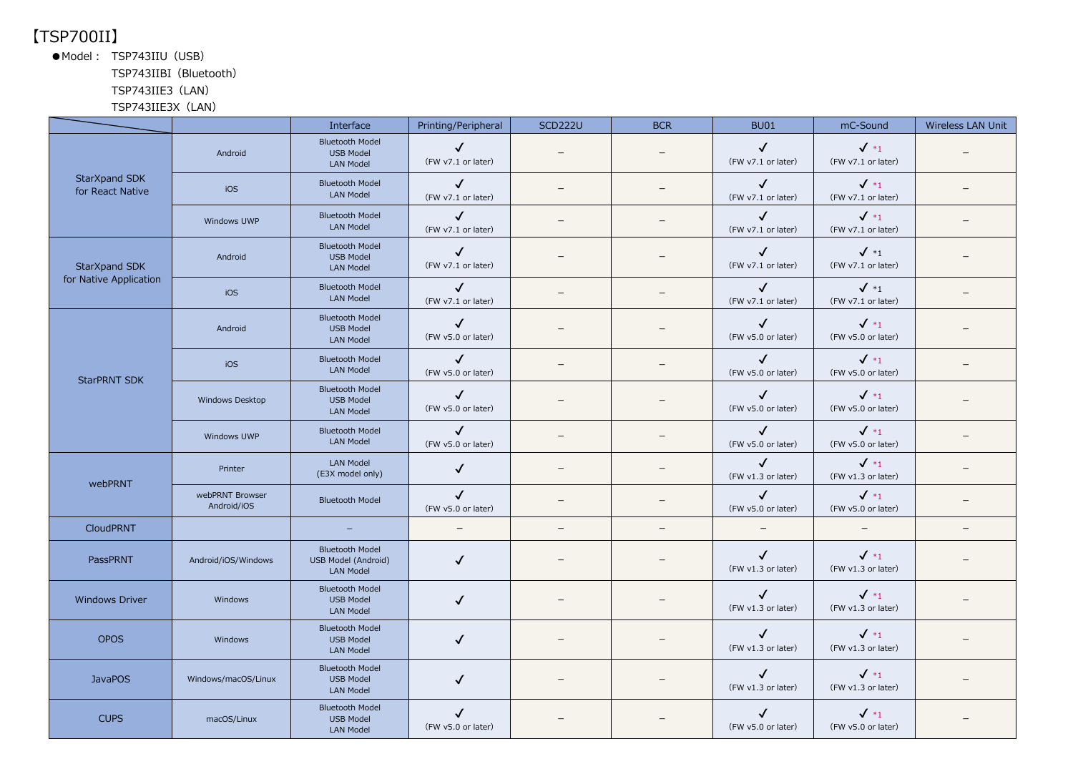## 【TSP700II】

●Model: TSP743IIU (USB)

TSP743IIBI(Bluetooth)

#### TSP743IIE3(LAN)

TSP743IIE3X(LAN)

|                                   |                                | Interface                                                                | Printing/Peripheral                | <b>SCD222U</b>           | <b>BCR</b>               | <b>BU01</b>                        | mC-Sound                              | Wireless LAN Unit |
|-----------------------------------|--------------------------------|--------------------------------------------------------------------------|------------------------------------|--------------------------|--------------------------|------------------------------------|---------------------------------------|-------------------|
|                                   | Android                        | <b>Bluetooth Model</b><br><b>USB Model</b><br><b>LAN Model</b>           | $\checkmark$<br>(FW v7.1 or later) |                          |                          | $\checkmark$<br>(FW v7.1 or later) | $\checkmark$ *1<br>(FW v7.1 or later) |                   |
| StarXpand SDK<br>for React Native | iOS                            | <b>Bluetooth Model</b><br><b>LAN Model</b>                               | $\checkmark$<br>(FW v7.1 or later) | $\qquad \qquad -$        |                          | $\checkmark$<br>(FW v7.1 or later) | $\checkmark$ *1<br>(FW v7.1 or later) |                   |
|                                   | Windows UWP                    | <b>Bluetooth Model</b><br><b>LAN Model</b>                               | $\checkmark$<br>(FW v7.1 or later) |                          |                          | $\checkmark$<br>(FW v7.1 or later) | $\sqrt{*_1}$<br>(FW v7.1 or later)    |                   |
| StarXpand SDK                     | Android                        | <b>Bluetooth Model</b><br><b>USB Model</b><br><b>LAN Model</b>           | $\checkmark$<br>(FW v7.1 or later) |                          |                          | $\checkmark$<br>(FW v7.1 or later) | $\checkmark$ *1<br>(FW v7.1 or later) |                   |
| for Native Application            | iOS                            | <b>Bluetooth Model</b><br><b>LAN Model</b>                               | $\checkmark$<br>(FW v7.1 or later) |                          |                          | $\checkmark$<br>(FW v7.1 or later) | $\checkmark$ *1<br>(FW v7.1 or later) |                   |
|                                   | Android                        | <b>Bluetooth Model</b><br><b>USB Model</b><br><b>LAN Model</b>           | $\checkmark$<br>(FW v5.0 or later) |                          |                          | $\checkmark$<br>(FW v5.0 or later) | $\checkmark$ *1<br>(FW v5.0 or later) |                   |
|                                   | iOS                            | <b>Bluetooth Model</b><br><b>LAN Model</b>                               | $\checkmark$<br>(FW v5.0 or later) |                          |                          | $\checkmark$<br>(FW v5.0 or later) | $\sqrt{*_1}$<br>(FW v5.0 or later)    |                   |
| <b>StarPRNT SDK</b>               | Windows Desktop                | <b>Bluetooth Model</b><br><b>USB Model</b><br><b>LAN Model</b>           | $\checkmark$<br>(FW v5.0 or later) |                          |                          | ✓<br>(FW v5.0 or later)            | $\checkmark$ *1<br>(FW v5.0 or later) |                   |
|                                   | Windows UWP                    | <b>Bluetooth Model</b><br><b>LAN Model</b>                               | $\checkmark$<br>(FW v5.0 or later) |                          |                          | $\checkmark$<br>(FW v5.0 or later) | $\checkmark$ *1<br>(FW v5.0 or later) |                   |
| webPRNT                           | Printer                        | <b>LAN Model</b><br>(E3X model only)                                     | $\checkmark$                       | $\overline{\phantom{0}}$ |                          | $\checkmark$<br>(FW v1.3 or later) | $\checkmark$ *1<br>(FW v1.3 or later) |                   |
|                                   | webPRNT Browser<br>Android/iOS | <b>Bluetooth Model</b>                                                   | $\checkmark$<br>(FW v5.0 or later) |                          |                          | $\checkmark$<br>(FW v5.0 or later) | $\checkmark$ *1<br>(FW v5.0 or later) |                   |
| <b>CloudPRNT</b>                  |                                | $\equiv$                                                                 | $\overline{\phantom{m}}$           | $\overline{\phantom{0}}$ | $\overline{\phantom{0}}$ | $\overline{\phantom{m}}$           | $\overline{\phantom{m}}$              | $\qquad \qquad -$ |
| PassPRNT                          | Android/iOS/Windows            | <b>Bluetooth Model</b><br><b>USB Model (Android)</b><br><b>LAN Model</b> | $\checkmark$                       |                          |                          | $\checkmark$<br>(FW v1.3 or later) | $\sqrt{1}$<br>(FW v1.3 or later)      |                   |
| <b>Windows Driver</b>             | Windows                        | <b>Bluetooth Model</b><br><b>USB Model</b><br><b>LAN Model</b>           | $\checkmark$                       |                          |                          | $\checkmark$<br>(FW v1.3 or later) | $\checkmark$ *1<br>(FW v1.3 or later) |                   |
| <b>OPOS</b>                       | Windows                        | <b>Bluetooth Model</b><br><b>USB Model</b><br><b>LAN Model</b>           | $\checkmark$                       |                          |                          | $\checkmark$<br>(FW v1.3 or later) | $\sqrt{*_1}$<br>(FW v1.3 or later)    |                   |
| <b>JavaPOS</b>                    | Windows/macOS/Linux            | <b>Bluetooth Model</b><br><b>USB Model</b><br><b>LAN Model</b>           | $\checkmark$                       |                          |                          | $\checkmark$<br>(FW v1.3 or later) | $\sqrt{1}$<br>(FW v1.3 or later)      |                   |
| <b>CUPS</b>                       | macOS/Linux                    | <b>Bluetooth Model</b><br><b>USB Model</b><br><b>LAN Model</b>           | $\checkmark$<br>(FW v5.0 or later) |                          |                          | $\checkmark$<br>(FW v5.0 or later) | $\checkmark$ *1<br>(FW v5.0 or later) |                   |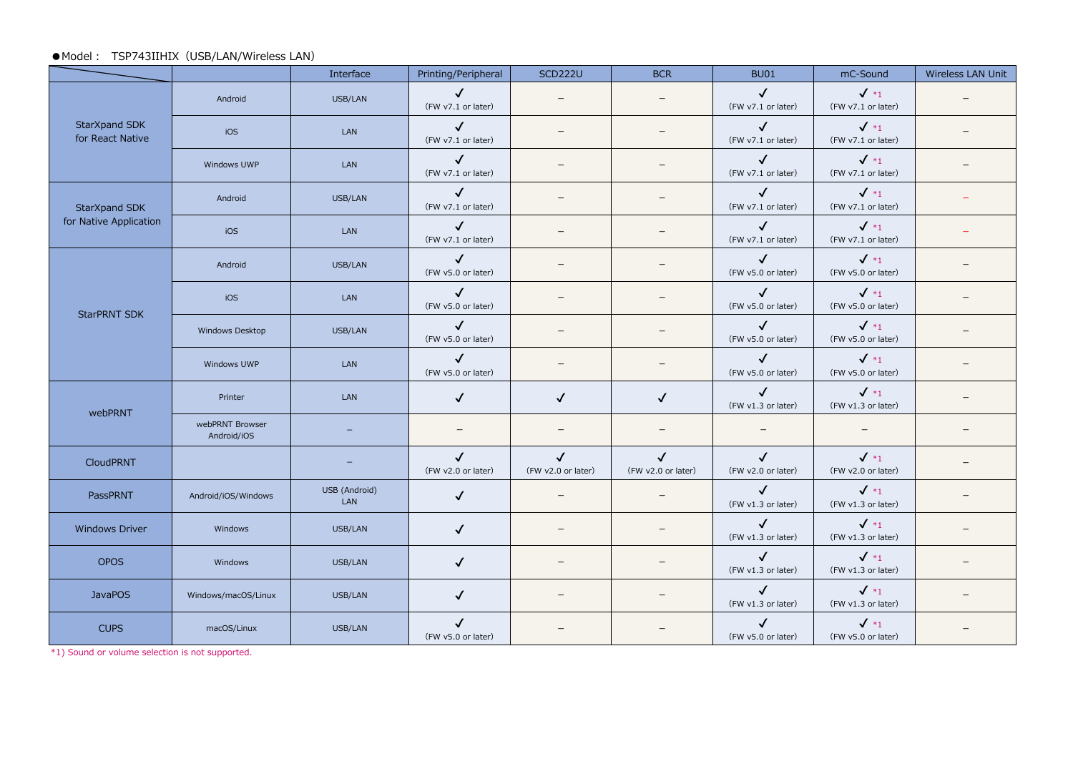#### ●Model: TSP743IIHIX (USB/LAN/Wireless LAN)

|                                   |                                | Interface                   | Printing/Peripheral                | <b>SCD222U</b>                     | <b>BCR</b>                         | <b>BU01</b>                        | mC-Sound                              | Wireless LAN Unit |
|-----------------------------------|--------------------------------|-----------------------------|------------------------------------|------------------------------------|------------------------------------|------------------------------------|---------------------------------------|-------------------|
|                                   | Android                        | USB/LAN                     | $\checkmark$<br>(FW v7.1 or later) |                                    |                                    | $\checkmark$<br>(FW v7.1 or later) | $\checkmark$ *1<br>(FW v7.1 or later) |                   |
| StarXpand SDK<br>for React Native | iOS                            | LAN                         | $\checkmark$<br>(FW v7.1 or later) |                                    |                                    | $\checkmark$<br>(FW v7.1 or later) | $\checkmark$ *1<br>(FW v7.1 or later) |                   |
|                                   | Windows UWP                    | LAN                         | $\checkmark$<br>(FW v7.1 or later) |                                    |                                    | $\checkmark$<br>(FW v7.1 or later) | $\sqrt{*_1}$<br>(FW v7.1 or later)    |                   |
| StarXpand SDK                     | Android                        | USB/LAN                     | $\checkmark$<br>(FW v7.1 or later) |                                    |                                    | $\checkmark$<br>(FW v7.1 or later) | $\checkmark$ *1<br>(FW v7.1 or later) |                   |
| for Native Application            | iOS                            | LAN                         | $\checkmark$<br>(FW v7.1 or later) | $\overline{\phantom{m}}$           | $\overline{\phantom{0}}$           | $\checkmark$<br>(FW v7.1 or later) | $\sqrt{*_1}$<br>(FW v7.1 or later)    |                   |
|                                   | Android                        | USB/LAN                     | $\checkmark$<br>(FW v5.0 or later) | $\qquad \qquad =$                  |                                    | $\sqrt{2}$<br>(FW v5.0 or later)   | $\sqrt{*_1}$<br>(FW v5.0 or later)    |                   |
| <b>StarPRNT SDK</b>               | iOS                            | LAN                         | $\checkmark$<br>(FW v5.0 or later) |                                    |                                    | $\checkmark$<br>(FW v5.0 or later) | $\sqrt{*_1}$<br>(FW v5.0 or later)    |                   |
|                                   | Windows Desktop                | USB/LAN                     | $\checkmark$<br>(FW v5.0 or later) |                                    |                                    | $\checkmark$<br>(FW v5.0 or later) | $\checkmark$ *1<br>(FW v5.0 or later) |                   |
|                                   | Windows UWP                    | LAN                         | $\checkmark$<br>(FW v5.0 or later) |                                    |                                    | $\checkmark$<br>(FW v5.0 or later) | $\checkmark$ *1<br>(FW v5.0 or later) |                   |
| webPRNT                           | Printer                        | LAN                         | $\checkmark$                       | $\checkmark$                       | $\checkmark$                       | $\checkmark$<br>(FW v1.3 or later) | $\checkmark$ *1<br>(FW v1.3 or later) |                   |
|                                   | webPRNT Browser<br>Android/iOS |                             |                                    |                                    |                                    | $\overline{\phantom{0}}$           |                                       |                   |
| <b>CloudPRNT</b>                  |                                |                             | $\checkmark$<br>(FW v2.0 or later) | $\checkmark$<br>(FW v2.0 or later) | $\checkmark$<br>(FW v2.0 or later) | $\checkmark$<br>(FW v2.0 or later) | $\checkmark$ *1<br>(FW v2.0 or later) |                   |
| PassPRNT                          | Android/iOS/Windows            | USB (Android)<br><b>LAN</b> | $\checkmark$                       | $\overline{\phantom{m}}$           | $\qquad \qquad -$                  | $\checkmark$<br>(FW v1.3 or later) | $\sqrt{*_1}$<br>(FW v1.3 or later)    |                   |
| <b>Windows Driver</b>             | Windows                        | USB/LAN                     | $\checkmark$                       | $\overline{\phantom{0}}$           |                                    | $\checkmark$<br>(FW v1.3 or later) | $\sqrt{*_1}$<br>(FW v1.3 or later)    |                   |
| <b>OPOS</b>                       | Windows                        | USB/LAN                     | $\checkmark$                       |                                    |                                    | $\checkmark$<br>(FW v1.3 or later) | $\checkmark$ *1<br>(FW v1.3 or later) |                   |
| <b>JavaPOS</b>                    | Windows/macOS/Linux            | USB/LAN                     | $\checkmark$                       |                                    |                                    | $\checkmark$<br>(FW v1.3 or later) | $\checkmark$ *1<br>(FW v1.3 or later) |                   |
| <b>CUPS</b>                       | macOS/Linux                    | USB/LAN                     | $\checkmark$<br>(FW v5.0 or later) |                                    |                                    | $\checkmark$<br>(FW v5.0 or later) | $\sqrt{*_1}$<br>(FW v5.0 or later)    |                   |

\*1) Sound or volume selection is not supported.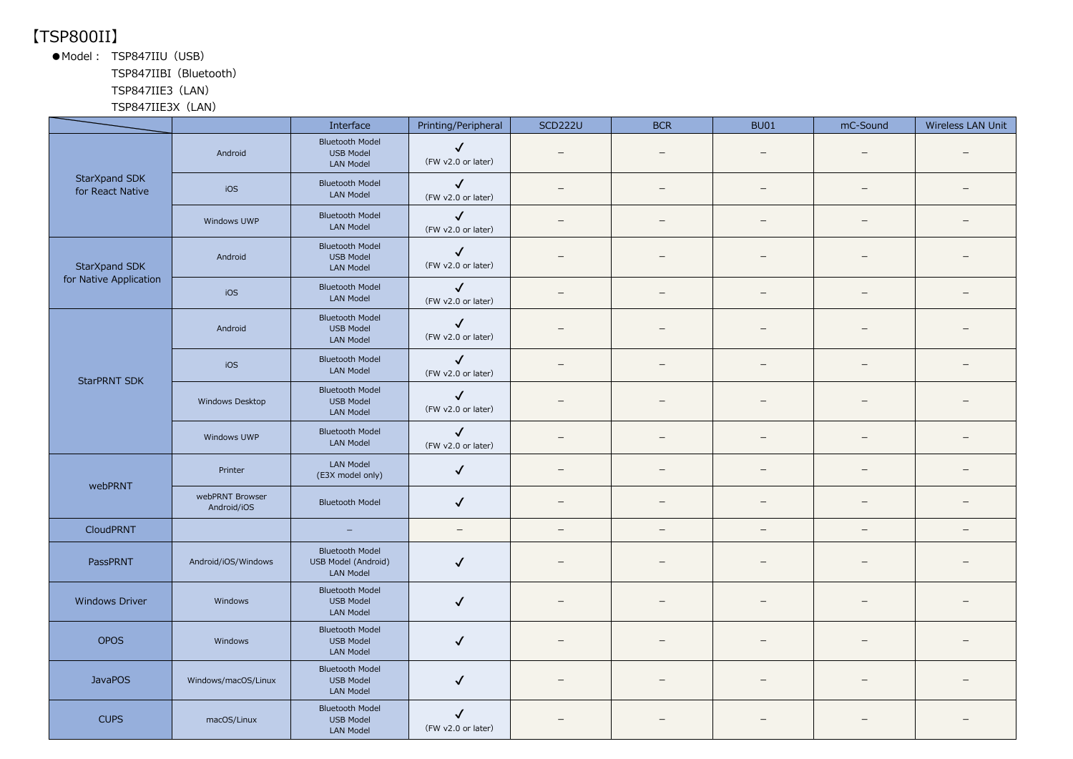## 【TSP800II】

●Model: TSP847IIU (USB)

TSP847IIBI(Bluetooth)

#### TSP847IIE3(LAN)

TSP847IIE3X(LAN)

|                                                                                                                                                             |                                | Interface                                                         | Printing/Peripheral                | <b>SCD222U</b>           | <b>BCR</b>               | <b>BU01</b>              | mC-Sound                 | Wireless LAN Unit        |
|-------------------------------------------------------------------------------------------------------------------------------------------------------------|--------------------------------|-------------------------------------------------------------------|------------------------------------|--------------------------|--------------------------|--------------------------|--------------------------|--------------------------|
|                                                                                                                                                             | Android                        | <b>Bluetooth Model</b><br><b>USB Model</b><br><b>LAN Model</b>    | $\checkmark$<br>(FW v2.0 or later) |                          |                          |                          |                          |                          |
| for React Native                                                                                                                                            | iOS                            | <b>Bluetooth Model</b><br><b>LAN Model</b>                        | $\checkmark$<br>(FW v2.0 or later) | $\equiv$                 | $=$                      | $\overline{\phantom{0}}$ | $=$                      | $\equiv$                 |
| StarXpand SDK<br>StarXpand SDK<br>for Native Application<br><b>StarPRNT SDK</b><br>webPRNT<br>CloudPRNT<br>PassPRNT<br><b>Windows Driver</b><br><b>OPOS</b> | Windows UWP                    | <b>Bluetooth Model</b><br><b>LAN Model</b>                        | $\checkmark$<br>(FW v2.0 or later) |                          | -                        | $\qquad \qquad$          |                          |                          |
|                                                                                                                                                             | Android                        | <b>Bluetooth Model</b><br><b>USB Model</b><br><b>LAN Model</b>    | $\checkmark$<br>(FW v2.0 or later) |                          |                          |                          |                          |                          |
|                                                                                                                                                             | iOS                            | <b>Bluetooth Model</b><br><b>LAN Model</b>                        | $\checkmark$<br>(FW v2.0 or later) | $=$                      | $\equiv$                 | $\sim$                   | $=$                      | $\overline{\phantom{0}}$ |
|                                                                                                                                                             | Android                        | <b>Bluetooth Model</b><br><b>USB Model</b><br><b>LAN Model</b>    | $\checkmark$<br>(FW v2.0 or later) |                          |                          |                          |                          |                          |
|                                                                                                                                                             | iOS                            | <b>Bluetooth Model</b><br><b>LAN Model</b>                        | $\checkmark$<br>(FW v2.0 or later) | $\overline{\phantom{0}}$ | $\equiv$                 | $\equiv$                 | $\equiv$                 |                          |
|                                                                                                                                                             | Windows Desktop                | <b>Bluetooth Model</b><br><b>USB Model</b><br>LAN Model           | $\checkmark$<br>(FW v2.0 or later) |                          |                          |                          |                          |                          |
|                                                                                                                                                             | Windows UWP                    | <b>Bluetooth Model</b><br>LAN Model                               | $\checkmark$<br>(FW v2.0 or later) | $\overline{\phantom{m}}$ |                          | $\overline{\phantom{m}}$ | $\overline{\phantom{m}}$ |                          |
|                                                                                                                                                             | Printer                        | <b>LAN Model</b><br>(E3X model only)                              | $\checkmark$                       | —                        | $\qquad \qquad -$        | $\qquad \qquad -$        | —                        |                          |
|                                                                                                                                                             | webPRNT Browser<br>Android/iOS | <b>Bluetooth Model</b>                                            | $\checkmark$                       | $\overline{\phantom{0}}$ | $\equiv$                 | $\overline{\phantom{a}}$ | $\qquad \qquad -$        | $\equiv$                 |
|                                                                                                                                                             |                                | $\overline{\phantom{m}}$                                          | $\overline{\phantom{m}}$           | $\overline{\phantom{a}}$ | $\overline{\phantom{0}}$ | $\overline{\phantom{m}}$ | $\qquad \qquad -$        | $\overline{\phantom{0}}$ |
|                                                                                                                                                             | Android/iOS/Windows            | <b>Bluetooth Model</b><br>USB Model (Android)<br><b>LAN Model</b> | ✓                                  | -                        | $\qquad \qquad -$        | $\qquad \qquad -$        | -                        |                          |
|                                                                                                                                                             | Windows                        | <b>Bluetooth Model</b><br><b>USB Model</b><br><b>LAN Model</b>    | $\checkmark$                       |                          |                          |                          |                          |                          |
|                                                                                                                                                             | Windows                        | <b>Bluetooth Model</b><br><b>USB Model</b><br><b>LAN Model</b>    | $\checkmark$                       |                          |                          |                          |                          |                          |
| <b>JavaPOS</b>                                                                                                                                              | Windows/macOS/Linux            | <b>Bluetooth Model</b><br><b>USB Model</b><br><b>LAN Model</b>    | $\checkmark$                       | $\equiv$                 |                          |                          |                          |                          |
| <b>CUPS</b>                                                                                                                                                 | macOS/Linux                    | <b>Bluetooth Model</b><br><b>USB Model</b><br><b>LAN Model</b>    | $\checkmark$<br>(FW v2.0 or later) |                          |                          |                          |                          |                          |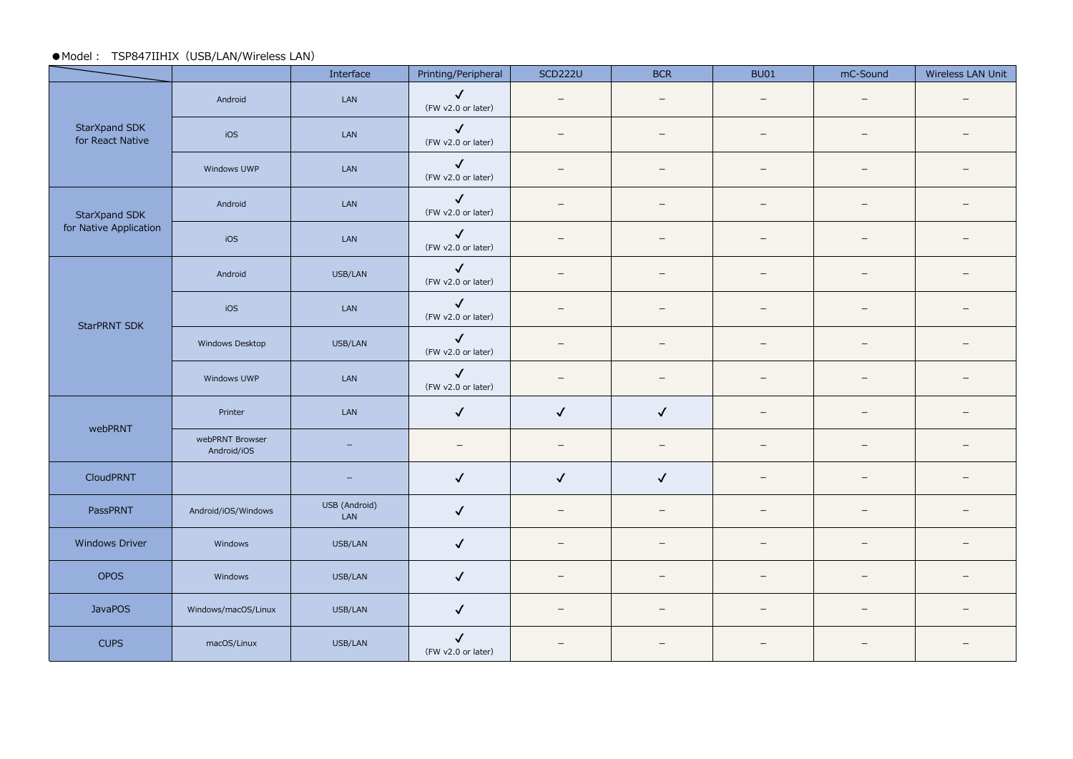#### ●Model : TSP847IIHIX (USB/LAN/Wireless LAN)

|                                                                                                                                                               |                                | Interface            | Printing/Peripheral                | <b>SCD222U</b>           | <b>BCR</b>               | <b>BU01</b>              | mC-Sound                 | Wireless LAN Unit        |
|---------------------------------------------------------------------------------------------------------------------------------------------------------------|--------------------------------|----------------------|------------------------------------|--------------------------|--------------------------|--------------------------|--------------------------|--------------------------|
|                                                                                                                                                               | Android                        | LAN                  | $\checkmark$<br>(FW v2.0 or later) | $\overline{\phantom{0}}$ | $\qquad \qquad -$        | $\overline{\phantom{0}}$ | $\equiv$                 |                          |
| StarXpand SDK<br>for React Native                                                                                                                             | iOS                            | LAN                  | $\checkmark$<br>(FW v2.0 or later) |                          | $\overline{\phantom{0}}$ |                          | $\overline{\phantom{0}}$ |                          |
| StarXpand SDK<br>for Native Application<br><b>StarPRNT SDK</b><br>webPRNT<br>CloudPRNT<br>PassPRNT<br>Windows Driver<br>OPOS<br><b>JavaPOS</b><br><b>CUPS</b> | Windows UWP                    | LAN                  | $\checkmark$<br>(FW v2.0 or later) |                          | $\equiv$                 |                          | $\equiv$                 |                          |
|                                                                                                                                                               | Android                        | LAN                  | $\checkmark$<br>(FW v2.0 or later) | $\qquad \qquad -$        | $\qquad \qquad -$        | $\qquad \qquad -$        | $\overline{\phantom{0}}$ |                          |
|                                                                                                                                                               | iOS                            | LAN                  | $\checkmark$<br>(FW v2.0 or later) | $\equiv$                 | $\equiv$                 | $\equiv$                 | $=$                      |                          |
|                                                                                                                                                               | Android                        | USB/LAN              | $\checkmark$<br>(FW v2.0 or later) |                          |                          |                          | $\overline{\phantom{0}}$ |                          |
|                                                                                                                                                               | iOS                            | LAN                  | $\checkmark$<br>(FW v2.0 or later) |                          | $\overline{\phantom{0}}$ | $\overline{\phantom{0}}$ |                          |                          |
|                                                                                                                                                               | Windows Desktop                | USB/LAN              | $\checkmark$<br>(FW v2.0 or later) |                          | $\qquad \qquad -$        | $\qquad \qquad -$        | $\qquad \qquad -$        |                          |
|                                                                                                                                                               | Windows UWP                    | LAN                  | $\checkmark$<br>(FW v2.0 or later) |                          | $\overline{\phantom{0}}$ |                          | $\qquad \qquad -$        |                          |
|                                                                                                                                                               | Printer                        | LAN                  | $\checkmark$                       | $\checkmark$             | $\checkmark$             | $\overline{\phantom{0}}$ | $\overline{\phantom{0}}$ |                          |
|                                                                                                                                                               | webPRNT Browser<br>Android/iOS | $-$                  | $\overline{\phantom{m}}$           | $\overline{\phantom{0}}$ | $\overline{\phantom{m}}$ | $\overline{\phantom{0}}$ | $\overline{\phantom{m}}$ |                          |
|                                                                                                                                                               |                                | -                    | $\checkmark$                       | $\checkmark$             | $\checkmark$             | $\overline{\phantom{0}}$ | $\overline{\phantom{0}}$ |                          |
|                                                                                                                                                               | Android/iOS/Windows            | USB (Android)<br>LAN | $\checkmark$                       | $\overline{\phantom{m}}$ | $\overline{\phantom{m}}$ | $\overline{\phantom{0}}$ | $\overline{\phantom{0}}$ | $\overline{\phantom{0}}$ |
|                                                                                                                                                               | Windows                        | USB/LAN              | $\checkmark$                       |                          |                          |                          | $\overline{\phantom{0}}$ |                          |
|                                                                                                                                                               | Windows                        | USB/LAN              | $\checkmark$                       | $\overline{\phantom{0}}$ | $\overline{\phantom{0}}$ |                          | $\qquad \qquad -$        |                          |
|                                                                                                                                                               | Windows/macOS/Linux            | USB/LAN              | $\checkmark$                       |                          |                          |                          | $\overline{\phantom{0}}$ |                          |
|                                                                                                                                                               | macOS/Linux                    | USB/LAN              | $\checkmark$<br>(FW v2.0 or later) |                          |                          |                          |                          |                          |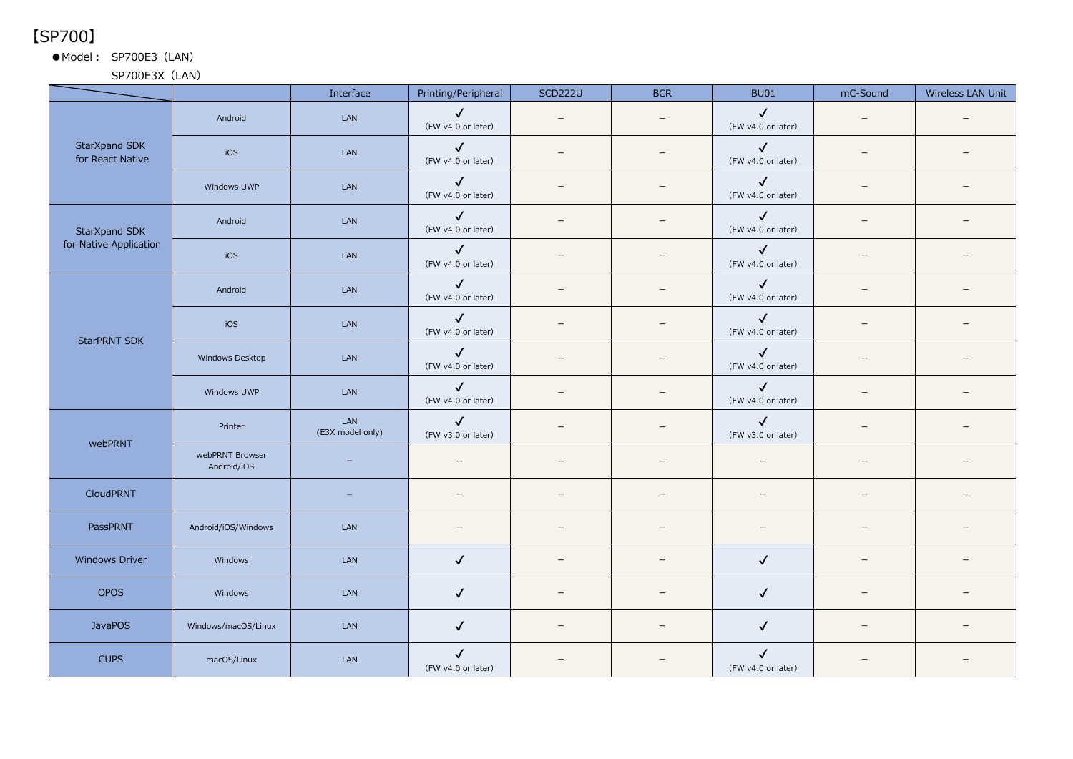【SP700】

●Model: SP700E3 (LAN)

SP700E3X (LAN)

|                                                                                                                                                                             |                                | Interface                | Printing/Peripheral                | <b>SCD222U</b>           | <b>BCR</b>               | <b>BU01</b>                        | mC-Sound | Wireless LAN Unit |
|-----------------------------------------------------------------------------------------------------------------------------------------------------------------------------|--------------------------------|--------------------------|------------------------------------|--------------------------|--------------------------|------------------------------------|----------|-------------------|
|                                                                                                                                                                             | Android                        | LAN                      | $\checkmark$<br>(FW v4.0 or later) |                          |                          | $\checkmark$<br>(FW v4.0 or later) |          |                   |
| StarXpand SDK<br>for React Native                                                                                                                                           | iOS                            | LAN                      | $\checkmark$<br>(FW v4.0 or later) | $\overline{\phantom{0}}$ | $\sim$                   | $\checkmark$<br>(FW v4.0 or later) | $=$      |                   |
| StarXpand SDK<br>for Native Application<br><b>StarPRNT SDK</b><br>webPRNT<br>CloudPRNT<br>PassPRNT<br><b>Windows Driver</b><br><b>OPOS</b><br><b>JavaPOS</b><br><b>CUPS</b> | Windows UWP                    | LAN                      | $\checkmark$<br>(FW v4.0 or later) |                          |                          | $\checkmark$<br>(FW v4.0 or later) |          |                   |
|                                                                                                                                                                             | Android                        | LAN                      | $\checkmark$<br>(FW v4.0 or later) |                          | $\equiv$                 | $\checkmark$<br>(FW v4.0 or later) | -        |                   |
|                                                                                                                                                                             | iOS                            | LAN                      | $\checkmark$<br>(FW v4.0 or later) |                          | $\overline{\phantom{0}}$ | $\checkmark$<br>(FW v4.0 or later) | $=$      |                   |
|                                                                                                                                                                             | Android                        | LAN                      | $\checkmark$<br>(FW v4.0 or later) |                          |                          | $\checkmark$<br>(FW v4.0 or later) | -        |                   |
|                                                                                                                                                                             | iOS                            | LAN                      | $\checkmark$<br>(FW v4.0 or later) |                          |                          | $\checkmark$<br>(FW v4.0 or later) |          |                   |
|                                                                                                                                                                             | Windows Desktop                | LAN                      | $\checkmark$<br>(FW v4.0 or later) | $\equiv$                 | $\overline{\phantom{a}}$ | $\checkmark$<br>(FW v4.0 or later) |          |                   |
|                                                                                                                                                                             | Windows UWP                    | LAN                      | $\checkmark$<br>(FW v4.0 or later) |                          |                          | $\checkmark$<br>(FW v4.0 or later) |          |                   |
|                                                                                                                                                                             | Printer                        | LAN<br>(E3X model only)  | $\checkmark$<br>(FW v3.0 or later) | $\qquad \qquad -$        |                          | $\checkmark$<br>(FW v3.0 or later) |          |                   |
|                                                                                                                                                                             | webPRNT Browser<br>Android/iOS | $\overline{\phantom{0}}$ | $\overline{\phantom{a}}$           | $\overline{\phantom{0}}$ | $\overline{\phantom{0}}$ | $\overline{\phantom{m}}$           | $=$      |                   |
|                                                                                                                                                                             |                                | -                        | $\overline{\phantom{0}}$           |                          | $\equiv$                 | $\overline{\phantom{a}}$           |          |                   |
|                                                                                                                                                                             | Android/iOS/Windows            | LAN                      |                                    | $\overline{\phantom{0}}$ |                          | $\overline{\phantom{0}}$           | $-$      |                   |
|                                                                                                                                                                             | Windows                        | LAN                      | $\checkmark$                       |                          |                          | $\checkmark$                       |          |                   |
|                                                                                                                                                                             | Windows                        | LAN                      | $\checkmark$                       | $\overline{\phantom{0}}$ |                          | $\checkmark$                       |          |                   |
|                                                                                                                                                                             | Windows/macOS/Linux            | LAN                      | $\checkmark$                       | $\qquad \qquad -$        |                          | $\checkmark$                       |          |                   |
|                                                                                                                                                                             | macOS/Linux                    | LAN                      | $\checkmark$<br>(FW v4.0 or later) |                          |                          | $\checkmark$<br>(FW v4.0 or later) |          |                   |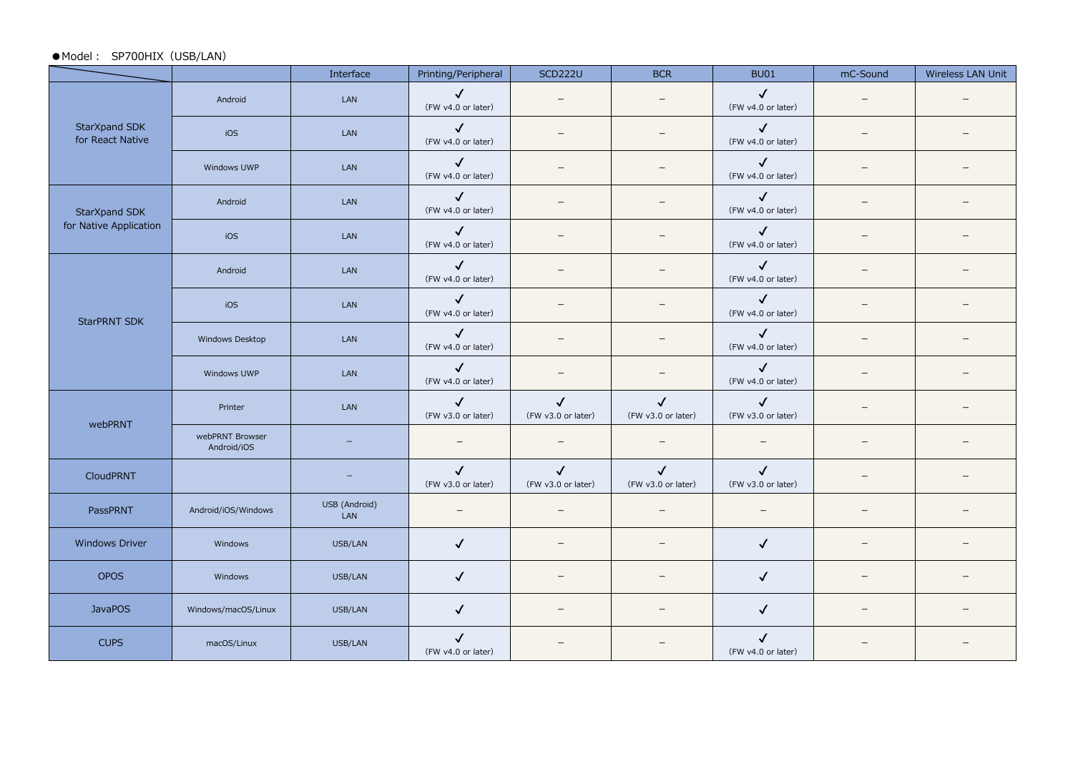#### ●Model: SP700HIX (USB/LAN)

|                                         |                                | Interface            | Printing/Peripheral                | <b>SCD222U</b>                     | <b>BCR</b>                         | <b>BU01</b>                        | mC-Sound                 | Wireless LAN Unit |
|-----------------------------------------|--------------------------------|----------------------|------------------------------------|------------------------------------|------------------------------------|------------------------------------|--------------------------|-------------------|
|                                         | Android                        | LAN                  | $\checkmark$<br>(FW v4.0 or later) |                                    | $\overline{\phantom{m}}$           | $\checkmark$<br>(FW v4.0 or later) | $\overline{\phantom{0}}$ |                   |
| StarXpand SDK<br>for React Native       | iOS                            | LAN                  | $\checkmark$<br>(FW v4.0 or later) |                                    | $=$                                | $\checkmark$<br>(FW v4.0 or later) | $\equiv$                 |                   |
|                                         | Windows UWP                    | LAN                  | $\checkmark$<br>(FW v4.0 or later) |                                    | $\equiv$                           | $\checkmark$<br>(FW v4.0 or later) |                          |                   |
| StarXpand SDK<br>for Native Application | Android                        | LAN                  | $\checkmark$<br>(FW v4.0 or later) |                                    |                                    | $\checkmark$<br>(FW v4.0 or later) |                          |                   |
|                                         | iOS                            | LAN                  | $\checkmark$<br>(FW v4.0 or later) | $\overline{\phantom{0}}$           | $\overline{\phantom{m}}$           | $\checkmark$<br>(FW v4.0 or later) |                          |                   |
|                                         | Android                        | LAN                  | $\checkmark$<br>(FW v4.0 or later) | $\overline{\phantom{0}}$           | $\qquad \qquad -$                  | $\checkmark$<br>(FW v4.0 or later) | $\overline{\phantom{0}}$ |                   |
| <b>StarPRNT SDK</b>                     | iOS                            | LAN                  | $\checkmark$<br>(FW v4.0 or later) |                                    |                                    | $\checkmark$<br>(FW v4.0 or later) | $\equiv$                 |                   |
|                                         | Windows Desktop                | LAN                  | $\checkmark$<br>(FW v4.0 or later) |                                    | $\qquad \qquad -$                  | $\checkmark$<br>(FW v4.0 or later) | $\overline{\phantom{0}}$ |                   |
|                                         | Windows UWP                    | LAN                  | $\checkmark$<br>(FW v4.0 or later) |                                    | $\overline{\phantom{0}}$           | $\checkmark$<br>(FW v4.0 or later) | $\overline{\phantom{0}}$ |                   |
| webPRNT                                 | Printer                        | LAN                  | $\checkmark$<br>(FW v3.0 or later) | $\checkmark$<br>(FW v3.0 or later) | $\checkmark$<br>(FW v3.0 or later) | $\checkmark$<br>(FW v3.0 or later) |                          |                   |
|                                         | webPRNT Browser<br>Android/iOS |                      | $\overline{\phantom{m}}$           |                                    | $\overline{\phantom{m}}$           | $\overline{\phantom{m}}$           |                          |                   |
| CloudPRNT                               |                                |                      | $\checkmark$<br>(FW v3.0 or later) | $\checkmark$<br>(FW v3.0 or later) | $\checkmark$<br>(FW v3.0 or later) | $\checkmark$<br>(FW v3.0 or later) | $\overline{\phantom{0}}$ |                   |
| PassPRNT                                | Android/iOS/Windows            | USB (Android)<br>LAN |                                    |                                    | $\overline{\phantom{m}}$           | $\overline{\phantom{m}}$           | $\overline{\phantom{0}}$ |                   |
| <b>Windows Driver</b>                   | Windows                        | USB/LAN              | $\checkmark$                       |                                    |                                    | $\checkmark$                       |                          |                   |
| <b>OPOS</b>                             | Windows                        | USB/LAN              | $\checkmark$                       |                                    | $\overline{\phantom{0}}$           | $\checkmark$                       |                          |                   |
| <b>JavaPOS</b>                          | Windows/macOS/Linux            | USB/LAN              | $\checkmark$                       |                                    | $\qquad \qquad -$                  | $\checkmark$                       | $\qquad \qquad -$        |                   |
| <b>CUPS</b>                             | macOS/Linux                    | USB/LAN              | $\checkmark$<br>(FW v4.0 or later) |                                    |                                    | $\checkmark$<br>(FW v4.0 or later) |                          |                   |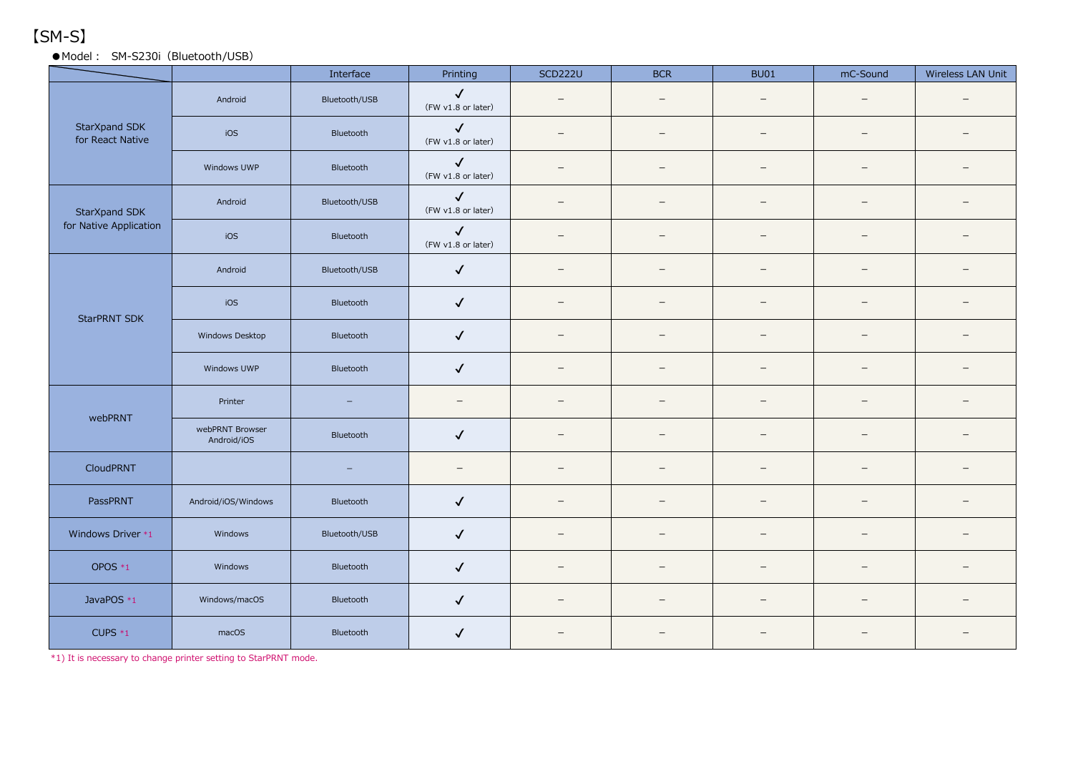# 【SM-S】

### ● Model: SM-S230i (Bluetooth/USB)

|                                   |                                | Interface         | Printing                           | <b>SCD222U</b>           | <b>BCR</b>               | <b>BU01</b>              | mC-Sound                 | Wireless LAN Unit        |
|-----------------------------------|--------------------------------|-------------------|------------------------------------|--------------------------|--------------------------|--------------------------|--------------------------|--------------------------|
| StarXpand SDK<br>for React Native | Android                        | Bluetooth/USB     | $\checkmark$<br>(FW v1.8 or later) | $\overline{\phantom{m}}$ | $\overline{\phantom{0}}$ | $\overline{\phantom{0}}$ | $\qquad \qquad -$        |                          |
|                                   | iOS                            | Bluetooth         | $\checkmark$<br>(FW v1.8 or later) | $\overline{\phantom{0}}$ | $\overline{\phantom{0}}$ | $\overline{\phantom{0}}$ | $\overline{\phantom{m}}$ |                          |
|                                   | Windows UWP                    | Bluetooth         | $\checkmark$<br>(FW v1.8 or later) | $\equiv$                 | $\equiv$                 | $\overline{\phantom{0}}$ | $=$                      |                          |
| StarXpand SDK                     | Android                        | Bluetooth/USB     | $\checkmark$<br>(FW v1.8 or later) | $\overline{\phantom{m}}$ | $\overline{\phantom{m}}$ | $\overline{\phantom{m}}$ | $\qquad \qquad -$        | $\overline{\phantom{m}}$ |
| for Native Application            | iOS                            | Bluetooth         | $\checkmark$<br>(FW v1.8 or later) | $\qquad \qquad -$        | $\equiv$                 | $\overline{\phantom{m}}$ | $\overline{\phantom{m}}$ |                          |
|                                   | Android                        | Bluetooth/USB     | $\checkmark$                       |                          | $\overline{\phantom{0}}$ | $\overline{\phantom{0}}$ | $\overline{\phantom{m}}$ |                          |
| <b>StarPRNT SDK</b>               | iOS                            | Bluetooth         | $\checkmark$                       | $\overline{\phantom{m}}$ | $\overline{\phantom{0}}$ | $\overline{\phantom{m}}$ | $\qquad \qquad -$        | $\equiv$                 |
|                                   | Windows Desktop                | Bluetooth         | $\checkmark$                       | $\overline{\phantom{m}}$ | $\qquad \qquad -$        | $\overline{\phantom{m}}$ | $\qquad \qquad -$        |                          |
|                                   | Windows UWP                    | Bluetooth         | $\checkmark$                       | $\qquad \qquad -$        | $\qquad \qquad -$        | $\overline{\phantom{m}}$ | $\qquad \qquad -$        |                          |
| webPRNT                           | Printer                        | $\equiv$          | $\qquad \qquad -$                  | $\qquad \qquad -$        | $\qquad \qquad -$        | $\qquad \qquad -$        | $\qquad \qquad -$        |                          |
|                                   | webPRNT Browser<br>Android/iOS | Bluetooth         | $\checkmark$                       | $\overline{\phantom{m}}$ | $\overline{\phantom{m}}$ | $\overline{\phantom{m}}$ | $\overline{\phantom{0}}$ |                          |
| CloudPRNT                         |                                | $\qquad \qquad -$ | $\qquad \qquad -$                  | $\overline{\phantom{0}}$ | $\qquad \qquad -$        | $\qquad \qquad$          | $\qquad \qquad -$        |                          |
| PassPRNT                          | Android/iOS/Windows            | Bluetooth         | $\checkmark$                       |                          |                          | $\equiv$                 | $\overline{\phantom{m}}$ |                          |
| Windows Driver *1                 | Windows                        | Bluetooth/USB     | $\checkmark$                       | $\overline{\phantom{0}}$ |                          | $\overline{\phantom{0}}$ | $\qquad \qquad -$        |                          |
| OPOS *1                           | Windows                        | Bluetooth         | $\checkmark$                       | $\overline{\phantom{m}}$ | $\overline{\phantom{m}}$ | $\overline{\phantom{m}}$ | $\qquad \qquad -$        |                          |
| JavaPOS *1                        | Windows/macOS                  | Bluetooth         | $\checkmark$                       | $\overline{\phantom{m}}$ | $\overline{\phantom{m}}$ | $\overline{\phantom{m}}$ | $\qquad \qquad -$        |                          |
| CUPS $*_{1}$                      | macOS                          | Bluetooth         | $\checkmark$                       | $\equiv$                 |                          |                          | -                        |                          |

\*1) It is necessary to change printer setting to StarPRNT mode.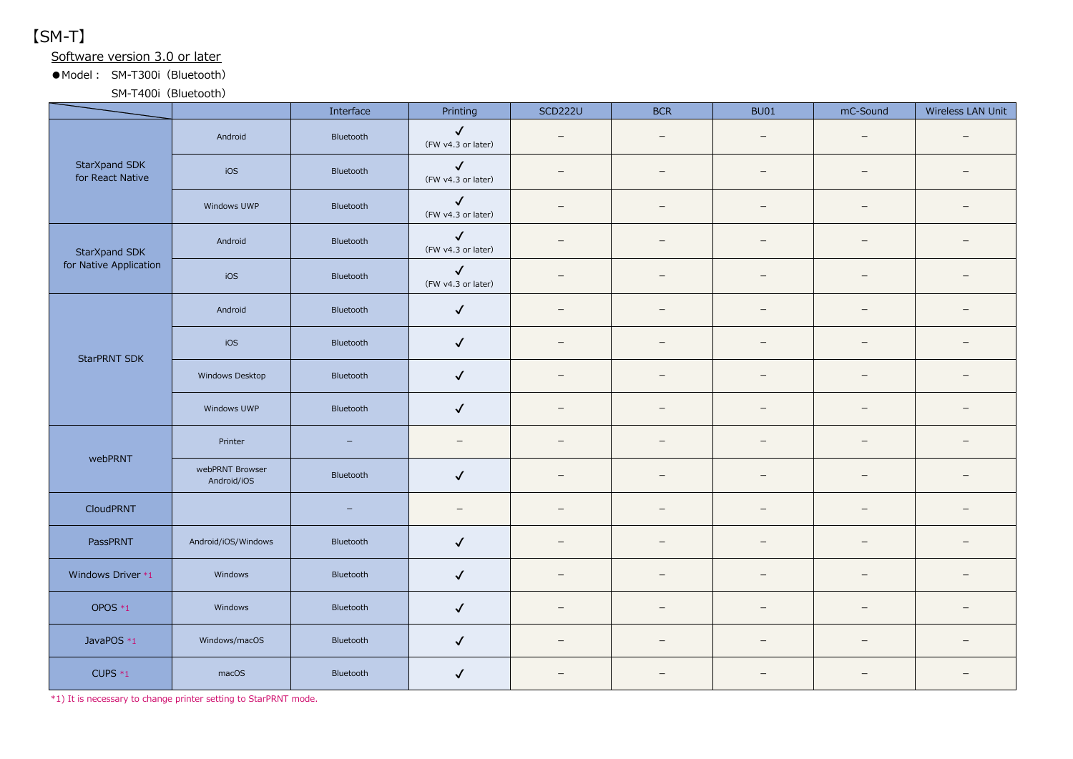【SM-T】

Software version 3.0 or later

●Model︓ SM-T300i(Bluetooth)

SM-T400i (Bluetooth)

|                                   |                                | Interface                | Printing                           | <b>SCD222U</b>           | <b>BCR</b>               | <b>BU01</b>              | mC-Sound                 | Wireless LAN Unit        |
|-----------------------------------|--------------------------------|--------------------------|------------------------------------|--------------------------|--------------------------|--------------------------|--------------------------|--------------------------|
| StarXpand SDK<br>for React Native | Android                        | Bluetooth                | $\checkmark$<br>(FW v4.3 or later) | $\overline{\phantom{0}}$ | $\qquad \qquad -$        | $\overline{\phantom{m}}$ | $\qquad \qquad -$        | $\equiv$                 |
|                                   | iOS                            | Bluetooth                | $\checkmark$<br>(FW v4.3 or later) | $=$                      | $\equiv$                 | $\equiv$                 | -                        |                          |
|                                   | Windows UWP                    | Bluetooth                | $\checkmark$<br>(FW v4.3 or later) | $\overline{\phantom{0}}$ | $\overline{\phantom{0}}$ | $\overline{\phantom{0}}$ | $\overline{\phantom{0}}$ |                          |
| StarXpand SDK                     | Android                        | Bluetooth                | $\checkmark$<br>(FW v4.3 or later) | $\overline{\phantom{0}}$ | $\overline{\phantom{0}}$ | $\overline{\phantom{0}}$ | —                        |                          |
| for Native Application            | iOS                            | Bluetooth                | $\checkmark$<br>(FW v4.3 or later) | $\overline{\phantom{0}}$ |                          | $\overline{\phantom{0}}$ | $\overline{\phantom{0}}$ |                          |
|                                   | Android                        | Bluetooth                | $\checkmark$                       | $\overline{\phantom{0}}$ | $\overline{\phantom{m}}$ | $\overline{\phantom{m}}$ | $\qquad \qquad -$        | $\overline{\phantom{m}}$ |
| <b>StarPRNT SDK</b>               | iOS                            | Bluetooth                | $\checkmark$                       | $\overline{\phantom{0}}$ | $\overline{\phantom{m}}$ | $\overline{\phantom{m}}$ | -                        | $\overline{\phantom{0}}$ |
|                                   | Windows Desktop                | Bluetooth                | $\checkmark$                       | $\overline{\phantom{a}}$ | $\overline{\phantom{0}}$ | $\overline{\phantom{0}}$ | -                        |                          |
|                                   | Windows UWP                    | Bluetooth                | $\checkmark$                       | $\overline{\phantom{0}}$ | $=$                      | $\overline{\phantom{0}}$ | $=$                      | $\equiv$                 |
| webPRNT                           | Printer                        | $\qquad \qquad -$        | $\overline{\phantom{a}}$           | $\qquad \qquad -$        | $\overline{\phantom{0}}$ | $\overline{\phantom{0}}$ | $\qquad \qquad -$        |                          |
|                                   | webPRNT Browser<br>Android/iOS | Bluetooth                | $\checkmark$                       | $\overline{\phantom{m}}$ | $\qquad \qquad -$        | $\overline{\phantom{0}}$ | $=$                      | $\equiv$                 |
| CloudPRNT                         |                                | $\overline{\phantom{m}}$ | $\qquad \qquad -$                  | $\overline{\phantom{m}}$ | $\qquad \qquad -$        | $\overline{\phantom{m}}$ | $\overline{\phantom{0}}$ |                          |
| PassPRNT                          | Android/iOS/Windows            | Bluetooth                | $\checkmark$                       | $\overline{\phantom{0}}$ |                          | $\overline{\phantom{0}}$ | $\overline{\phantom{0}}$ |                          |
| Windows Driver *1                 | Windows                        | Bluetooth                | $\checkmark$                       | $\overline{\phantom{m}}$ |                          | $\overline{\phantom{0}}$ | $\qquad \qquad -$        |                          |
| OPOS $*_{1}$                      | Windows                        | Bluetooth                | $\checkmark$                       | $\qquad \qquad -$        | $\overline{\phantom{m}}$ | $\overline{\phantom{m}}$ | $\qquad \qquad -$        | $\overline{\phantom{m}}$ |
| JavaPOS *1                        | Windows/macOS                  | Bluetooth                | $\checkmark$                       | $\overline{\phantom{0}}$ | $\qquad \qquad -$        | $\overline{\phantom{m}}$ | $\qquad \qquad -$        | $\qquad \qquad -$        |
| CUPS $*_{1}$                      | macOS                          | Bluetooth                | $\checkmark$                       | $\overline{\phantom{0}}$ |                          |                          |                          |                          |

\*1) It is necessary to change printer setting to StarPRNT mode.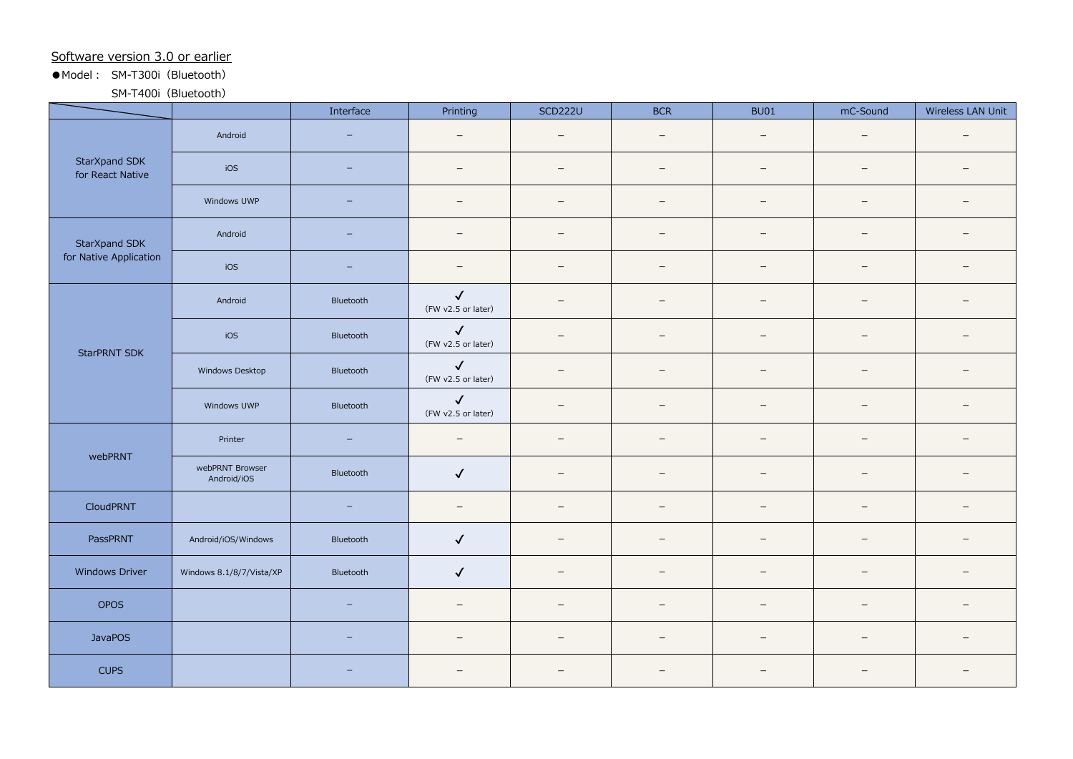#### Software version 3.0 or earlier

● Model: SM-T300i (Bluetooth)

SM-T400i (Bluetooth)

|                                         |                                | Interface                | Printing                           | <b>SCD222U</b>           | <b>BCR</b>               | <b>BU01</b>              | mC-Sound                 | Wireless LAN Unit        |
|-----------------------------------------|--------------------------------|--------------------------|------------------------------------|--------------------------|--------------------------|--------------------------|--------------------------|--------------------------|
| StarXpand SDK<br>for React Native       | Android                        | $\overline{\phantom{0}}$ | $\equiv$                           | $\overline{\phantom{m}}$ | $\overline{\phantom{m}}$ | $\overline{\phantom{0}}$ | $\qquad \qquad -$        | $\equiv$                 |
|                                         | iOS                            | $\equiv$                 | $\sim$                             | $\overline{\phantom{0}}$ | $=$                      | $\overline{\phantom{0}}$ | $\overline{\phantom{0}}$ | $\equiv$                 |
|                                         | Windows UWP                    | $\equiv$                 | $\overline{\phantom{a}}$           | $\overline{\phantom{0}}$ | $\overline{\phantom{0}}$ | $\overline{\phantom{m}}$ | $\overline{\phantom{0}}$ | $\qquad \qquad -$        |
| StarXpand SDK<br>for Native Application | Android                        | $\overline{\phantom{0}}$ | $\qquad \qquad -$                  | $\qquad \qquad -$        | $\qquad \qquad -$        | $\overline{\phantom{m}}$ | $\qquad \qquad -$        | $\overline{\phantom{m}}$ |
|                                         | iOS                            | $\overline{\phantom{0}}$ | $\qquad \qquad -$                  | $\qquad \qquad -$        | $\qquad \qquad -$        | $\overline{\phantom{m}}$ | $\qquad \qquad -$        | $\overline{\phantom{m}}$ |
| <b>StarPRNT SDK</b>                     | Android                        | Bluetooth                | $\checkmark$<br>(FW v2.5 or later) | $\equiv$                 | $=$                      | $\sim$                   | $=$                      | $\sim$                   |
|                                         | iOS                            | Bluetooth                | $\checkmark$<br>(FW v2.5 or later) | $\overline{\phantom{0}}$ | $\overline{\phantom{m}}$ | $\overline{\phantom{0}}$ | $\overline{\phantom{0}}$ |                          |
|                                         | Windows Desktop                | Bluetooth                | $\checkmark$<br>(FW v2.5 or later) | $\overline{\phantom{0}}$ |                          | $\overline{\phantom{0}}$ | $\overline{\phantom{0}}$ |                          |
|                                         | Windows UWP                    | Bluetooth                | $\checkmark$<br>(FW v2.5 or later) | $\overline{\phantom{0}}$ | $\overline{\phantom{0}}$ | $\overline{\phantom{0}}$ | $\overline{\phantom{0}}$ |                          |
| webPRNT                                 | Printer                        | $\overline{\phantom{m}}$ | $\sim$                             | $\qquad \qquad -$        | $\equiv$                 | $\overline{\phantom{0}}$ | $=$                      | $\equiv$                 |
|                                         | webPRNT Browser<br>Android/iOS | Bluetooth                | $\checkmark$                       | $\qquad \qquad -$        | $\qquad \qquad -$        | $\overline{\phantom{m}}$ | $\qquad \qquad -$        | $\overline{\phantom{0}}$ |
| CloudPRNT                               |                                | $\equiv$                 | $\qquad \qquad -$                  | $\overline{\phantom{0}}$ | $\equiv$                 | $\overline{\phantom{m}}$ | $\overline{\phantom{0}}$ | $\qquad \qquad -$        |
| PassPRNT                                | Android/iOS/Windows            | Bluetooth                | $\checkmark$                       | $\overline{\phantom{m}}$ | $\overline{\phantom{0}}$ | $\overline{\phantom{m}}$ | -                        | $\overline{\phantom{a}}$ |
| <b>Windows Driver</b>                   | Windows 8.1/8/7/Vista/XP       | Bluetooth                | $\checkmark$                       | $\overline{\phantom{0}}$ | $\equiv$                 | $\overline{\phantom{0}}$ | $=$                      | $\equiv$                 |
| OPOS                                    |                                | $\overline{\phantom{0}}$ | $\overline{\phantom{0}}$           | $\overline{\phantom{m}}$ |                          | $\overline{\phantom{m}}$ | -                        |                          |
| <b>JavaPOS</b>                          |                                | $\overline{\phantom{0}}$ | $\overline{\phantom{a}}$           | $\overline{\phantom{a}}$ | $\overline{\phantom{m}}$ | $\overline{\phantom{m}}$ | $\overline{\phantom{m}}$ | $\overline{\phantom{m}}$ |
| <b>CUPS</b>                             |                                |                          | $\overline{\phantom{0}}$           | $\overline{\phantom{0}}$ | $\equiv$                 | $\overline{\phantom{0}}$ | $\overline{\phantom{m}}$ |                          |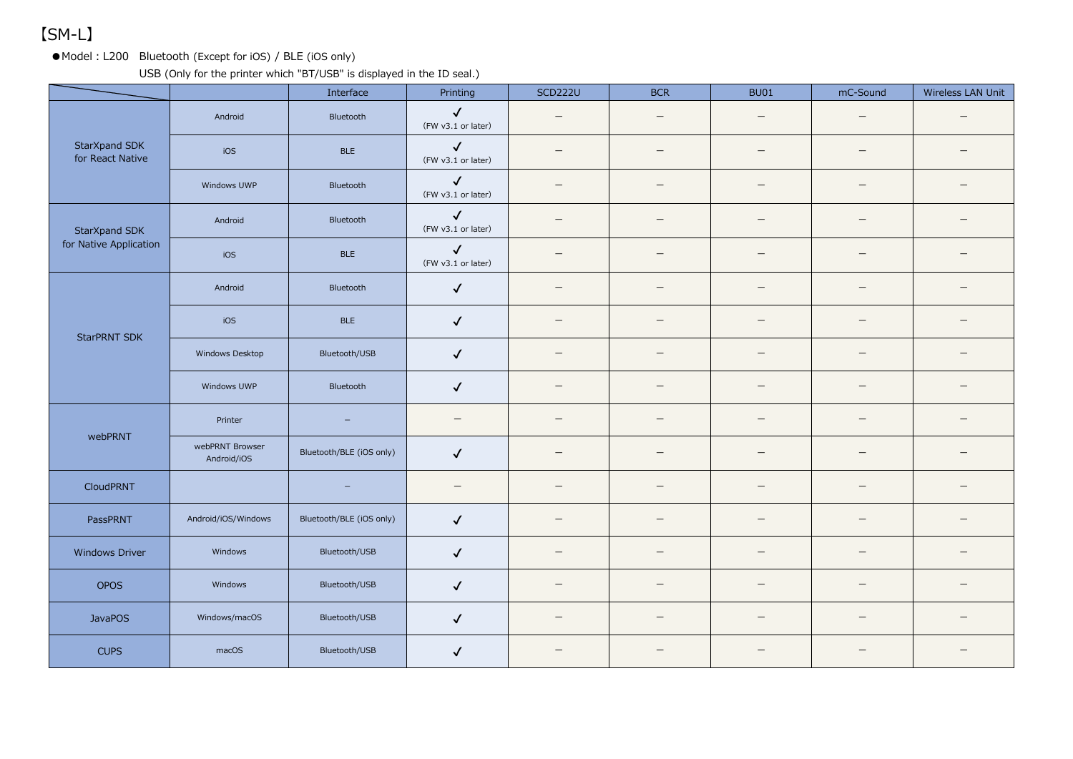# 【SM-L】

●Model: L200 Bluetooth (Except for iOS) / BLE (iOS only)

USB (Only for the printer which "BT/USB" is displayed in the ID seal.)

|                                   |                                | Interface                | Printing                           | <b>SCD222U</b>           | <b>BCR</b>               | <b>BU01</b>              | mC-Sound                 | Wireless LAN Unit        |
|-----------------------------------|--------------------------------|--------------------------|------------------------------------|--------------------------|--------------------------|--------------------------|--------------------------|--------------------------|
| StarXpand SDK<br>for React Native | Android                        | Bluetooth                | $\checkmark$<br>(FW v3.1 or later) | $\overline{\phantom{m}}$ | $\overline{\phantom{m}}$ | $\overline{\phantom{0}}$ | $\overline{\phantom{0}}$ |                          |
|                                   | iOS                            | <b>BLE</b>               | $\checkmark$<br>(FW v3.1 or later) |                          | $\overline{\phantom{0}}$ | ے                        | -                        |                          |
|                                   | Windows UWP                    | Bluetooth                | $\checkmark$<br>(FW v3.1 or later) |                          |                          | $\overline{\phantom{0}}$ |                          |                          |
| StarXpand SDK                     | Android                        | Bluetooth                | $\checkmark$<br>(FW v3.1 or later) | $\overline{\phantom{m}}$ | $\overline{\phantom{m}}$ | $\overline{\phantom{0}}$ |                          |                          |
| for Native Application            | iOS                            | <b>BLE</b>               | $\checkmark$<br>(FW v3.1 or later) | $\overline{\phantom{0}}$ | $\qquad \qquad$          | —                        | $\qquad \qquad -$        |                          |
|                                   | Android                        | Bluetooth                | $\checkmark$                       | $\equiv$                 |                          | $\overline{\phantom{0}}$ | -                        |                          |
| <b>StarPRNT SDK</b>               | iOS                            | <b>BLE</b>               | $\checkmark$                       | $\qquad \qquad -$        | $\qquad \qquad -$        | —                        |                          |                          |
|                                   | Windows Desktop                | Bluetooth/USB            | $\checkmark$                       | $\overline{\phantom{m}}$ | $\overline{\phantom{m}}$ | $\overline{\phantom{m}}$ |                          | $\equiv$                 |
|                                   | Windows UWP                    | Bluetooth                | $\checkmark$                       | $\qquad \qquad =$        | $\overline{\phantom{m}}$ | $\overline{\phantom{m}}$ | $\equiv$                 |                          |
| webPRNT                           | Printer                        | $\overline{\phantom{a}}$ | $\overline{\phantom{m}}$           | $\qquad \qquad -$        | $\qquad \qquad -$        | $\qquad \qquad -$        |                          |                          |
|                                   | webPRNT Browser<br>Android/iOS | Bluetooth/BLE (iOS only) | $\checkmark$                       | $\qquad \qquad =$        |                          | $\equiv$                 | $\overline{\phantom{0}}$ |                          |
| CloudPRNT                         |                                | $\qquad \qquad -$        |                                    |                          |                          | $\overline{\phantom{m}}$ |                          |                          |
| PassPRNT                          | Android/iOS/Windows            | Bluetooth/BLE (iOS only) | $\checkmark$                       | $\overline{\phantom{m}}$ |                          | $\qquad \qquad -$        |                          |                          |
| Windows Driver                    | Windows                        | Bluetooth/USB            | $\checkmark$                       | $\qquad \qquad -$        | $\qquad \qquad -$        | $\overline{\phantom{m}}$ | $\qquad \qquad -$        | $\overline{\phantom{m}}$ |
| <b>OPOS</b>                       | Windows                        | Bluetooth/USB            | $\checkmark$                       | $\overline{\phantom{0}}$ |                          | —                        | $\overline{\phantom{0}}$ |                          |
| <b>JavaPOS</b>                    | Windows/macOS                  | Bluetooth/USB            | $\checkmark$                       |                          |                          | $\overline{\phantom{0}}$ |                          |                          |
| <b>CUPS</b>                       | macOS                          | Bluetooth/USB            | $\checkmark$                       |                          |                          |                          |                          |                          |